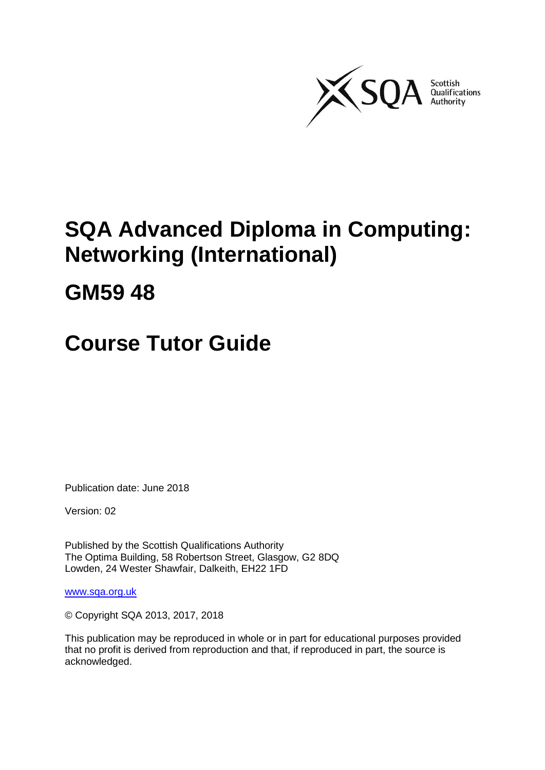

# **SQA Advanced Diploma in Computing: Networking (International)**

# **GM59 48**

# **Course Tutor Guide**

Publication date: June 2018

Version: 02

Published by the Scottish Qualifications Authority The Optima Building, 58 Robertson Street, Glasgow, G2 8DQ Lowden, 24 Wester Shawfair, Dalkeith, EH22 1FD

[www.sqa.org.uk](http://www.sqa.org.uk/)

© Copyright SQA 2013, 2017, 2018

This publication may be reproduced in whole or in part for educational purposes provided that no profit is derived from reproduction and that, if reproduced in part, the source is acknowledged.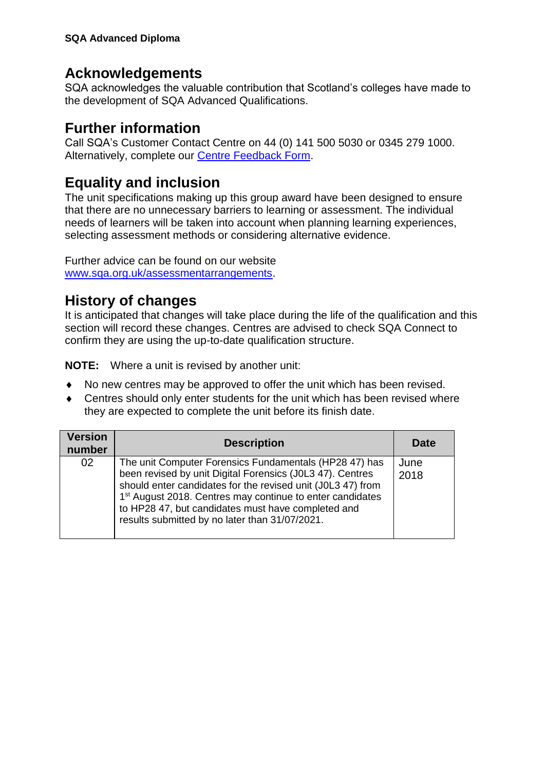## **Acknowledgements**

SQA acknowledges the valuable contribution that Scotland's colleges have made to the development of SQA Advanced Qualifications.

## **Further information**

Call SQA's Customer Contact Centre on 44 (0) 141 500 5030 or 0345 279 1000. Alternatively, complete our [Centre Feedback Form](https://www.sqa.org.uk/sqa/77338.html?id=2).

## **Equality and inclusion**

The unit specifications making up this group award have been designed to ensure that there are no unnecessary barriers to learning or assessment. The individual needs of learners will be taken into account when planning learning experiences, selecting assessment methods or considering alternative evidence.

Further advice can be found on our website [www.sqa.org.uk/assessmentarrangements.](http://www.sqa.org.uk/sqa/14977.html)

## **History of changes**

It is anticipated that changes will take place during the life of the qualification and this section will record these changes. Centres are advised to check SQA Connect to confirm they are using the up-to-date qualification structure.

**NOTE:** Where a unit is revised by another unit:

- No new centres may be approved to offer the unit which has been revised.
- Centres should only enter students for the unit which has been revised where they are expected to complete the unit before its finish date.

| <b>Version</b><br>number | <b>Description</b>                                                                                                                                                                                                                                                                                                                                                  | <b>Date</b>  |
|--------------------------|---------------------------------------------------------------------------------------------------------------------------------------------------------------------------------------------------------------------------------------------------------------------------------------------------------------------------------------------------------------------|--------------|
| 02                       | The unit Computer Forensics Fundamentals (HP28 47) has<br>been revised by unit Digital Forensics (J0L3 47). Centres<br>should enter candidates for the revised unit (J0L3 47) from<br>1 <sup>st</sup> August 2018. Centres may continue to enter candidates<br>to HP28 47, but candidates must have completed and<br>results submitted by no later than 31/07/2021. | June<br>2018 |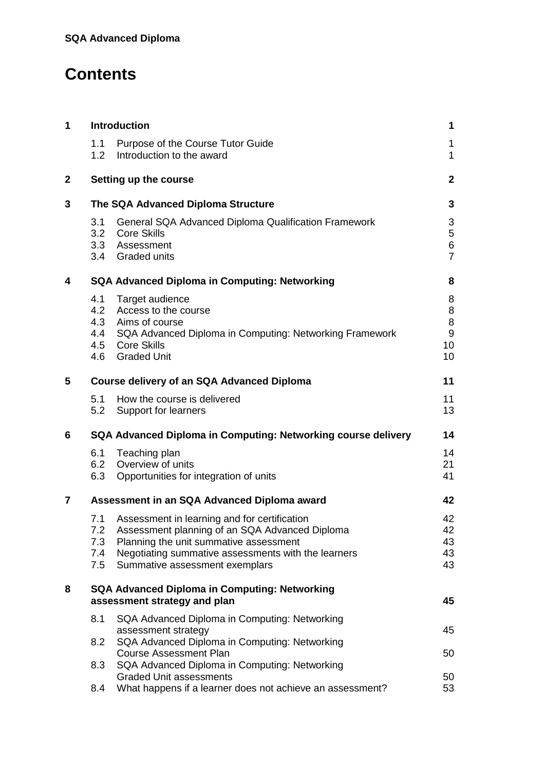## **Contents**

| 1            |                                 | Introduction                                                                                                                                                                                                                      | 1                                                 |
|--------------|---------------------------------|-----------------------------------------------------------------------------------------------------------------------------------------------------------------------------------------------------------------------------------|---------------------------------------------------|
|              | 1.1<br>1.2                      | Purpose of the Course Tutor Guide<br>Introduction to the award                                                                                                                                                                    | 1<br>$\mathbf{1}$                                 |
| $\mathbf{2}$ |                                 | Setting up the course                                                                                                                                                                                                             | $\mathbf{2}$                                      |
| 3            |                                 | The SQA Advanced Diploma Structure                                                                                                                                                                                                | 3                                                 |
|              | 3.1<br>3.2                      | General SQA Advanced Diploma Qualification Framework<br><b>Core Skills</b><br>3.3 Assessment<br>3.4 Graded units                                                                                                                  | 3<br>5<br>6<br>$\overline{7}$                     |
| 4            |                                 | <b>SQA Advanced Diploma in Computing: Networking</b>                                                                                                                                                                              | 8                                                 |
|              | 4.1<br>4.2                      | Target audience<br>Access to the course<br>4.3 Aims of course<br>4.4 SQA Advanced Diploma in Computing: Networking Framework<br>4.5 Core Skills<br>4.6 Graded Unit                                                                | 8<br>8<br>$\bf 8$<br>$\boldsymbol{9}$<br>10<br>10 |
| 5            |                                 | Course delivery of an SQA Advanced Diploma                                                                                                                                                                                        | 11                                                |
|              | 5.1<br>5.2                      | How the course is delivered<br>Support for learners                                                                                                                                                                               | 11<br>13                                          |
| 6            |                                 | SQA Advanced Diploma in Computing: Networking course delivery                                                                                                                                                                     | 14                                                |
|              | 6.1<br>6.3                      | Teaching plan<br>6.2 Overview of units<br>Opportunities for integration of units                                                                                                                                                  | 14<br>21<br>41                                    |
| 7            |                                 | Assessment in an SQA Advanced Diploma award                                                                                                                                                                                       | 42                                                |
|              | 7.1<br>7.2<br>7.3<br>7.4<br>7.5 | Assessment in learning and for certification<br>Assessment planning of an SQA Advanced Diploma<br>Planning the unit summative assessment<br>Negotiating summative assessments with the learners<br>Summative assessment exemplars | 42<br>42<br>43<br>43<br>43                        |
| 8            |                                 | <b>SQA Advanced Diploma in Computing: Networking</b><br>assessment strategy and plan                                                                                                                                              | 45                                                |
|              | 8.1                             | SQA Advanced Diploma in Computing: Networking                                                                                                                                                                                     |                                                   |
|              | 8.2                             | assessment strategy<br>SQA Advanced Diploma in Computing: Networking                                                                                                                                                              | 45                                                |
|              | 8.3                             | <b>Course Assessment Plan</b><br>SQA Advanced Diploma in Computing: Networking                                                                                                                                                    | 50                                                |
|              | 8.4                             | <b>Graded Unit assessments</b><br>What happens if a learner does not achieve an assessment?                                                                                                                                       | 50<br>53                                          |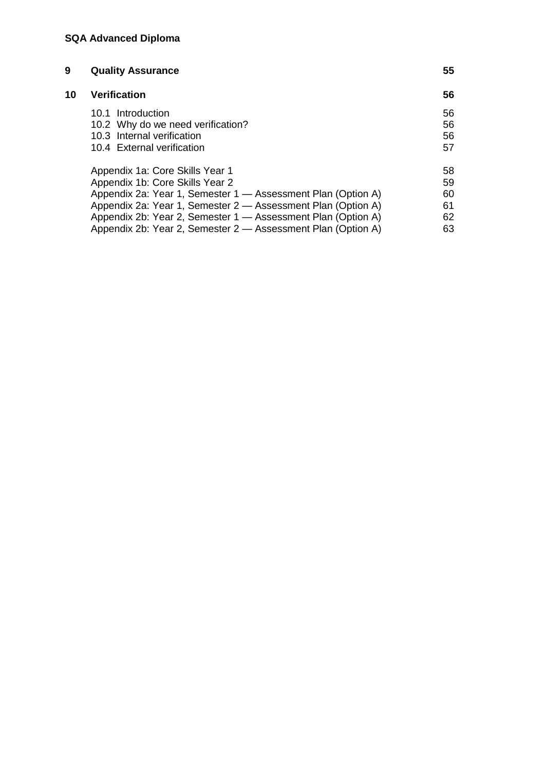| 9  | <b>Quality Assurance</b>                                     | 55 |
|----|--------------------------------------------------------------|----|
| 10 | <b>Verification</b>                                          | 56 |
|    | 10.1 Introduction                                            | 56 |
|    | 10.2 Why do we need verification?                            | 56 |
|    | 10.3 Internal verification                                   | 56 |
|    | 10.4 External verification                                   | 57 |
|    | Appendix 1a: Core Skills Year 1                              | 58 |
|    | Appendix 1b: Core Skills Year 2                              | 59 |
|    | Appendix 2a: Year 1, Semester 1 - Assessment Plan (Option A) | 60 |
|    | Appendix 2a: Year 1, Semester 2 - Assessment Plan (Option A) | 61 |
|    | Appendix 2b: Year 2, Semester 1 - Assessment Plan (Option A) | 62 |
|    | Appendix 2b: Year 2, Semester 2 - Assessment Plan (Option A) | 63 |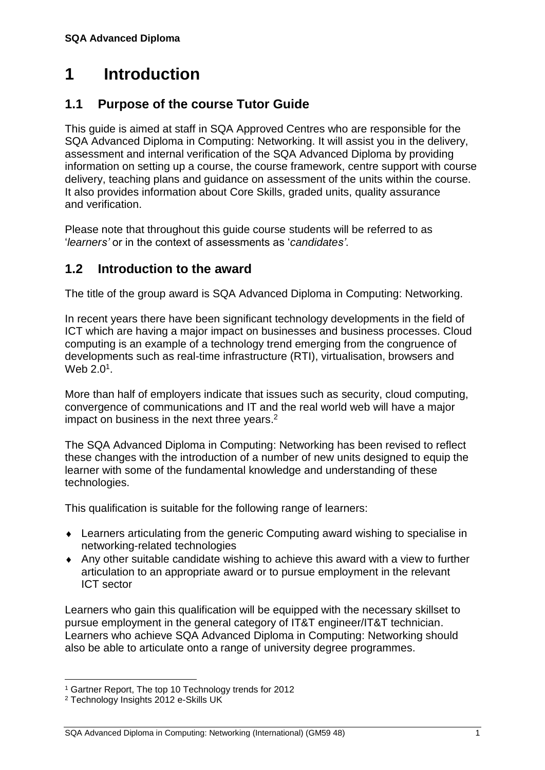## <span id="page-4-0"></span>**1 Introduction**

## <span id="page-4-1"></span>**1.1 Purpose of the course Tutor Guide**

This guide is aimed at staff in SQA Approved Centres who are responsible for the SQA Advanced Diploma in Computing: Networking. It will assist you in the delivery, assessment and internal verification of the SQA Advanced Diploma by providing information on setting up a course, the course framework, centre support with course delivery, teaching plans and guidance on assessment of the units within the course. It also provides information about Core Skills, graded units, quality assurance and verification.

Please note that throughout this guide course students will be referred to as '*learners'* or in the context of assessments as '*candidates'*.

## <span id="page-4-2"></span>**1.2 Introduction to the award**

The title of the group award is SQA Advanced Diploma in Computing: Networking.

In recent years there have been significant technology developments in the field of ICT which are having a major impact on businesses and business processes. Cloud computing is an example of a technology trend emerging from the congruence of developments such as real-time infrastructure (RTI), virtualisation, browsers and Web 2.0 $^1$ .

More than half of employers indicate that issues such as security, cloud computing, convergence of communications and IT and the real world web will have a major impact on business in the next three years.<sup>2</sup>

The SQA Advanced Diploma in Computing: Networking has been revised to reflect these changes with the introduction of a number of new units designed to equip the learner with some of the fundamental knowledge and understanding of these technologies.

This qualification is suitable for the following range of learners:

- Learners articulating from the generic Computing award wishing to specialise in networking-related technologies
- Any other suitable candidate wishing to achieve this award with a view to further articulation to an appropriate award or to pursue employment in the relevant ICT sector

Learners who gain this qualification will be equipped with the necessary skillset to pursue employment in the general category of IT&T engineer/IT&T technician. Learners who achieve SQA Advanced Diploma in Computing: Networking should also be able to articulate onto a range of university degree programmes.

 $\overline{a}$ <sup>1</sup> Gartner Report, The top 10 Technology trends for 2012

<sup>2</sup> Technology Insights 2012 e-Skills UK

SQA Advanced Diploma in Computing: Networking (International) (GM59 48) 1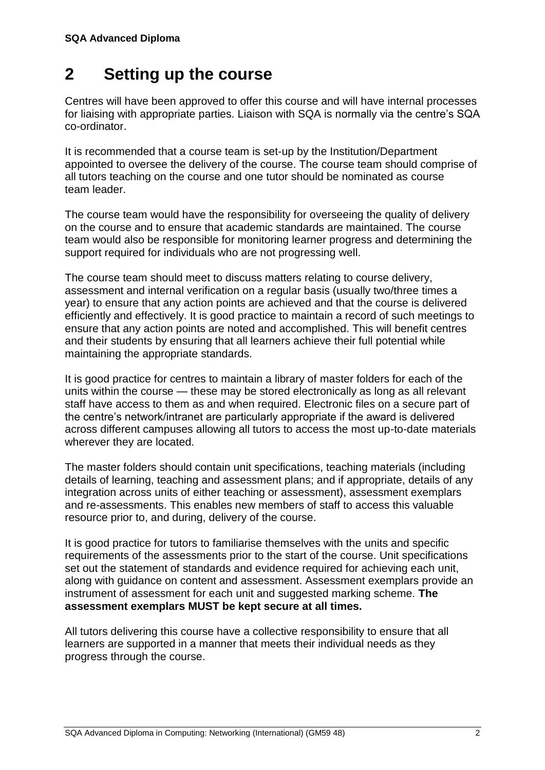## <span id="page-5-0"></span>**2 Setting up the course**

Centres will have been approved to offer this course and will have internal processes for liaising with appropriate parties. Liaison with SQA is normally via the centre's SQA co-ordinator.

It is recommended that a course team is set-up by the Institution/Department appointed to oversee the delivery of the course. The course team should comprise of all tutors teaching on the course and one tutor should be nominated as course team leader.

The course team would have the responsibility for overseeing the quality of delivery on the course and to ensure that academic standards are maintained. The course team would also be responsible for monitoring learner progress and determining the support required for individuals who are not progressing well.

The course team should meet to discuss matters relating to course delivery, assessment and internal verification on a regular basis (usually two/three times a year) to ensure that any action points are achieved and that the course is delivered efficiently and effectively. It is good practice to maintain a record of such meetings to ensure that any action points are noted and accomplished. This will benefit centres and their students by ensuring that all learners achieve their full potential while maintaining the appropriate standards.

It is good practice for centres to maintain a library of master folders for each of the units within the course — these may be stored electronically as long as all relevant staff have access to them as and when required. Electronic files on a secure part of the centre's network/intranet are particularly appropriate if the award is delivered across different campuses allowing all tutors to access the most up-to-date materials wherever they are located.

The master folders should contain unit specifications, teaching materials (including details of learning, teaching and assessment plans; and if appropriate, details of any integration across units of either teaching or assessment), assessment exemplars and re-assessments. This enables new members of staff to access this valuable resource prior to, and during, delivery of the course.

It is good practice for tutors to familiarise themselves with the units and specific requirements of the assessments prior to the start of the course. Unit specifications set out the statement of standards and evidence required for achieving each unit, along with guidance on content and assessment. Assessment exemplars provide an instrument of assessment for each unit and suggested marking scheme. **The assessment exemplars MUST be kept secure at all times.**

All tutors delivering this course have a collective responsibility to ensure that all learners are supported in a manner that meets their individual needs as they progress through the course.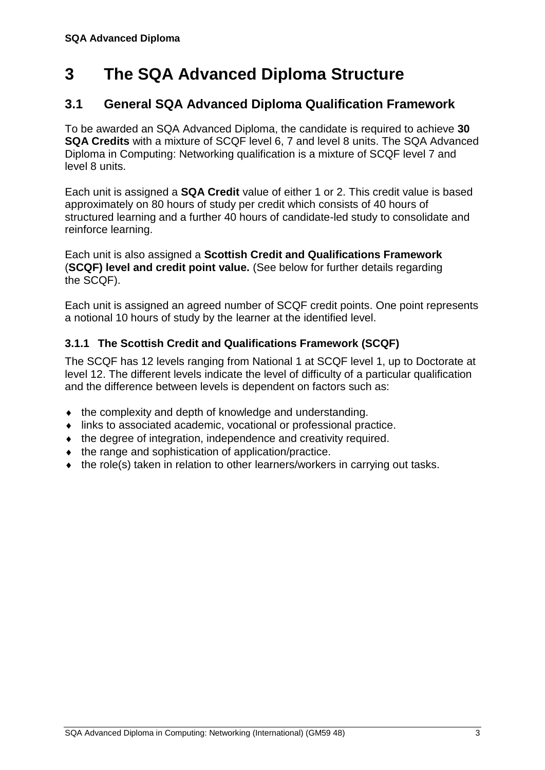## <span id="page-6-0"></span>**3 The SQA Advanced Diploma Structure**

## <span id="page-6-1"></span>**3.1 General SQA Advanced Diploma Qualification Framework**

To be awarded an SQA Advanced Diploma, the candidate is required to achieve **30 SQA Credits** with a mixture of SCQF level 6, 7 and level 8 units. The SQA Advanced Diploma in Computing: Networking qualification is a mixture of SCQF level 7 and level 8 units.

Each unit is assigned a **SQA Credit** value of either 1 or 2. This credit value is based approximately on 80 hours of study per credit which consists of 40 hours of structured learning and a further 40 hours of candidate-led study to consolidate and reinforce learning.

Each unit is also assigned a **Scottish Credit and Qualifications Framework** (**SCQF) level and credit point value.** (See below for further details regarding the SCQF).

Each unit is assigned an agreed number of SCQF credit points. One point represents a notional 10 hours of study by the learner at the identified level.

#### **3.1.1 The Scottish Credit and Qualifications Framework (SCQF)**

The SCQF has 12 levels ranging from National 1 at SCQF level 1, up to Doctorate at level 12. The different levels indicate the level of difficulty of a particular qualification and the difference between levels is dependent on factors such as:

- the complexity and depth of knowledge and understanding.
- links to associated academic, vocational or professional practice.
- $\bullet$  the degree of integration, independence and creativity required.
- $\bullet$  the range and sophistication of application/practice.
- the role(s) taken in relation to other learners/workers in carrying out tasks.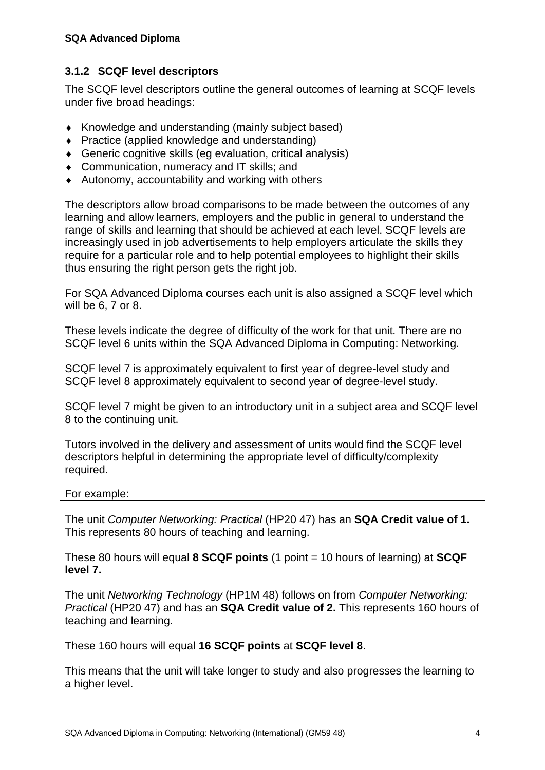#### **3.1.2 SCQF level descriptors**

The SCQF level descriptors outline the general outcomes of learning at SCQF levels under five broad headings:

- Knowledge and understanding (mainly subject based)
- ◆ Practice (applied knowledge and understanding)
- Generic cognitive skills (eg evaluation, critical analysis)
- ◆ Communication, numeracy and IT skills; and
- Autonomy, accountability and working with others

The descriptors allow broad comparisons to be made between the outcomes of any learning and allow learners, employers and the public in general to understand the range of skills and learning that should be achieved at each level. SCQF levels are increasingly used in job advertisements to help employers articulate the skills they require for a particular role and to help potential employees to highlight their skills thus ensuring the right person gets the right job.

For SQA Advanced Diploma courses each unit is also assigned a SCQF level which will be 6, 7 or 8.

These levels indicate the degree of difficulty of the work for that unit. There are no SCQF level 6 units within the SQA Advanced Diploma in Computing: Networking.

SCQF level 7 is approximately equivalent to first year of degree-level study and SCQF level 8 approximately equivalent to second year of degree-level study.

SCQF level 7 might be given to an introductory unit in a subject area and SCQF level 8 to the continuing unit.

Tutors involved in the delivery and assessment of units would find the SCQF level descriptors helpful in determining the appropriate level of difficulty/complexity required.

#### For example:

The unit *Computer Networking: Practical* (HP20 47) has an **SQA Credit value of 1.** This represents 80 hours of teaching and learning.

These 80 hours will equal **8 SCQF points** (1 point = 10 hours of learning) at **SCQF level 7.**

The unit *Networking Technology* (HP1M 48) follows on from *Computer Networking: Practical* (HP20 47) and has an **SQA Credit value of 2.** This represents 160 hours of teaching and learning.

These 160 hours will equal **16 SCQF points** at **SCQF level 8**.

This means that the unit will take longer to study and also progresses the learning to a higher level.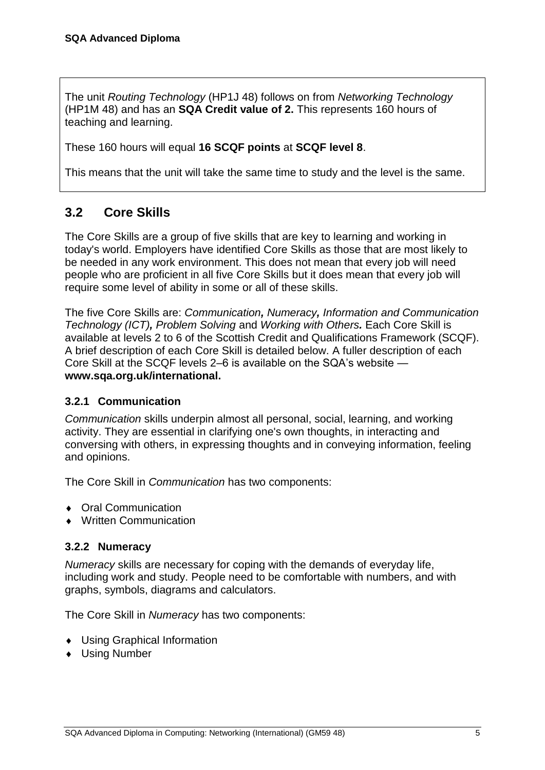The unit *Routing Technology* (HP1J 48) follows on from *Networking Technology* (HP1M 48) and has an **SQA Credit value of 2.** This represents 160 hours of teaching and learning.

These 160 hours will equal **16 SCQF points** at **SCQF level 8**.

This means that the unit will take the same time to study and the level is the same.

## <span id="page-8-0"></span>**3.2 Core Skills**

The Core Skills are a group of five skills that are key to learning and working in today's world. Employers have identified Core Skills as those that are most likely to be needed in any work environment. This does not mean that every job will need people who are proficient in all five Core Skills but it does mean that every job will require some level of ability in some or all of these skills.

The five Core Skills are: *Communication, Numeracy, Information and Communication Technology (ICT), Problem Solving* and *Working with Others.* Each Core Skill is available at levels 2 to 6 of the Scottish Credit and Qualifications Framework (SCQF). A brief description of each Core Skill is detailed below. A fuller description of each Core Skill at the SCQF levels 2–6 is available on the SQA's website **[www.sqa.org.uk/international.](http://www.sqa.org.uk/international)**

#### **3.2.1 Communication**

*Communication* skills underpin almost all personal, social, learning, and working activity. They are essential in clarifying one's own thoughts, in interacting and conversing with others, in expressing thoughts and in conveying information, feeling and opinions.

The Core Skill in *Communication* has two components:

- ◆ Oral Communication
- Written Communication

#### **3.2.2 Numeracy**

*Numeracy* skills are necessary for coping with the demands of everyday life, including work and study. People need to be comfortable with numbers, and with graphs, symbols, diagrams and calculators.

The Core Skill in *Numeracy* has two components:

- Using Graphical Information
- Using Number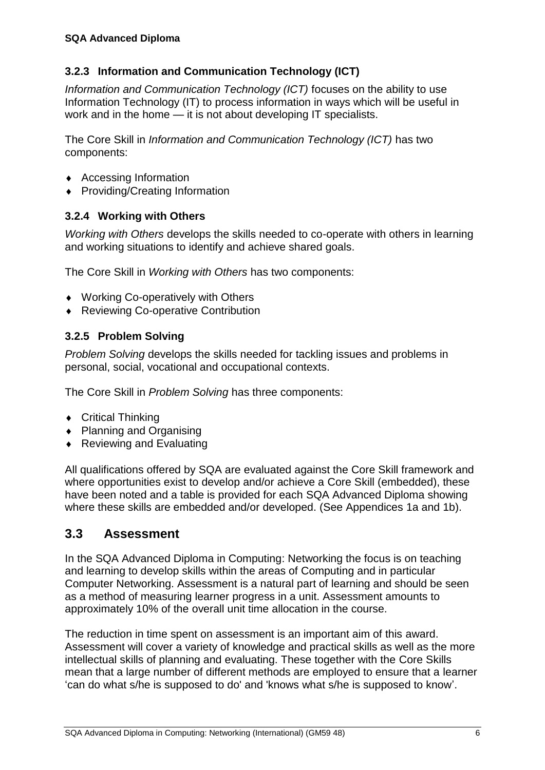### **3.2.3 Information and Communication Technology (ICT)**

*Information and Communication Technology (ICT)* focuses on the ability to use Information Technology (IT) to process information in ways which will be useful in work and in the home — it is not about developing IT specialists.

The Core Skill in *Information and Communication Technology (ICT)* has two components:

- Accessing Information
- ◆ Providing/Creating Information

#### **3.2.4 Working with Others**

*Working with Others* develops the skills needed to co-operate with others in learning and working situations to identify and achieve shared goals.

The Core Skill in *Working with Others* has two components:

- ◆ Working Co-operatively with Others
- ◆ Reviewing Co-operative Contribution

#### **3.2.5 Problem Solving**

*Problem Solving* develops the skills needed for tackling issues and problems in personal, social, vocational and occupational contexts.

The Core Skill in *Problem Solving* has three components:

- ◆ Critical Thinking
- ◆ Planning and Organising
- ◆ Reviewing and Evaluating

All qualifications offered by SQA are evaluated against the Core Skill framework and where opportunities exist to develop and/or achieve a Core Skill (embedded), these have been noted and a table is provided for each SQA Advanced Diploma showing where these skills are embedded and/or developed. (See Appendices 1a and 1b).

## <span id="page-9-0"></span>**3.3 Assessment**

In the SQA Advanced Diploma in Computing: Networking the focus is on teaching and learning to develop skills within the areas of Computing and in particular Computer Networking. Assessment is a natural part of learning and should be seen as a method of measuring learner progress in a unit. Assessment amounts to approximately 10% of the overall unit time allocation in the course.

The reduction in time spent on assessment is an important aim of this award. Assessment will cover a variety of knowledge and practical skills as well as the more intellectual skills of planning and evaluating. These together with the Core Skills mean that a large number of different methods are employed to ensure that a learner 'can do what s/he is supposed to do' and 'knows what s/he is supposed to know'.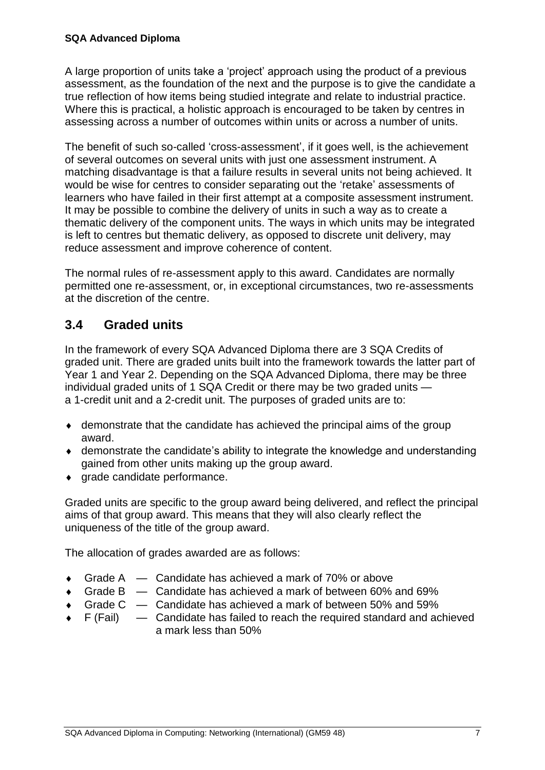A large proportion of units take a 'project' approach using the product of a previous assessment, as the foundation of the next and the purpose is to give the candidate a true reflection of how items being studied integrate and relate to industrial practice. Where this is practical, a holistic approach is encouraged to be taken by centres in assessing across a number of outcomes within units or across a number of units.

The benefit of such so-called 'cross-assessment', if it goes well, is the achievement of several outcomes on several units with just one assessment instrument. A matching disadvantage is that a failure results in several units not being achieved. It would be wise for centres to consider separating out the 'retake' assessments of learners who have failed in their first attempt at a composite assessment instrument. It may be possible to combine the delivery of units in such a way as to create a thematic delivery of the component units. The ways in which units may be integrated is left to centres but thematic delivery, as opposed to discrete unit delivery, may reduce assessment and improve coherence of content.

The normal rules of re-assessment apply to this award. Candidates are normally permitted one re-assessment, or, in exceptional circumstances, two re-assessments at the discretion of the centre.

## <span id="page-10-0"></span>**3.4 Graded units**

In the framework of every SQA Advanced Diploma there are 3 SQA Credits of graded unit. There are graded units built into the framework towards the latter part of Year 1 and Year 2. Depending on the SQA Advanced Diploma, there may be three individual graded units of 1 SQA Credit or there may be two graded units a 1-credit unit and a 2-credit unit. The purposes of graded units are to:

- demonstrate that the candidate has achieved the principal aims of the group award.
- demonstrate the candidate's ability to integrate the knowledge and understanding gained from other units making up the group award.
- $\bullet$  arade candidate performance.

Graded units are specific to the group award being delivered, and reflect the principal aims of that group award. This means that they will also clearly reflect the uniqueness of the title of the group award.

The allocation of grades awarded are as follows:

- Grade A Candidate has achieved a mark of 70% or above
- Grade B Candidate has achieved a mark of between 60% and 69%
- Grade C Candidate has achieved a mark of between 50% and 59%
- $\bullet$  F (Fail)  $\phantom{0}$  Candidate has failed to reach the required standard and achieved a mark less than 50%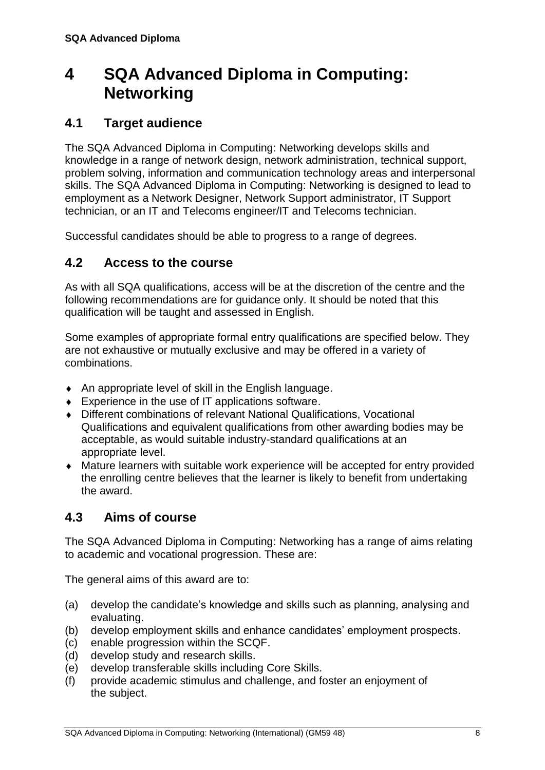## <span id="page-11-0"></span>**4 SQA Advanced Diploma in Computing: Networking**

## <span id="page-11-1"></span>**4.1 Target audience**

The SQA Advanced Diploma in Computing: Networking develops skills and knowledge in a range of network design, network administration, technical support, problem solving, information and communication technology areas and interpersonal skills. The SQA Advanced Diploma in Computing: Networking is designed to lead to employment as a Network Designer, Network Support administrator, IT Support technician, or an IT and Telecoms engineer/IT and Telecoms technician.

<span id="page-11-2"></span>Successful candidates should be able to progress to a range of degrees.

## **4.2 Access to the course**

As with all SQA qualifications, access will be at the discretion of the centre and the following recommendations are for guidance only. It should be noted that this qualification will be taught and assessed in English.

Some examples of appropriate formal entry qualifications are specified below. They are not exhaustive or mutually exclusive and may be offered in a variety of combinations.

- An appropriate level of skill in the English language.
- ◆ Experience in the use of IT applications software.
- Different combinations of relevant National Qualifications, Vocational Qualifications and equivalent qualifications from other awarding bodies may be acceptable, as would suitable industry-standard qualifications at an appropriate level.
- Mature learners with suitable work experience will be accepted for entry provided the enrolling centre believes that the learner is likely to benefit from undertaking the award.

## <span id="page-11-3"></span>**4.3 Aims of course**

The SQA Advanced Diploma in Computing: Networking has a range of aims relating to academic and vocational progression. These are:

The general aims of this award are to:

- (a) develop the candidate's knowledge and skills such as planning, analysing and evaluating.
- (b) develop employment skills and enhance candidates' employment prospects.
- (c) enable progression within the SCQF.
- (d) develop study and research skills.
- (e) develop transferable skills including Core Skills.
- (f) provide academic stimulus and challenge, and foster an enjoyment of the subject.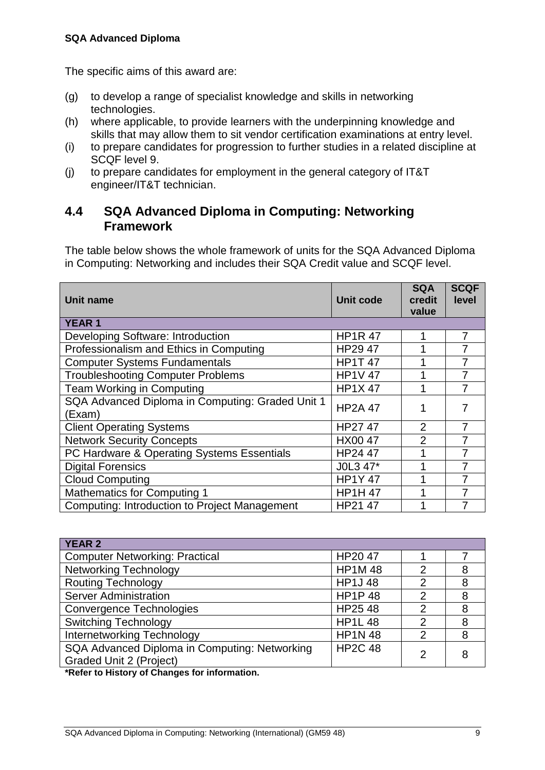The specific aims of this award are:

- (g) to develop a range of specialist knowledge and skills in networking technologies.
- (h) where applicable, to provide learners with the underpinning knowledge and skills that may allow them to sit vendor certification examinations at entry level.
- (i) to prepare candidates for progression to further studies in a related discipline at SCQF level 9.
- (j) to prepare candidates for employment in the general category of IT&T engineer/IT&T technician.

### <span id="page-12-0"></span>**4.4 SQA Advanced Diploma in Computing: Networking Framework**

The table below shows the whole framework of units for the SQA Advanced Diploma in Computing: Networking and includes their SQA Credit value and SCQF level.

| Unit name                                                  | Unit code      | <b>SQA</b><br>credit<br>value | <b>SCQF</b><br>level |
|------------------------------------------------------------|----------------|-------------------------------|----------------------|
| <b>YEAR1</b>                                               |                |                               |                      |
| Developing Software: Introduction                          | <b>HP1R 47</b> |                               | 7                    |
| Professionalism and Ethics in Computing                    | HP29 47        |                               |                      |
| <b>Computer Systems Fundamentals</b>                       | <b>HP1T 47</b> |                               |                      |
| <b>Troubleshooting Computer Problems</b>                   | <b>HP1V 47</b> |                               |                      |
| Team Working in Computing                                  | <b>HP1X47</b>  |                               |                      |
| SQA Advanced Diploma in Computing: Graded Unit 1<br>(Exam) | <b>HP2A 47</b> |                               |                      |
| <b>Client Operating Systems</b>                            | HP27 47        | $\overline{2}$                | 7                    |
| <b>Network Security Concepts</b>                           | <b>HX00 47</b> | $\overline{2}$                | 7                    |
| PC Hardware & Operating Systems Essentials                 | HP24 47        |                               |                      |
| <b>Digital Forensics</b>                                   | J0L3 47*       |                               |                      |
| <b>Cloud Computing</b>                                     | <b>HP1Y47</b>  |                               |                      |
| <b>Mathematics for Computing 1</b>                         | <b>HP1H 47</b> |                               |                      |
| <b>Computing: Introduction to Project Management</b>       | HP21 47        |                               |                      |

| HP2047         |                |                |
|----------------|----------------|----------------|
| <b>HP1M48</b>  | $\overline{2}$ | 8              |
| <b>HP1J48</b>  | $\overline{2}$ | 8              |
| <b>HP1P48</b>  | $\overline{2}$ | 8              |
| HP2548         | $\overline{2}$ | 8              |
| <b>HP1L48</b>  | 2              | 8              |
| <b>HP1N 48</b> | $\overline{2}$ | 8              |
| <b>HP2C 48</b> |                | 8              |
|                |                |                |
|                |                | $\overline{2}$ |

**\*Refer to History of Changes for information.**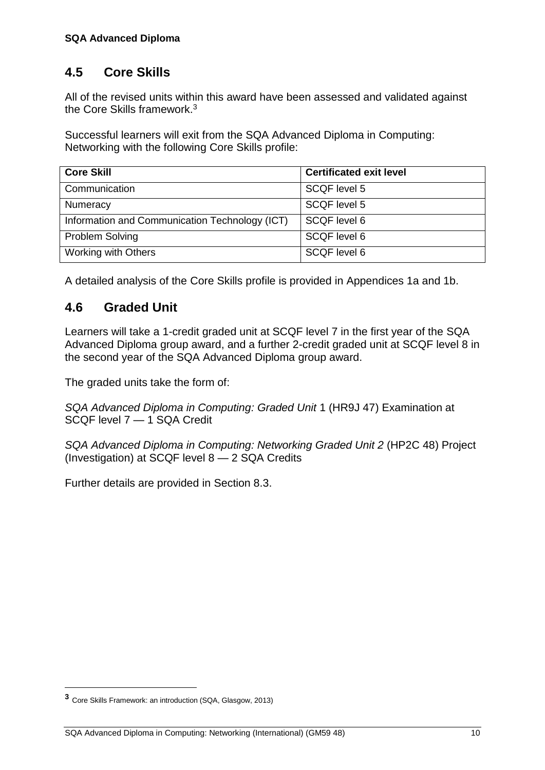## <span id="page-13-0"></span>**4.5 Core Skills**

All of the revised units within this award have been assessed and validated against the Core Skills framework.<sup>3</sup>

Successful learners will exit from the SQA Advanced Diploma in Computing: Networking with the following Core Skills profile:

| <b>Core Skill</b>                              | <b>Certificated exit level</b> |
|------------------------------------------------|--------------------------------|
| Communication                                  | SCQF level 5                   |
| Numeracy                                       | SCQF level 5                   |
| Information and Communication Technology (ICT) | SCQF level 6                   |
| <b>Problem Solving</b>                         | SCQF level 6                   |
| Working with Others                            | SCQF level 6                   |

<span id="page-13-1"></span>A detailed analysis of the Core Skills profile is provided in Appendices 1a and 1b.

## **4.6 Graded Unit**

Learners will take a 1-credit graded unit at SCQF level 7 in the first year of the SQA Advanced Diploma group award, and a further 2-credit graded unit at SCQF level 8 in the second year of the SQA Advanced Diploma group award.

The graded units take the form of:

*SQA Advanced Diploma in Computing: Graded Unit* 1 (HR9J 47) Examination at SCQF level 7 — 1 SQA Credit

*SQA Advanced Diploma in Computing: Networking Graded Unit 2* (HP2C 48) Project (Investigation) at SCQF level 8 — 2 SQA Credits

Further details are provided in Section 8.3.

 $\overline{a}$ 

**<sup>3</sup>** Core Skills Framework: an introduction (SQA, Glasgow, 2013)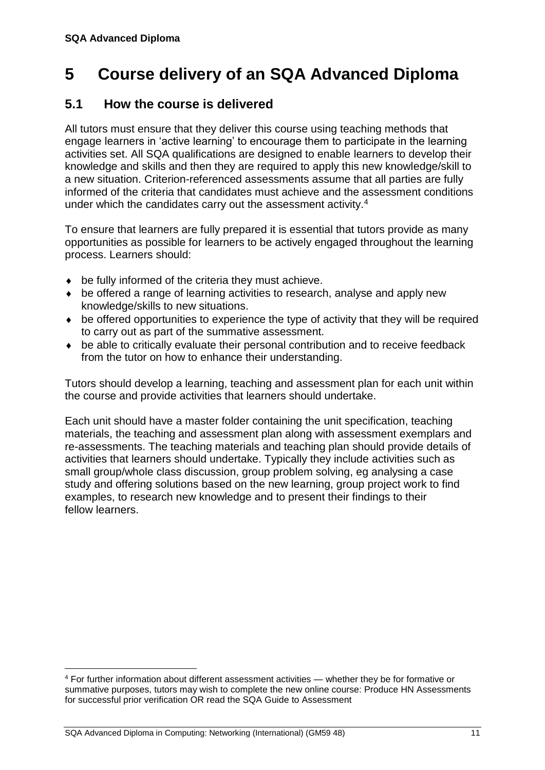## <span id="page-14-0"></span>**5 Course delivery of an SQA Advanced Diploma**

## <span id="page-14-1"></span>**5.1 How the course is delivered**

All tutors must ensure that they deliver this course using teaching methods that engage learners in 'active learning' to encourage them to participate in the learning activities set. All SQA qualifications are designed to enable learners to develop their knowledge and skills and then they are required to apply this new knowledge/skill to a new situation. Criterion-referenced assessments assume that all parties are fully informed of the criteria that candidates must achieve and the assessment conditions under which the candidates carry out the assessment activity.<sup>4</sup>

To ensure that learners are fully prepared it is essential that tutors provide as many opportunities as possible for learners to be actively engaged throughout the learning process. Learners should:

- be fully informed of the criteria they must achieve.
- be offered a range of learning activities to research, analyse and apply new knowledge/skills to new situations.
- be offered opportunities to experience the type of activity that they will be required to carry out as part of the summative assessment.
- be able to critically evaluate their personal contribution and to receive feedback from the tutor on how to enhance their understanding.

Tutors should develop a learning, teaching and assessment plan for each unit within the course and provide activities that learners should undertake.

Each unit should have a master folder containing the unit specification, teaching materials, the teaching and assessment plan along with assessment exemplars and re-assessments. The teaching materials and teaching plan should provide details of activities that learners should undertake. Typically they include activities such as small group/whole class discussion, group problem solving, eg analysing a case study and offering solutions based on the new learning, group project work to find examples, to research new knowledge and to present their findings to their fellow learners.

 $\overline{a}$ 

<sup>4</sup> For further information about different assessment activities — whether they be for formative or summative purposes, tutors may wish to complete the new online course: Produce HN Assessments for successful prior verification OR read the SQA Guide to Assessment

SQA Advanced Diploma in Computing: Networking (International) (GM59 48) 11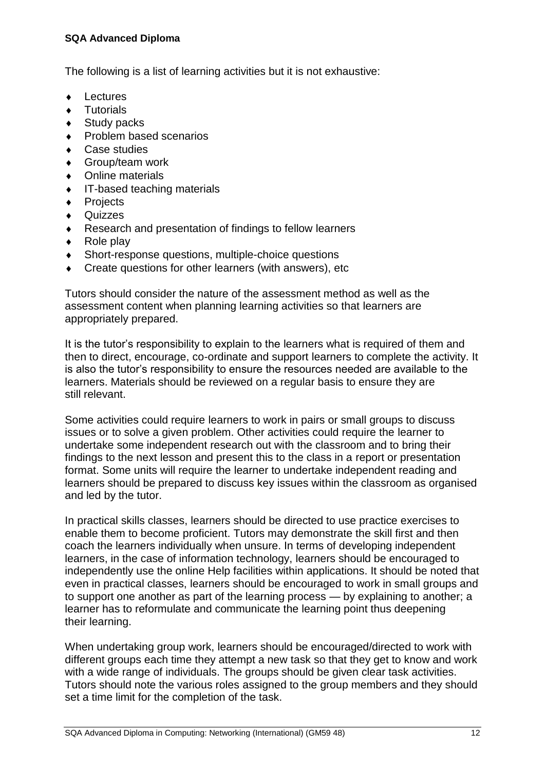#### **SQA Advanced Diploma**

The following is a list of learning activities but it is not exhaustive:

- **Lectures**
- ◆ Tutorials
- Study packs
- Problem based scenarios
- ◆ Case studies
- Group/team work
- Online materials
- IT-based teaching materials
- ◆ Projects
- **Quizzes**
- Research and presentation of findings to fellow learners
- $\leftarrow$  Role play
- Short-response questions, multiple-choice questions
- Create questions for other learners (with answers), etc

Tutors should consider the nature of the assessment method as well as the assessment content when planning learning activities so that learners are appropriately prepared.

It is the tutor's responsibility to explain to the learners what is required of them and then to direct, encourage, co-ordinate and support learners to complete the activity. It is also the tutor's responsibility to ensure the resources needed are available to the learners. Materials should be reviewed on a regular basis to ensure they are still relevant.

Some activities could require learners to work in pairs or small groups to discuss issues or to solve a given problem. Other activities could require the learner to undertake some independent research out with the classroom and to bring their findings to the next lesson and present this to the class in a report or presentation format. Some units will require the learner to undertake independent reading and learners should be prepared to discuss key issues within the classroom as organised and led by the tutor.

In practical skills classes, learners should be directed to use practice exercises to enable them to become proficient. Tutors may demonstrate the skill first and then coach the learners individually when unsure. In terms of developing independent learners, in the case of information technology, learners should be encouraged to independently use the online Help facilities within applications. It should be noted that even in practical classes, learners should be encouraged to work in small groups and to support one another as part of the learning process — by explaining to another; a learner has to reformulate and communicate the learning point thus deepening their learning.

When undertaking group work, learners should be encouraged/directed to work with different groups each time they attempt a new task so that they get to know and work with a wide range of individuals. The groups should be given clear task activities. Tutors should note the various roles assigned to the group members and they should set a time limit for the completion of the task.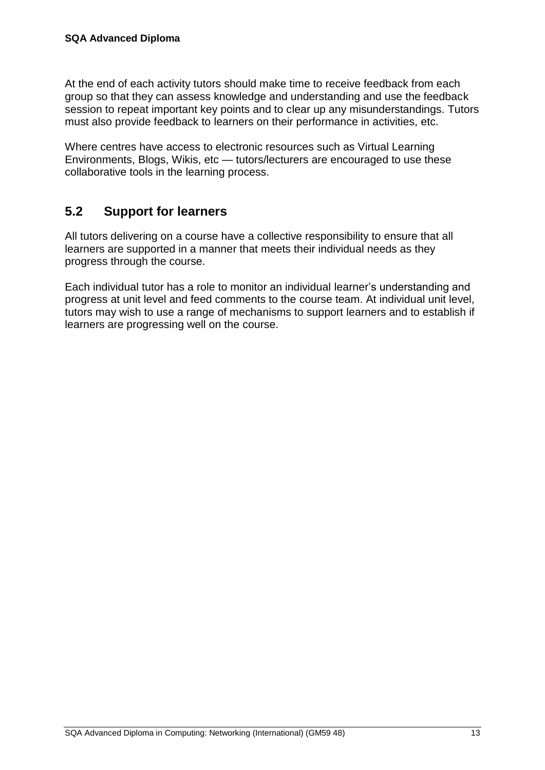At the end of each activity tutors should make time to receive feedback from each group so that they can assess knowledge and understanding and use the feedback session to repeat important key points and to clear up any misunderstandings. Tutors must also provide feedback to learners on their performance in activities, etc.

Where centres have access to electronic resources such as Virtual Learning Environments, Blogs, Wikis, etc — tutors/lecturers are encouraged to use these collaborative tools in the learning process.

## <span id="page-16-0"></span>**5.2 Support for learners**

All tutors delivering on a course have a collective responsibility to ensure that all learners are supported in a manner that meets their individual needs as they progress through the course.

Each individual tutor has a role to monitor an individual learner's understanding and progress at unit level and feed comments to the course team. At individual unit level, tutors may wish to use a range of mechanisms to support learners and to establish if learners are progressing well on the course.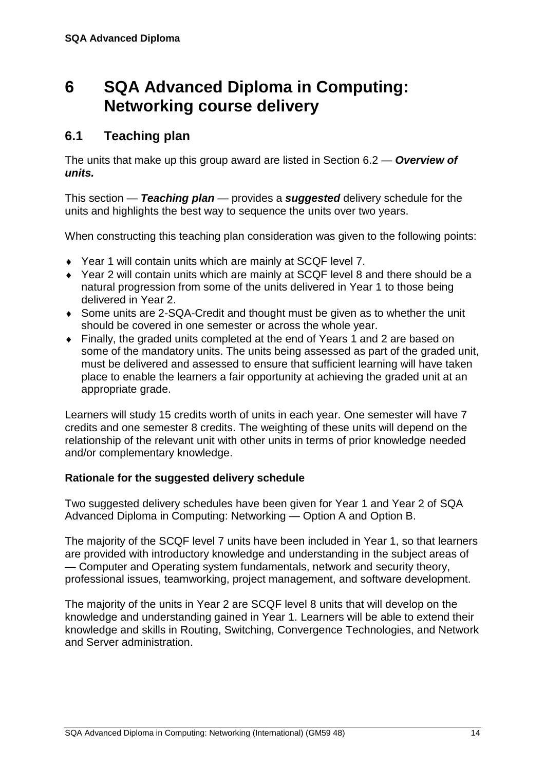## <span id="page-17-0"></span>**6 SQA Advanced Diploma in Computing: Networking course delivery**

## <span id="page-17-1"></span>**6.1 Teaching plan**

The units that make up this group award are listed in Section 6.2 — *Overview of units.*

This section — *Teaching plan* — provides a *suggested* delivery schedule for the units and highlights the best way to sequence the units over two years.

When constructing this teaching plan consideration was given to the following points:

- Year 1 will contain units which are mainly at SCQF level 7.
- Year 2 will contain units which are mainly at SCQF level 8 and there should be a natural progression from some of the units delivered in Year 1 to those being delivered in Year 2.
- Some units are 2-SQA-Credit and thought must be given as to whether the unit should be covered in one semester or across the whole year.
- Finally, the graded units completed at the end of Years 1 and 2 are based on some of the mandatory units. The units being assessed as part of the graded unit, must be delivered and assessed to ensure that sufficient learning will have taken place to enable the learners a fair opportunity at achieving the graded unit at an appropriate grade.

Learners will study 15 credits worth of units in each year. One semester will have 7 credits and one semester 8 credits. The weighting of these units will depend on the relationship of the relevant unit with other units in terms of prior knowledge needed and/or complementary knowledge.

#### **Rationale for the suggested delivery schedule**

Two suggested delivery schedules have been given for Year 1 and Year 2 of SQA Advanced Diploma in Computing: Networking — Option A and Option B.

The majority of the SCQF level 7 units have been included in Year 1, so that learners are provided with introductory knowledge and understanding in the subject areas of — Computer and Operating system fundamentals, network and security theory, professional issues, teamworking, project management, and software development.

The majority of the units in Year 2 are SCQF level 8 units that will develop on the knowledge and understanding gained in Year 1. Learners will be able to extend their knowledge and skills in Routing, Switching, Convergence Technologies, and Network and Server administration.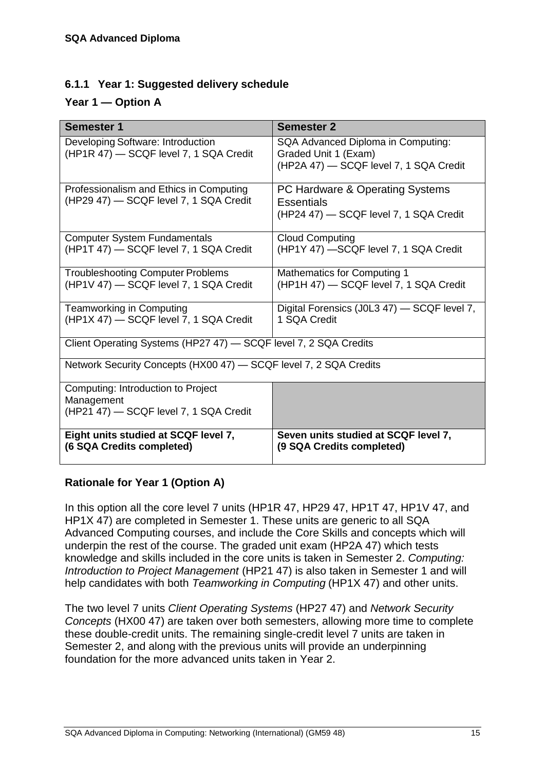#### **6.1.1 Year 1: Suggested delivery schedule**

#### **Year 1 — Option A**

| <b>Semester 1</b>                                                                          | <b>Semester 2</b>                                                                                    |  |
|--------------------------------------------------------------------------------------------|------------------------------------------------------------------------------------------------------|--|
| Developing Software: Introduction<br>(HP1R 47) - SCQF level 7, 1 SQA Credit                | SQA Advanced Diploma in Computing:<br>Graded Unit 1 (Exam)<br>(HP2A 47) - SCQF level 7, 1 SQA Credit |  |
| Professionalism and Ethics in Computing<br>(HP29 47) - SCQF level 7, 1 SQA Credit          | PC Hardware & Operating Systems<br><b>Essentials</b><br>(HP24 47) - SCQF level 7, 1 SQA Credit       |  |
| <b>Computer System Fundamentals</b><br>(HP1T 47) - SCQF level 7, 1 SQA Credit              | <b>Cloud Computing</b><br>(HP1Y 47) -SCQF level 7, 1 SQA Credit                                      |  |
| <b>Troubleshooting Computer Problems</b><br>(HP1V 47) - SCQF level 7, 1 SQA Credit         | <b>Mathematics for Computing 1</b><br>(HP1H 47) - SCQF level 7, 1 SQA Credit                         |  |
| <b>Teamworking in Computing</b><br>(HP1X 47) - SCQF level 7, 1 SQA Credit                  | Digital Forensics (J0L3 47) - SCQF level 7,<br>1 SQA Credit                                          |  |
| Client Operating Systems (HP27 47) - SCQF level 7, 2 SQA Credits                           |                                                                                                      |  |
| Network Security Concepts (HX00 47) - SCQF level 7, 2 SQA Credits                          |                                                                                                      |  |
| Computing: Introduction to Project<br>Management<br>(HP21 47) - SCQF level 7, 1 SQA Credit |                                                                                                      |  |
| Eight units studied at SCQF level 7,<br>(6 SQA Credits completed)                          | Seven units studied at SCQF level 7,<br>(9 SQA Credits completed)                                    |  |

#### **Rationale for Year 1 (Option A)**

In this option all the core level 7 units (HP1R 47, HP29 47, HP1T 47, HP1V 47, and HP1X 47) are completed in Semester 1. These units are generic to all SQA Advanced Computing courses, and include the Core Skills and concepts which will underpin the rest of the course. The graded unit exam (HP2A 47) which tests knowledge and skills included in the core units is taken in Semester 2. *Computing: Introduction to Project Management* (HP21 47) is also taken in Semester 1 and will help candidates with both *Teamworking in Computing* (HP1X 47) and other units.

The two level 7 units *Client Operating Systems* (HP27 47) and *Network Security Concepts* (HX00 47) are taken over both semesters, allowing more time to complete these double-credit units. The remaining single-credit level 7 units are taken in Semester 2, and along with the previous units will provide an underpinning foundation for the more advanced units taken in Year 2.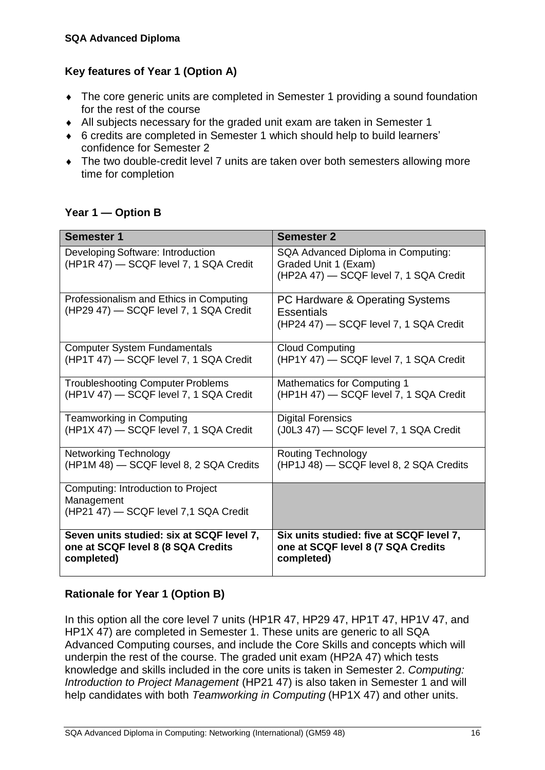#### **Key features of Year 1 (Option A)**

- The core generic units are completed in Semester 1 providing a sound foundation for the rest of the course
- All subjects necessary for the graded unit exam are taken in Semester 1
- 6 credits are completed in Semester 1 which should help to build learners' confidence for Semester 2
- The two double-credit level 7 units are taken over both semesters allowing more time for completion

#### **Year 1 — Option B**

| <b>Semester 1</b>                                                                         | <b>Semester 2</b>                                                                                    |
|-------------------------------------------------------------------------------------------|------------------------------------------------------------------------------------------------------|
| Developing Software: Introduction<br>(HP1R 47) - SCQF level 7, 1 SQA Credit               | SQA Advanced Diploma in Computing:<br>Graded Unit 1 (Exam)<br>(HP2A 47) - SCQF level 7, 1 SQA Credit |
| Professionalism and Ethics in Computing<br>(HP29 47) - SCQF level 7, 1 SQA Credit         | PC Hardware & Operating Systems<br><b>Essentials</b><br>(HP24 47) - SCQF level 7, 1 SQA Credit       |
| <b>Computer System Fundamentals</b>                                                       | <b>Cloud Computing</b>                                                                               |
| (HP1T 47) - SCQF level 7, 1 SQA Credit                                                    | (HP1Y 47) - SCQF level 7, 1 SQA Credit                                                               |
| <b>Troubleshooting Computer Problems</b>                                                  | <b>Mathematics for Computing 1</b>                                                                   |
| (HP1V 47) - SCQF level 7, 1 SQA Credit                                                    | (HP1H 47) - SCQF level 7, 1 SQA Credit                                                               |
| Teamworking in Computing                                                                  | <b>Digital Forensics</b>                                                                             |
| (HP1X 47) - SCQF level 7, 1 SQA Credit                                                    | (J0L3 47) - SCQF level 7, 1 SQA Credit                                                               |
| <b>Networking Technology</b>                                                              | <b>Routing Technology</b>                                                                            |
| (HP1M 48) - SCQF level 8, 2 SQA Credits                                                   | (HP1J 48) - SCQF level 8, 2 SQA Credits                                                              |
| Computing: Introduction to Project<br>Management<br>(HP21 47) - SCQF level 7,1 SQA Credit |                                                                                                      |
| Seven units studied: six at SCQF level 7,                                                 | Six units studied: five at SCQF level 7,                                                             |
| one at SCQF level 8 (8 SQA Credits                                                        | one at SCQF level 8 (7 SQA Credits                                                                   |
| completed)                                                                                | completed)                                                                                           |

#### **Rationale for Year 1 (Option B)**

In this option all the core level 7 units (HP1R 47, HP29 47, HP1T 47, HP1V 47, and HP1X 47) are completed in Semester 1. These units are generic to all SQA Advanced Computing courses, and include the Core Skills and concepts which will underpin the rest of the course. The graded unit exam (HP2A 47) which tests knowledge and skills included in the core units is taken in Semester 2. *Computing: Introduction to Project Management* (HP21 47) is also taken in Semester 1 and will help candidates with both *Teamworking in Computing* (HP1X 47) and other units.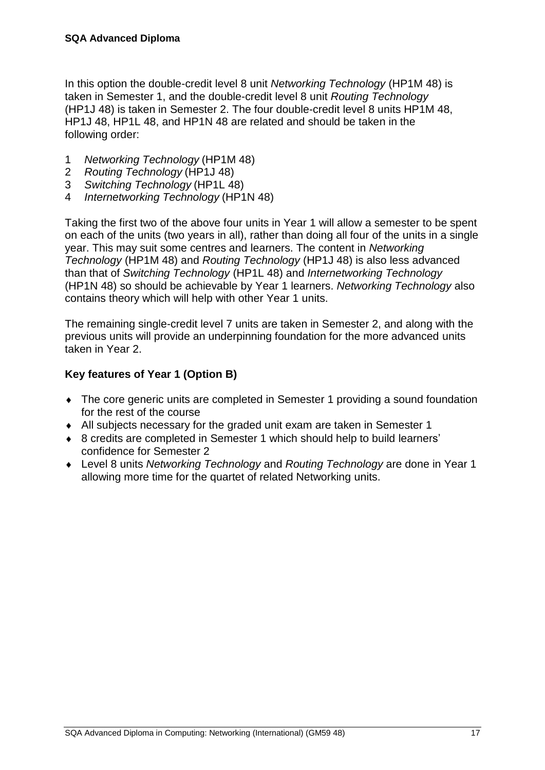In this option the double-credit level 8 unit *Networking Technology* (HP1M 48) is taken in Semester 1, and the double-credit level 8 unit *Routing Technology* (HP1J 48) is taken in Semester 2. The four double-credit level 8 units HP1M 48, HP1J 48, HP1L 48, and HP1N 48 are related and should be taken in the following order:

- 1 *Networking Technology* (HP1M 48)
- 2 *Routing Technology* (HP1J 48)
- 3 *Switching Technology* (HP1L 48)
- 4 *Internetworking Technology* (HP1N 48)

Taking the first two of the above four units in Year 1 will allow a semester to be spent on each of the units (two years in all), rather than doing all four of the units in a single year. This may suit some centres and learners. The content in *Networking Technology* (HP1M 48) and *Routing Technology* (HP1J 48) is also less advanced than that of *Switching Technology* (HP1L 48) and *Internetworking Technology* (HP1N 48) so should be achievable by Year 1 learners. *Networking Technology* also contains theory which will help with other Year 1 units.

The remaining single-credit level 7 units are taken in Semester 2, and along with the previous units will provide an underpinning foundation for the more advanced units taken in Year 2.

#### **Key features of Year 1 (Option B)**

- The core generic units are completed in Semester 1 providing a sound foundation for the rest of the course
- All subjects necessary for the graded unit exam are taken in Semester 1
- ◆ 8 credits are completed in Semester 1 which should help to build learners' confidence for Semester 2
- Level 8 units *Networking Technology* and *Routing Technology* are done in Year 1 allowing more time for the quartet of related Networking units.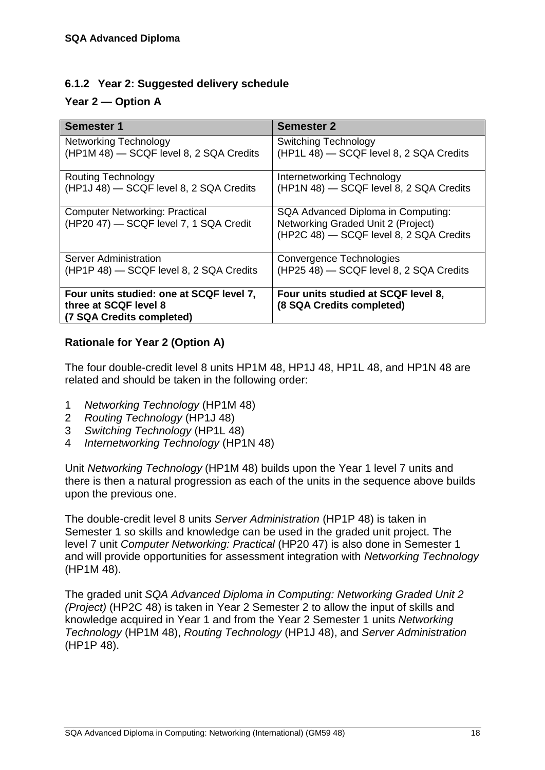#### **6.1.2 Year 2: Suggested delivery schedule**

#### **Year 2 — Option A**

| <b>Semester 1</b>                                                                              | <b>Semester 2</b>                                                                                                   |
|------------------------------------------------------------------------------------------------|---------------------------------------------------------------------------------------------------------------------|
| <b>Networking Technology</b>                                                                   | <b>Switching Technology</b>                                                                                         |
| (HP1M 48) - SCQF level 8, 2 SQA Credits                                                        | (HP1L 48) - SCQF level 8, 2 SQA Credits                                                                             |
| Routing Technology                                                                             | Internetworking Technology                                                                                          |
| (HP1J 48) - SCQF level 8, 2 SQA Credits                                                        | (HP1N 48) - SCQF level 8, 2 SQA Credits                                                                             |
| <b>Computer Networking: Practical</b><br>(HP20 47) - SCQF level 7, 1 SQA Credit                | SQA Advanced Diploma in Computing:<br>Networking Graded Unit 2 (Project)<br>(HP2C 48) - SCQF level 8, 2 SQA Credits |
| Server Administration                                                                          | <b>Convergence Technologies</b>                                                                                     |
| (HP1P 48) - SCQF level 8, 2 SQA Credits                                                        | (HP25 48) - SCQF level 8, 2 SQA Credits                                                                             |
| Four units studied: one at SCQF level 7,<br>three at SCQF level 8<br>(7 SQA Credits completed) | Four units studied at SCQF level 8,<br>(8 SQA Credits completed)                                                    |

#### **Rationale for Year 2 (Option A)**

The four double-credit level 8 units HP1M 48, HP1J 48, HP1L 48, and HP1N 48 are related and should be taken in the following order:

- 1 *Networking Technology* (HP1M 48)
- 2 *Routing Technology* (HP1J 48)
- 3 *Switching Technology* (HP1L 48)
- 4 *Internetworking Technology* (HP1N 48)

Unit *Networking Technology* (HP1M 48) builds upon the Year 1 level 7 units and there is then a natural progression as each of the units in the sequence above builds upon the previous one.

The double-credit level 8 units *Server Administration* (HP1P 48) is taken in Semester 1 so skills and knowledge can be used in the graded unit project. The level 7 unit *Computer Networking: Practical* (HP20 47) is also done in Semester 1 and will provide opportunities for assessment integration with *Networking Technology* (HP1M 48).

The graded unit *SQA Advanced Diploma in Computing: Networking Graded Unit 2 (Project)* (HP2C 48) is taken in Year 2 Semester 2 to allow the input of skills and knowledge acquired in Year 1 and from the Year 2 Semester 1 units *Networking Technology* (HP1M 48), *Routing Technology* (HP1J 48), and *Server Administration* (HP1P 48).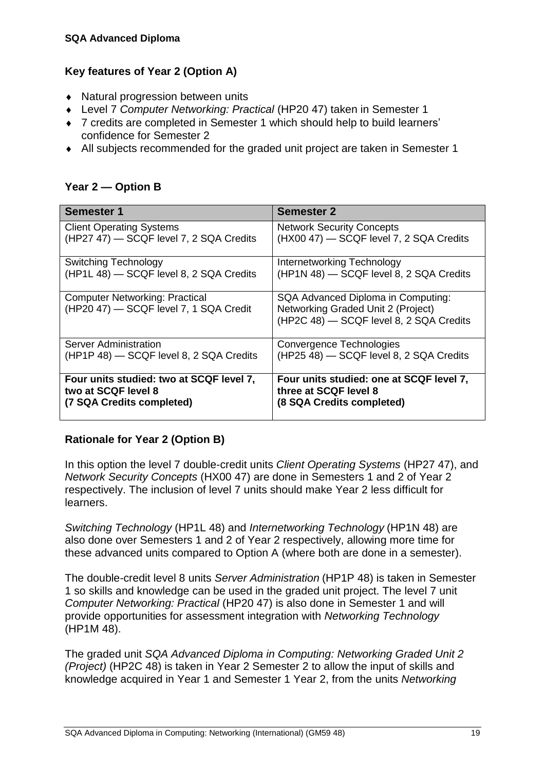#### **Key features of Year 2 (Option A)**

- Natural progression between units
- Level 7 *Computer Networking: Practical* (HP20 47) taken in Semester 1
- 7 credits are completed in Semester 1 which should help to build learners' confidence for Semester 2
- All subjects recommended for the graded unit project are taken in Semester 1

#### **Year 2 — Option B**

| <b>Semester 1</b>                                                               | <b>Semester 2</b>                                                                                                   |
|---------------------------------------------------------------------------------|---------------------------------------------------------------------------------------------------------------------|
| <b>Client Operating Systems</b>                                                 | <b>Network Security Concepts</b>                                                                                    |
| (HP27 47) - SCQF level 7, 2 SQA Credits                                         | (HX00 47) - SCQF level 7, 2 SQA Credits                                                                             |
| Switching Technology                                                            | Internetworking Technology                                                                                          |
| (HP1L 48) - SCQF level 8, 2 SQA Credits                                         | (HP1N 48) - SCQF level 8, 2 SQA Credits                                                                             |
| <b>Computer Networking: Practical</b><br>(HP20 47) - SCQF level 7, 1 SQA Credit | SQA Advanced Diploma in Computing:<br>Networking Graded Unit 2 (Project)<br>(HP2C 48) - SCQF level 8, 2 SQA Credits |
| <b>Server Administration</b>                                                    | Convergence Technologies                                                                                            |
| (HP1P 48) - SCQF level 8, 2 SQA Credits                                         | (HP25 48) - SCQF level 8, 2 SQA Credits                                                                             |
| Four units studied: two at SCQF level 7,                                        | Four units studied: one at SCQF level 7,                                                                            |
| two at SCQF level 8                                                             | three at SCQF level 8                                                                                               |
| (7 SQA Credits completed)                                                       | (8 SQA Credits completed)                                                                                           |

#### **Rationale for Year 2 (Option B)**

In this option the level 7 double-credit units *Client Operating Systems* (HP27 47), and *Network Security Concepts* (HX00 47) are done in Semesters 1 and 2 of Year 2 respectively. The inclusion of level 7 units should make Year 2 less difficult for learners.

*Switching Technology* (HP1L 48) and *Internetworking Technology* (HP1N 48) are also done over Semesters 1 and 2 of Year 2 respectively, allowing more time for these advanced units compared to Option A (where both are done in a semester).

The double-credit level 8 units *Server Administration* (HP1P 48) is taken in Semester 1 so skills and knowledge can be used in the graded unit project. The level 7 unit *Computer Networking: Practical* (HP20 47) is also done in Semester 1 and will provide opportunities for assessment integration with *Networking Technology* (HP1M 48).

The graded unit *SQA Advanced Diploma in Computing: Networking Graded Unit 2 (Project)* (HP2C 48) is taken in Year 2 Semester 2 to allow the input of skills and knowledge acquired in Year 1 and Semester 1 Year 2, from the units *Networking*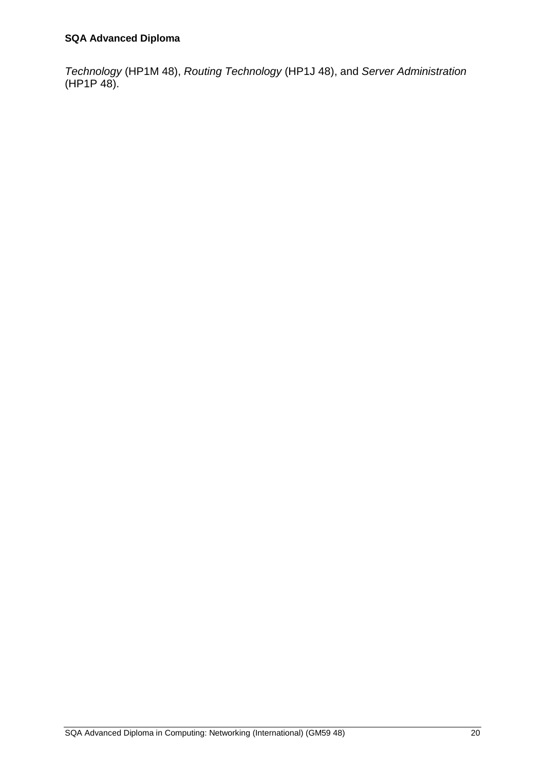*Technology* (HP1M 48), *Routing Technology* (HP1J 48), and *Server Administration* (HP1P 48).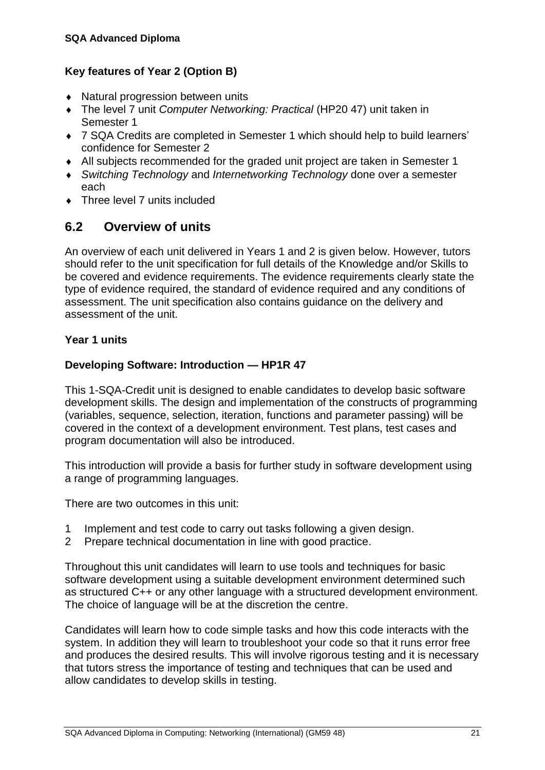#### **Key features of Year 2 (Option B)**

- Natural progression between units
- The level 7 unit *Computer Networking: Practical* (HP20 47) unit taken in Semester 1
- 7 SQA Credits are completed in Semester 1 which should help to build learners' confidence for Semester 2
- All subjects recommended for the graded unit project are taken in Semester 1
- *Switching Technology* and *Internetworking Technology* done over a semester each
- Three level 7 units included

### <span id="page-24-0"></span>**6.2 Overview of units**

An overview of each unit delivered in Years 1 and 2 is given below. However, tutors should refer to the unit specification for full details of the Knowledge and/or Skills to be covered and evidence requirements. The evidence requirements clearly state the type of evidence required, the standard of evidence required and any conditions of assessment. The unit specification also contains guidance on the delivery and assessment of the unit.

#### **Year 1 units**

#### **Developing Software: Introduction — HP1R 47**

This 1-SQA-Credit unit is designed to enable candidates to develop basic software development skills. The design and implementation of the constructs of programming (variables, sequence, selection, iteration, functions and parameter passing) will be covered in the context of a development environment. Test plans, test cases and program documentation will also be introduced.

This introduction will provide a basis for further study in software development using a range of programming languages.

There are two outcomes in this unit:

- 1 Implement and test code to carry out tasks following a given design.
- 2 Prepare technical documentation in line with good practice.

Throughout this unit candidates will learn to use tools and techniques for basic software development using a suitable development environment determined such as structured C++ or any other language with a structured development environment. The choice of language will be at the discretion the centre.

Candidates will learn how to code simple tasks and how this code interacts with the system. In addition they will learn to troubleshoot your code so that it runs error free and produces the desired results. This will involve rigorous testing and it is necessary that tutors stress the importance of testing and techniques that can be used and allow candidates to develop skills in testing.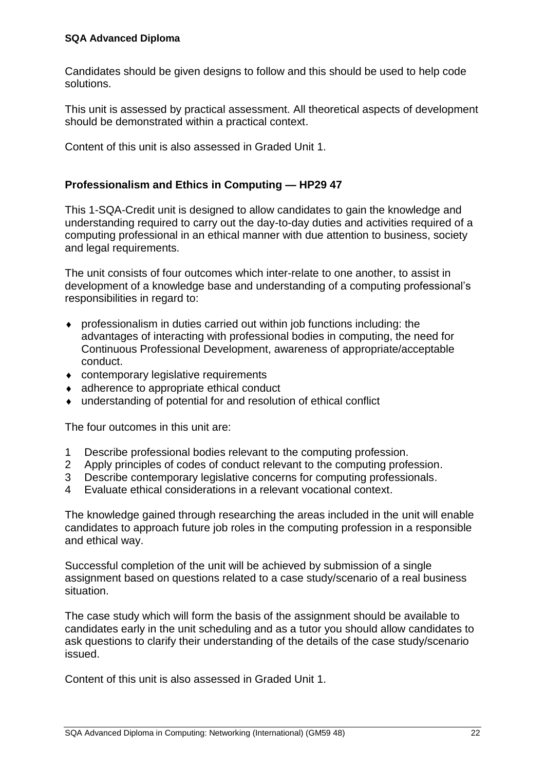Candidates should be given designs to follow and this should be used to help code solutions.

This unit is assessed by practical assessment. All theoretical aspects of development should be demonstrated within a practical context.

Content of this unit is also assessed in Graded Unit 1.

#### **Professionalism and Ethics in Computing — HP29 47**

This 1-SQA-Credit unit is designed to allow candidates to gain the knowledge and understanding required to carry out the day-to-day duties and activities required of a computing professional in an ethical manner with due attention to business, society and legal requirements.

The unit consists of four outcomes which inter-relate to one another, to assist in development of a knowledge base and understanding of a computing professional's responsibilities in regard to:

- professionalism in duties carried out within job functions including: the advantages of interacting with professional bodies in computing, the need for Continuous Professional Development, awareness of appropriate/acceptable conduct.
- contemporary legislative requirements
- ◆ adherence to appropriate ethical conduct
- understanding of potential for and resolution of ethical conflict

The four outcomes in this unit are:

- 1 Describe professional bodies relevant to the computing profession.
- 2 Apply principles of codes of conduct relevant to the computing profession.
- 3 Describe contemporary legislative concerns for computing professionals.
- 4 Evaluate ethical considerations in a relevant vocational context.

The knowledge gained through researching the areas included in the unit will enable candidates to approach future job roles in the computing profession in a responsible and ethical way.

Successful completion of the unit will be achieved by submission of a single assignment based on questions related to a case study/scenario of a real business situation.

The case study which will form the basis of the assignment should be available to candidates early in the unit scheduling and as a tutor you should allow candidates to ask questions to clarify their understanding of the details of the case study/scenario issued.

Content of this unit is also assessed in Graded Unit 1.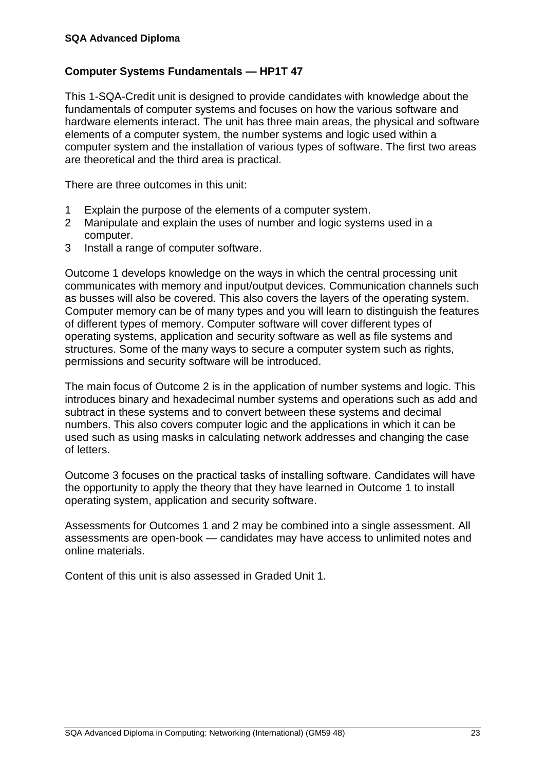#### **Computer Systems Fundamentals — HP1T 47**

This 1-SQA-Credit unit is designed to provide candidates with knowledge about the fundamentals of computer systems and focuses on how the various software and hardware elements interact. The unit has three main areas, the physical and software elements of a computer system, the number systems and logic used within a computer system and the installation of various types of software. The first two areas are theoretical and the third area is practical.

There are three outcomes in this unit:

- 1 Explain the purpose of the elements of a computer system.
- 2 Manipulate and explain the uses of number and logic systems used in a computer.
- 3 Install a range of computer software.

Outcome 1 develops knowledge on the ways in which the central processing unit communicates with memory and input/output devices. Communication channels such as busses will also be covered. This also covers the layers of the operating system. Computer memory can be of many types and you will learn to distinguish the features of different types of memory. Computer software will cover different types of operating systems, application and security software as well as file systems and structures. Some of the many ways to secure a computer system such as rights, permissions and security software will be introduced.

The main focus of Outcome 2 is in the application of number systems and logic. This introduces binary and hexadecimal number systems and operations such as add and subtract in these systems and to convert between these systems and decimal numbers. This also covers computer logic and the applications in which it can be used such as using masks in calculating network addresses and changing the case of letters.

Outcome 3 focuses on the practical tasks of installing software. Candidates will have the opportunity to apply the theory that they have learned in Outcome 1 to install operating system, application and security software.

Assessments for Outcomes 1 and 2 may be combined into a single assessment. All assessments are open-book — candidates may have access to unlimited notes and online materials.

Content of this unit is also assessed in Graded Unit 1.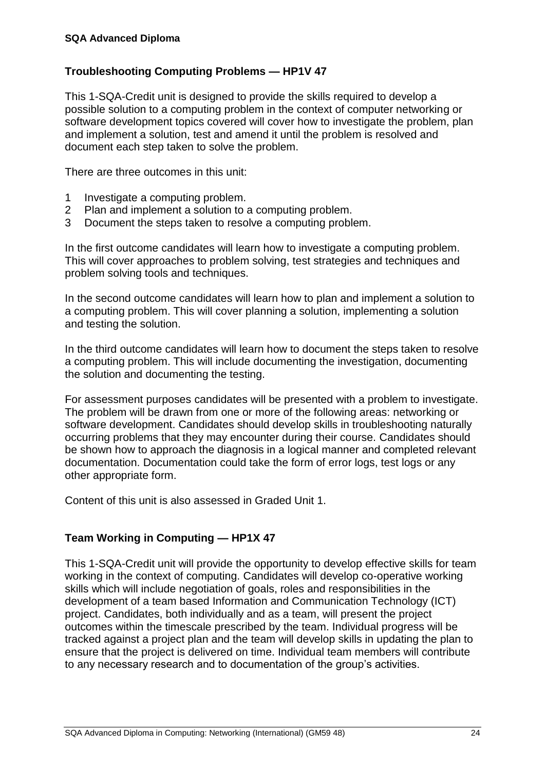#### **Troubleshooting Computing Problems — HP1V 47**

This 1-SQA-Credit unit is designed to provide the skills required to develop a possible solution to a computing problem in the context of computer networking or software development topics covered will cover how to investigate the problem, plan and implement a solution, test and amend it until the problem is resolved and document each step taken to solve the problem.

There are three outcomes in this unit:

- 1 Investigate a computing problem.
- 2 Plan and implement a solution to a computing problem.
- 3 Document the steps taken to resolve a computing problem.

In the first outcome candidates will learn how to investigate a computing problem. This will cover approaches to problem solving, test strategies and techniques and problem solving tools and techniques.

In the second outcome candidates will learn how to plan and implement a solution to a computing problem. This will cover planning a solution, implementing a solution and testing the solution.

In the third outcome candidates will learn how to document the steps taken to resolve a computing problem. This will include documenting the investigation, documenting the solution and documenting the testing.

For assessment purposes candidates will be presented with a problem to investigate. The problem will be drawn from one or more of the following areas: networking or software development. Candidates should develop skills in troubleshooting naturally occurring problems that they may encounter during their course. Candidates should be shown how to approach the diagnosis in a logical manner and completed relevant documentation. Documentation could take the form of error logs, test logs or any other appropriate form.

Content of this unit is also assessed in Graded Unit 1.

#### **Team Working in Computing — HP1X 47**

This 1-SQA-Credit unit will provide the opportunity to develop effective skills for team working in the context of computing. Candidates will develop co-operative working skills which will include negotiation of goals, roles and responsibilities in the development of a team based Information and Communication Technology (ICT) project. Candidates, both individually and as a team, will present the project outcomes within the timescale prescribed by the team. Individual progress will be tracked against a project plan and the team will develop skills in updating the plan to ensure that the project is delivered on time. Individual team members will contribute to any necessary research and to documentation of the group's activities.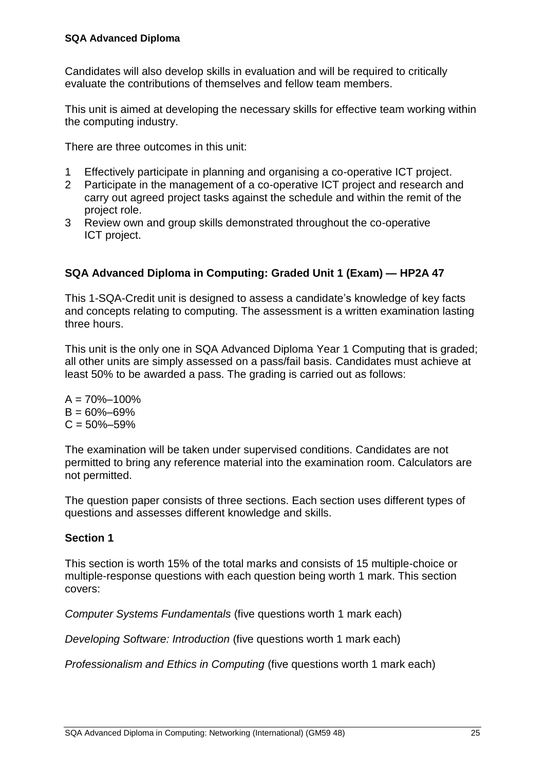Candidates will also develop skills in evaluation and will be required to critically evaluate the contributions of themselves and fellow team members.

This unit is aimed at developing the necessary skills for effective team working within the computing industry.

There are three outcomes in this unit:

- 1 Effectively participate in planning and organising a co-operative ICT project.
- 2 Participate in the management of a co-operative ICT project and research and carry out agreed project tasks against the schedule and within the remit of the project role.
- 3 Review own and group skills demonstrated throughout the co-operative ICT project.

#### **SQA Advanced Diploma in Computing: Graded Unit 1 (Exam) — HP2A 47**

This 1-SQA-Credit unit is designed to assess a candidate's knowledge of key facts and concepts relating to computing. The assessment is a written examination lasting three hours.

This unit is the only one in SQA Advanced Diploma Year 1 Computing that is graded; all other units are simply assessed on a pass/fail basis. Candidates must achieve at least 50% to be awarded a pass. The grading is carried out as follows:

 $A = 70\% - 100\%$  $B = 60\% - 69\%$  $C = 50\% - 59\%$ 

The examination will be taken under supervised conditions. Candidates are not permitted to bring any reference material into the examination room. Calculators are not permitted.

The question paper consists of three sections. Each section uses different types of questions and assesses different knowledge and skills.

#### **Section 1**

This section is worth 15% of the total marks and consists of 15 multiple-choice or multiple-response questions with each question being worth 1 mark. This section covers:

*Computer Systems Fundamentals* (five questions worth 1 mark each)

*Developing Software: Introduction* (five questions worth 1 mark each)

*Professionalism and Ethics in Computing* (five questions worth 1 mark each)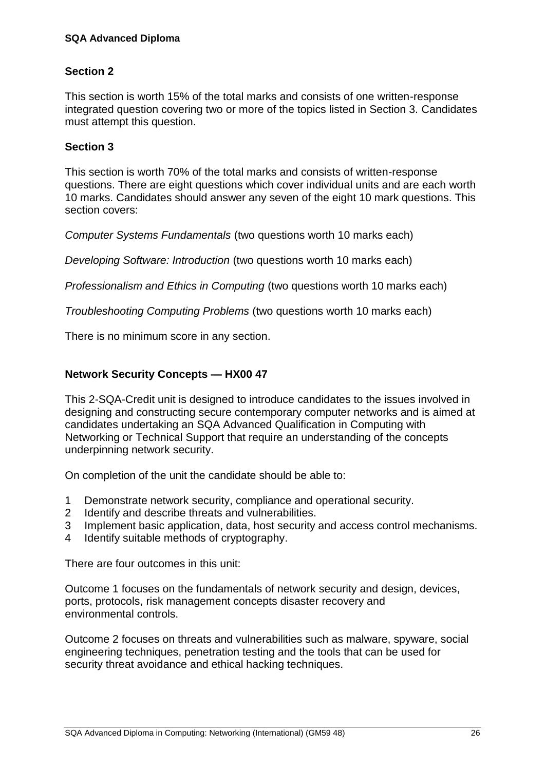#### **Section 2**

This section is worth 15% of the total marks and consists of one written-response integrated question covering two or more of the topics listed in Section 3. Candidates must attempt this question.

#### **Section 3**

This section is worth 70% of the total marks and consists of written-response questions. There are eight questions which cover individual units and are each worth 10 marks. Candidates should answer any seven of the eight 10 mark questions. This section covers:

*Computer Systems Fundamentals* (two questions worth 10 marks each)

*Developing Software: Introduction* (two questions worth 10 marks each)

*Professionalism and Ethics in Computing* (two questions worth 10 marks each)

*Troubleshooting Computing Problems* (two questions worth 10 marks each)

There is no minimum score in any section.

#### **Network Security Concepts — HX00 47**

This 2-SQA-Credit unit is designed to introduce candidates to the issues involved in designing and constructing secure contemporary computer networks and is aimed at candidates undertaking an SQA Advanced Qualification in Computing with Networking or Technical Support that require an understanding of the concepts underpinning network security.

On completion of the unit the candidate should be able to:

- 1 Demonstrate network security, compliance and operational security.
- 2 Identify and describe threats and vulnerabilities.
- 3 Implement basic application, data, host security and access control mechanisms.
- 4 Identify suitable methods of cryptography.

There are four outcomes in this unit:

Outcome 1 focuses on the fundamentals of network security and design, devices, ports, protocols, risk management concepts disaster recovery and environmental controls.

Outcome 2 focuses on threats and vulnerabilities such as malware, spyware, social engineering techniques, penetration testing and the tools that can be used for security threat avoidance and ethical hacking techniques.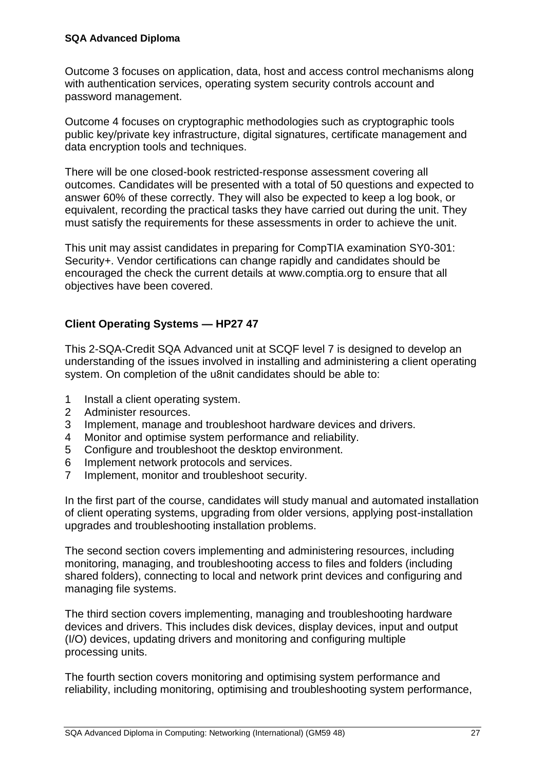Outcome 3 focuses on application, data, host and access control mechanisms along with authentication services, operating system security controls account and password management.

Outcome 4 focuses on cryptographic methodologies such as cryptographic tools public key/private key infrastructure, digital signatures, certificate management and data encryption tools and techniques.

There will be one closed-book restricted-response assessment covering all outcomes. Candidates will be presented with a total of 50 questions and expected to answer 60% of these correctly. They will also be expected to keep a log book, or equivalent, recording the practical tasks they have carried out during the unit. They must satisfy the requirements for these assessments in order to achieve the unit.

This unit may assist candidates in preparing for CompTIA examination SY0-301: Security+. Vendor certifications can change rapidly and candidates should be encouraged the check the current details at www.comptia.org to ensure that all objectives have been covered.

#### **Client Operating Systems — HP27 47**

This 2-SQA-Credit SQA Advanced unit at SCQF level 7 is designed to develop an understanding of the issues involved in installing and administering a client operating system. On completion of the u8nit candidates should be able to:

- 1 Install a client operating system.
- 2 Administer resources.
- 3 Implement, manage and troubleshoot hardware devices and drivers.
- 4 Monitor and optimise system performance and reliability.
- 5 Configure and troubleshoot the desktop environment.
- 6 Implement network protocols and services.
- 7 Implement, monitor and troubleshoot security.

In the first part of the course, candidates will study manual and automated installation of client operating systems, upgrading from older versions, applying post-installation upgrades and troubleshooting installation problems.

The second section covers implementing and administering resources, including monitoring, managing, and troubleshooting access to files and folders (including shared folders), connecting to local and network print devices and configuring and managing file systems.

The third section covers implementing, managing and troubleshooting hardware devices and drivers. This includes disk devices, display devices, input and output (I/O) devices, updating drivers and monitoring and configuring multiple processing units.

The fourth section covers monitoring and optimising system performance and reliability, including monitoring, optimising and troubleshooting system performance,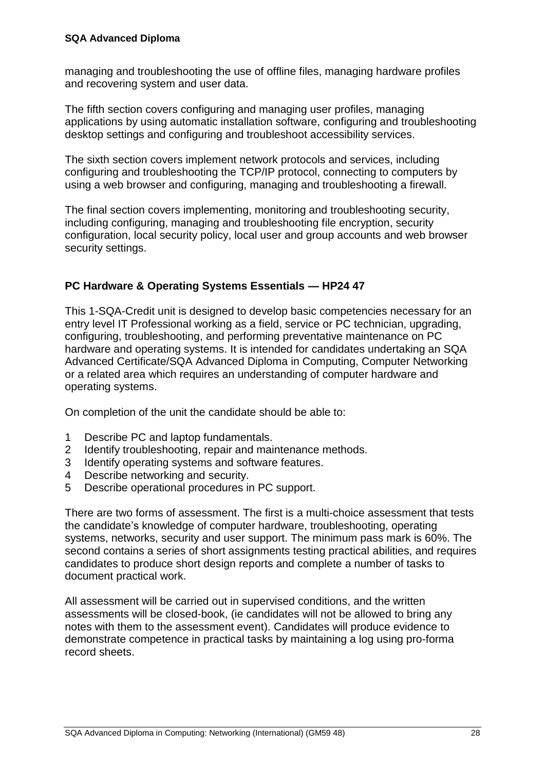managing and troubleshooting the use of offline files, managing hardware profiles and recovering system and user data.

The fifth section covers configuring and managing user profiles, managing applications by using automatic installation software, configuring and troubleshooting desktop settings and configuring and troubleshoot accessibility services.

The sixth section covers implement network protocols and services, including configuring and troubleshooting the TCP/IP protocol, connecting to computers by using a web browser and configuring, managing and troubleshooting a firewall.

The final section covers implementing, monitoring and troubleshooting security, including configuring, managing and troubleshooting file encryption, security configuration, local security policy, local user and group accounts and web browser security settings.

#### **PC Hardware & Operating Systems Essentials — HP24 47**

This 1-SQA-Credit unit is designed to develop basic competencies necessary for an entry level IT Professional working as a field, service or PC technician, upgrading, configuring, troubleshooting, and performing preventative maintenance on PC hardware and operating systems. It is intended for candidates undertaking an SQA Advanced Certificate/SQA Advanced Diploma in Computing, Computer Networking or a related area which requires an understanding of computer hardware and operating systems.

On completion of the unit the candidate should be able to:

- 1 Describe PC and laptop fundamentals.
- 2 Identify troubleshooting, repair and maintenance methods.
- 3 Identify operating systems and software features.
- 4 Describe networking and security.
- 5 Describe operational procedures in PC support.

There are two forms of assessment. The first is a multi-choice assessment that tests the candidate's knowledge of computer hardware, troubleshooting, operating systems, networks, security and user support. The minimum pass mark is 60%. The second contains a series of short assignments testing practical abilities, and requires candidates to produce short design reports and complete a number of tasks to document practical work.

All assessment will be carried out in supervised conditions, and the written assessments will be closed-book, (ie candidates will not be allowed to bring any notes with them to the assessment event). Candidates will produce evidence to demonstrate competence in practical tasks by maintaining a log using pro-forma record sheets.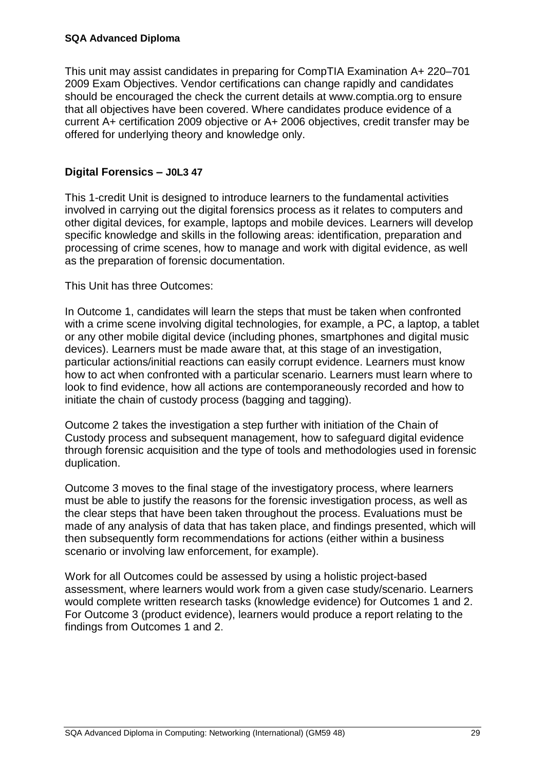This unit may assist candidates in preparing for CompTIA Examination A+ 220–701 2009 Exam Objectives. Vendor certifications can change rapidly and candidates should be encouraged the check the current details at www.comptia.org to ensure that all objectives have been covered. Where candidates produce evidence of a current A+ certification 2009 objective or A+ 2006 objectives, credit transfer may be offered for underlying theory and knowledge only.

#### **Digital Forensics – J0L3 47**

This 1-credit Unit is designed to introduce learners to the fundamental activities involved in carrying out the digital forensics process as it relates to computers and other digital devices, for example, laptops and mobile devices. Learners will develop specific knowledge and skills in the following areas: identification, preparation and processing of crime scenes, how to manage and work with digital evidence, as well as the preparation of forensic documentation.

This Unit has three Outcomes:

In Outcome 1, candidates will learn the steps that must be taken when confronted with a crime scene involving digital technologies, for example, a PC, a laptop, a tablet or any other mobile digital device (including phones, smartphones and digital music devices). Learners must be made aware that, at this stage of an investigation, particular actions/initial reactions can easily corrupt evidence. Learners must know how to act when confronted with a particular scenario. Learners must learn where to look to find evidence, how all actions are contemporaneously recorded and how to initiate the chain of custody process (bagging and tagging).

Outcome 2 takes the investigation a step further with initiation of the Chain of Custody process and subsequent management, how to safeguard digital evidence through forensic acquisition and the type of tools and methodologies used in forensic duplication.

Outcome 3 moves to the final stage of the investigatory process, where learners must be able to justify the reasons for the forensic investigation process, as well as the clear steps that have been taken throughout the process. Evaluations must be made of any analysis of data that has taken place, and findings presented, which will then subsequently form recommendations for actions (either within a business scenario or involving law enforcement, for example).

Work for all Outcomes could be assessed by using a holistic project-based assessment, where learners would work from a given case study/scenario. Learners would complete written research tasks (knowledge evidence) for Outcomes 1 and 2. For Outcome 3 (product evidence), learners would produce a report relating to the findings from Outcomes 1 and 2.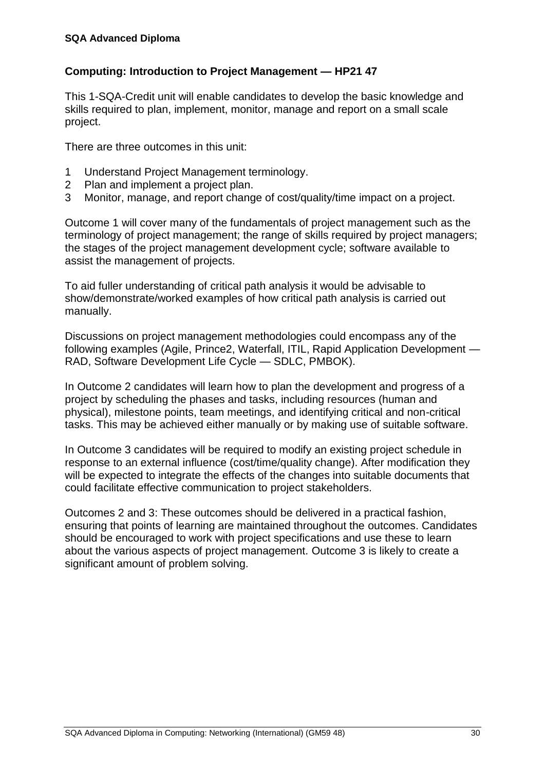#### **Computing: Introduction to Project Management — HP21 47**

This 1-SQA-Credit unit will enable candidates to develop the basic knowledge and skills required to plan, implement, monitor, manage and report on a small scale project.

There are three outcomes in this unit:

- 1 Understand Project Management terminology.
- 2 Plan and implement a project plan.
- 3 Monitor, manage, and report change of cost/quality/time impact on a project.

Outcome 1 will cover many of the fundamentals of project management such as the terminology of project management; the range of skills required by project managers; the stages of the project management development cycle; software available to assist the management of projects.

To aid fuller understanding of critical path analysis it would be advisable to show/demonstrate/worked examples of how critical path analysis is carried out manually.

Discussions on project management methodologies could encompass any of the following examples (Agile, Prince2, Waterfall, ITIL, Rapid Application Development — RAD, Software Development Life Cycle — SDLC, PMBOK).

In Outcome 2 candidates will learn how to plan the development and progress of a project by scheduling the phases and tasks, including resources (human and physical), milestone points, team meetings, and identifying critical and non-critical tasks. This may be achieved either manually or by making use of suitable software.

In Outcome 3 candidates will be required to modify an existing project schedule in response to an external influence (cost/time/quality change). After modification they will be expected to integrate the effects of the changes into suitable documents that could facilitate effective communication to project stakeholders.

Outcomes 2 and 3: These outcomes should be delivered in a practical fashion, ensuring that points of learning are maintained throughout the outcomes. Candidates should be encouraged to work with project specifications and use these to learn about the various aspects of project management. Outcome 3 is likely to create a significant amount of problem solving.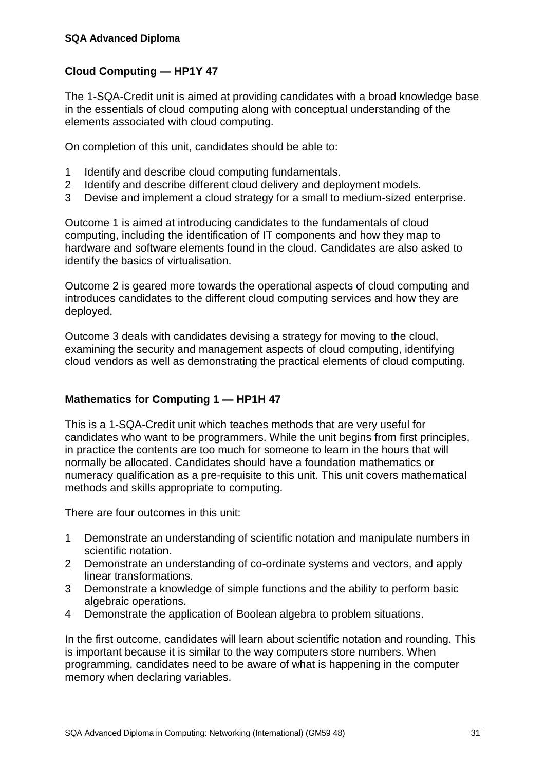#### **Cloud Computing — HP1Y 47**

The 1-SQA-Credit unit is aimed at providing candidates with a broad knowledge base in the essentials of cloud computing along with conceptual understanding of the elements associated with cloud computing.

On completion of this unit, candidates should be able to:

- 1 Identify and describe cloud computing fundamentals.
- 2 Identify and describe different cloud delivery and deployment models.
- 3 Devise and implement a cloud strategy for a small to medium-sized enterprise.

Outcome 1 is aimed at introducing candidates to the fundamentals of cloud computing, including the identification of IT components and how they map to hardware and software elements found in the cloud. Candidates are also asked to identify the basics of virtualisation.

Outcome 2 is geared more towards the operational aspects of cloud computing and introduces candidates to the different cloud computing services and how they are deployed.

Outcome 3 deals with candidates devising a strategy for moving to the cloud, examining the security and management aspects of cloud computing, identifying cloud vendors as well as demonstrating the practical elements of cloud computing.

#### **Mathematics for Computing 1 — HP1H 47**

This is a 1-SQA-Credit unit which teaches methods that are very useful for candidates who want to be programmers. While the unit begins from first principles, in practice the contents are too much for someone to learn in the hours that will normally be allocated. Candidates should have a foundation mathematics or numeracy qualification as a pre-requisite to this unit. This unit covers mathematical methods and skills appropriate to computing.

There are four outcomes in this unit:

- 1 Demonstrate an understanding of scientific notation and manipulate numbers in scientific notation.
- 2 Demonstrate an understanding of co-ordinate systems and vectors, and apply linear transformations.
- 3 Demonstrate a knowledge of simple functions and the ability to perform basic algebraic operations.
- 4 Demonstrate the application of Boolean algebra to problem situations.

In the first outcome, candidates will learn about scientific notation and rounding. This is important because it is similar to the way computers store numbers. When programming, candidates need to be aware of what is happening in the computer memory when declaring variables.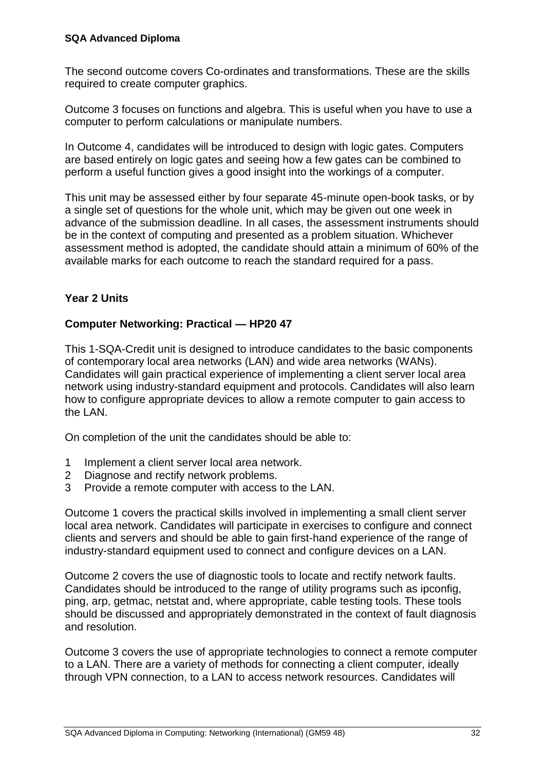The second outcome covers Co-ordinates and transformations. These are the skills required to create computer graphics.

Outcome 3 focuses on functions and algebra. This is useful when you have to use a computer to perform calculations or manipulate numbers.

In Outcome 4, candidates will be introduced to design with logic gates. Computers are based entirely on logic gates and seeing how a few gates can be combined to perform a useful function gives a good insight into the workings of a computer.

This unit may be assessed either by four separate 45-minute open-book tasks, or by a single set of questions for the whole unit, which may be given out one week in advance of the submission deadline. In all cases, the assessment instruments should be in the context of computing and presented as a problem situation. Whichever assessment method is adopted, the candidate should attain a minimum of 60% of the available marks for each outcome to reach the standard required for a pass.

#### **Year 2 Units**

#### **Computer Networking: Practical — HP20 47**

This 1-SQA-Credit unit is designed to introduce candidates to the basic components of contemporary local area networks (LAN) and wide area networks (WANs). Candidates will gain practical experience of implementing a client server local area network using industry-standard equipment and protocols. Candidates will also learn how to configure appropriate devices to allow a remote computer to gain access to the LAN.

On completion of the unit the candidates should be able to:

- 1 Implement a client server local area network.
- 2 Diagnose and rectify network problems.
- 3 Provide a remote computer with access to the LAN.

Outcome 1 covers the practical skills involved in implementing a small client server local area network. Candidates will participate in exercises to configure and connect clients and servers and should be able to gain first-hand experience of the range of industry-standard equipment used to connect and configure devices on a LAN.

Outcome 2 covers the use of diagnostic tools to locate and rectify network faults. Candidates should be introduced to the range of utility programs such as ipconfig, ping, arp, getmac, netstat and, where appropriate, cable testing tools. These tools should be discussed and appropriately demonstrated in the context of fault diagnosis and resolution.

Outcome 3 covers the use of appropriate technologies to connect a remote computer to a LAN. There are a variety of methods for connecting a client computer, ideally through VPN connection, to a LAN to access network resources. Candidates will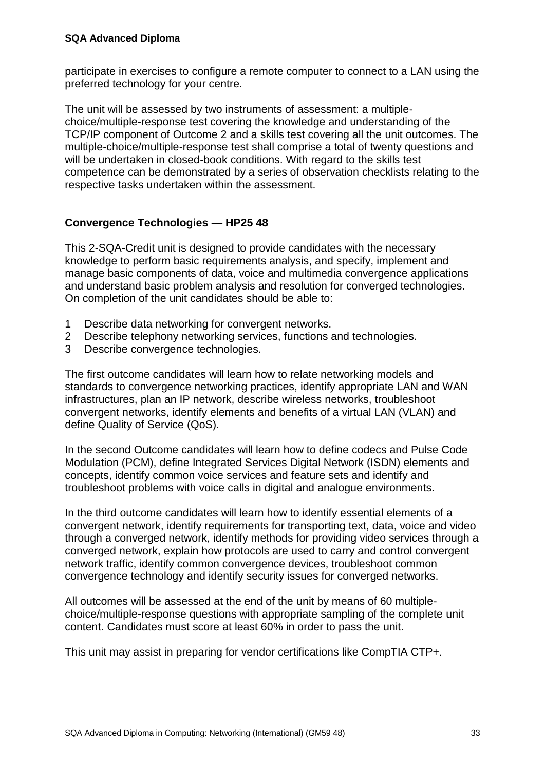participate in exercises to configure a remote computer to connect to a LAN using the preferred technology for your centre.

The unit will be assessed by two instruments of assessment: a multiplechoice/multiple-response test covering the knowledge and understanding of the TCP/IP component of Outcome 2 and a skills test covering all the unit outcomes. The multiple-choice/multiple-response test shall comprise a total of twenty questions and will be undertaken in closed-book conditions. With regard to the skills test competence can be demonstrated by a series of observation checklists relating to the respective tasks undertaken within the assessment.

#### **Convergence Technologies — HP25 48**

This 2-SQA-Credit unit is designed to provide candidates with the necessary knowledge to perform basic requirements analysis, and specify, implement and manage basic components of data, voice and multimedia convergence applications and understand basic problem analysis and resolution for converged technologies. On completion of the unit candidates should be able to:

- 1 Describe data networking for convergent networks.
- 2 Describe telephony networking services, functions and technologies.
- 3 Describe convergence technologies.

The first outcome candidates will learn how to relate networking models and standards to convergence networking practices, identify appropriate LAN and WAN infrastructures, plan an IP network, describe wireless networks, troubleshoot convergent networks, identify elements and benefits of a virtual LAN (VLAN) and define Quality of Service (QoS).

In the second Outcome candidates will learn how to define codecs and Pulse Code Modulation (PCM), define Integrated Services Digital Network (ISDN) elements and concepts, identify common voice services and feature sets and identify and troubleshoot problems with voice calls in digital and analogue environments.

In the third outcome candidates will learn how to identify essential elements of a convergent network, identify requirements for transporting text, data, voice and video through a converged network, identify methods for providing video services through a converged network, explain how protocols are used to carry and control convergent network traffic, identify common convergence devices, troubleshoot common convergence technology and identify security issues for converged networks.

All outcomes will be assessed at the end of the unit by means of 60 multiplechoice/multiple-response questions with appropriate sampling of the complete unit content. Candidates must score at least 60% in order to pass the unit.

This unit may assist in preparing for vendor certifications like CompTIA CTP+.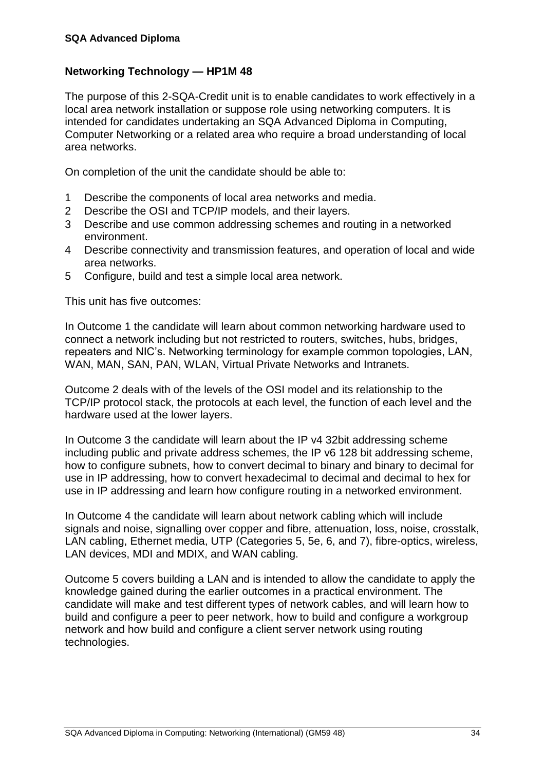#### **Networking Technology — HP1M 48**

The purpose of this 2-SQA-Credit unit is to enable candidates to work effectively in a local area network installation or suppose role using networking computers. It is intended for candidates undertaking an SQA Advanced Diploma in Computing, Computer Networking or a related area who require a broad understanding of local area networks.

On completion of the unit the candidate should be able to:

- 1 Describe the components of local area networks and media.
- 2 Describe the OSI and TCP/IP models, and their layers.
- 3 Describe and use common addressing schemes and routing in a networked environment.
- 4 Describe connectivity and transmission features, and operation of local and wide area networks.
- 5 Configure, build and test a simple local area network.

This unit has five outcomes:

In Outcome 1 the candidate will learn about common networking hardware used to connect a network including but not restricted to routers, switches, hubs, bridges, repeaters and NIC's. Networking terminology for example common topologies, LAN, WAN, MAN, SAN, PAN, WLAN, Virtual Private Networks and Intranets.

Outcome 2 deals with of the levels of the OSI model and its relationship to the TCP/IP protocol stack, the protocols at each level, the function of each level and the hardware used at the lower layers.

In Outcome 3 the candidate will learn about the IP v4 32bit addressing scheme including public and private address schemes, the IP v6 128 bit addressing scheme, how to configure subnets, how to convert decimal to binary and binary to decimal for use in IP addressing, how to convert hexadecimal to decimal and decimal to hex for use in IP addressing and learn how configure routing in a networked environment.

In Outcome 4 the candidate will learn about network cabling which will include signals and noise, signalling over copper and fibre, attenuation, loss, noise, crosstalk, LAN cabling, Ethernet media, UTP (Categories 5, 5e, 6, and 7), fibre-optics, wireless, LAN devices, MDI and MDIX, and WAN cabling.

Outcome 5 covers building a LAN and is intended to allow the candidate to apply the knowledge gained during the earlier outcomes in a practical environment. The candidate will make and test different types of network cables, and will learn how to build and configure a peer to peer network, how to build and configure a workgroup network and how build and configure a client server network using routing technologies.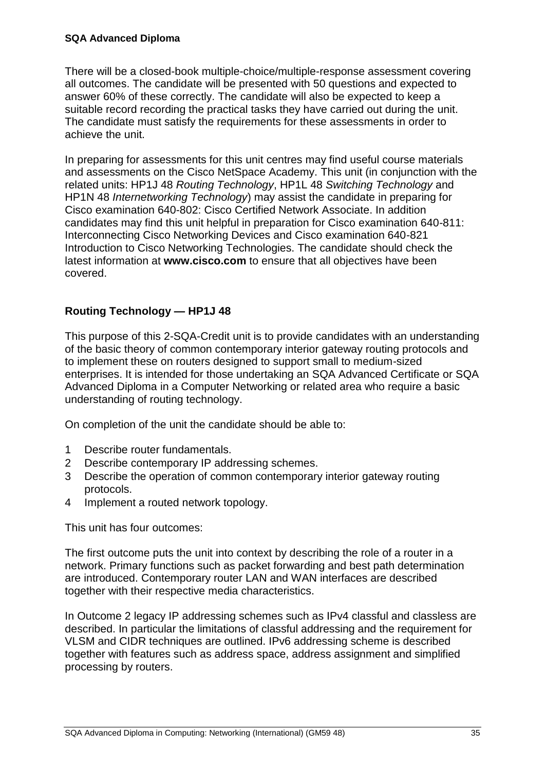There will be a closed-book multiple-choice/multiple-response assessment covering all outcomes. The candidate will be presented with 50 questions and expected to answer 60% of these correctly. The candidate will also be expected to keep a suitable record recording the practical tasks they have carried out during the unit. The candidate must satisfy the requirements for these assessments in order to achieve the unit.

In preparing for assessments for this unit centres may find useful course materials and assessments on the Cisco NetSpace Academy. This unit (in conjunction with the related units: HP1J 48 *Routing Technology*, HP1L 48 *Switching Technology* and HP1N 48 *Internetworking Technology*) may assist the candidate in preparing for Cisco examination 640-802: Cisco Certified Network Associate. In addition candidates may find this unit helpful in preparation for Cisco examination 640-811: Interconnecting Cisco Networking Devices and Cisco examination 640-821 Introduction to Cisco Networking Technologies. The candidate should check the latest information at **www.cisco.com** to ensure that all objectives have been covered.

#### **Routing Technology — HP1J 48**

This purpose of this 2-SQA-Credit unit is to provide candidates with an understanding of the basic theory of common contemporary interior gateway routing protocols and to implement these on routers designed to support small to medium-sized enterprises. It is intended for those undertaking an SQA Advanced Certificate or SQA Advanced Diploma in a Computer Networking or related area who require a basic understanding of routing technology.

On completion of the unit the candidate should be able to:

- 1 Describe router fundamentals.
- 2 Describe contemporary IP addressing schemes.
- 3 Describe the operation of common contemporary interior gateway routing protocols.
- 4 Implement a routed network topology.

This unit has four outcomes:

The first outcome puts the unit into context by describing the role of a router in a network. Primary functions such as packet forwarding and best path determination are introduced. Contemporary router LAN and WAN interfaces are described together with their respective media characteristics.

In Outcome 2 legacy IP addressing schemes such as IPv4 classful and classless are described. In particular the limitations of classful addressing and the requirement for VLSM and CIDR techniques are outlined. IPv6 addressing scheme is described together with features such as address space, address assignment and simplified processing by routers.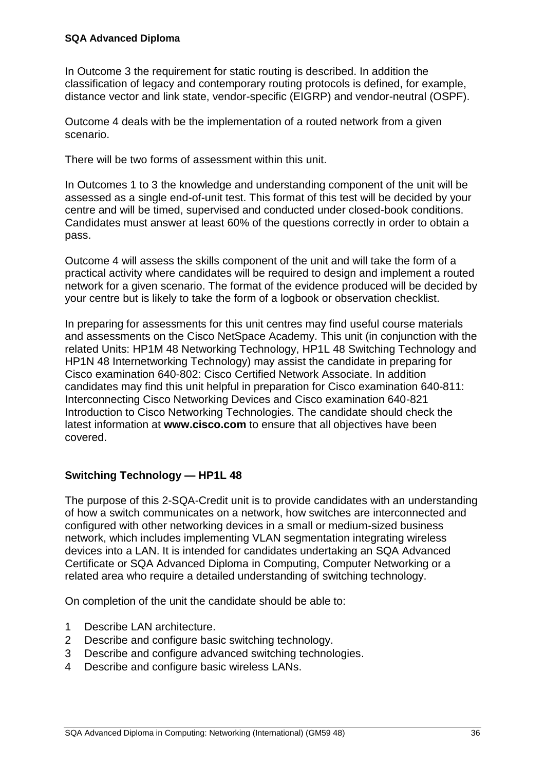In Outcome 3 the requirement for static routing is described. In addition the classification of legacy and contemporary routing protocols is defined, for example, distance vector and link state, vendor-specific (EIGRP) and vendor-neutral (OSPF).

Outcome 4 deals with be the implementation of a routed network from a given scenario.

There will be two forms of assessment within this unit.

In Outcomes 1 to 3 the knowledge and understanding component of the unit will be assessed as a single end-of-unit test. This format of this test will be decided by your centre and will be timed, supervised and conducted under closed-book conditions. Candidates must answer at least 60% of the questions correctly in order to obtain a pass.

Outcome 4 will assess the skills component of the unit and will take the form of a practical activity where candidates will be required to design and implement a routed network for a given scenario. The format of the evidence produced will be decided by your centre but is likely to take the form of a logbook or observation checklist.

In preparing for assessments for this unit centres may find useful course materials and assessments on the Cisco NetSpace Academy. This unit (in conjunction with the related Units: HP1M 48 Networking Technology, HP1L 48 Switching Technology and HP1N 48 Internetworking Technology) may assist the candidate in preparing for Cisco examination 640-802: Cisco Certified Network Associate. In addition candidates may find this unit helpful in preparation for Cisco examination 640-811: Interconnecting Cisco Networking Devices and Cisco examination 640-821 Introduction to Cisco Networking Technologies. The candidate should check the latest information at **www.cisco.com** to ensure that all objectives have been covered.

#### **Switching Technology — HP1L 48**

The purpose of this 2-SQA-Credit unit is to provide candidates with an understanding of how a switch communicates on a network, how switches are interconnected and configured with other networking devices in a small or medium-sized business network, which includes implementing VLAN segmentation integrating wireless devices into a LAN. It is intended for candidates undertaking an SQA Advanced Certificate or SQA Advanced Diploma in Computing, Computer Networking or a related area who require a detailed understanding of switching technology.

On completion of the unit the candidate should be able to:

- 1 Describe LAN architecture.
- 2 Describe and configure basic switching technology.
- 3 Describe and configure advanced switching technologies.
- 4 Describe and configure basic wireless LANs.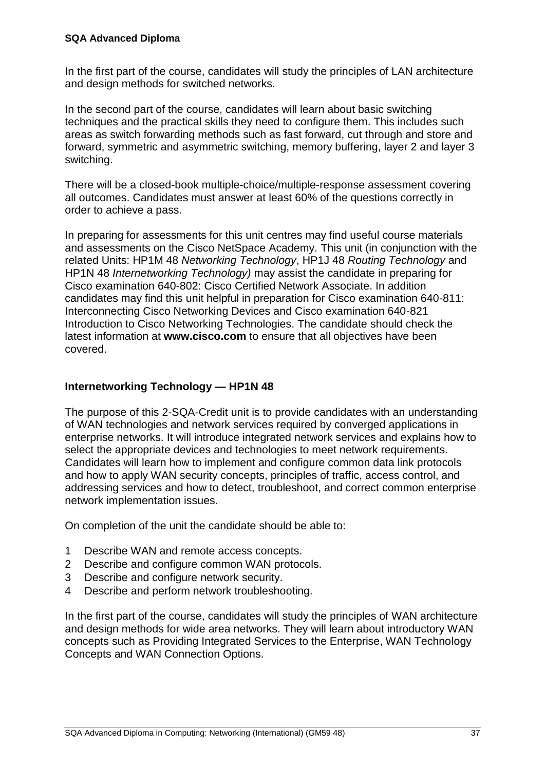In the first part of the course, candidates will study the principles of LAN architecture and design methods for switched networks.

In the second part of the course, candidates will learn about basic switching techniques and the practical skills they need to configure them. This includes such areas as switch forwarding methods such as fast forward, cut through and store and forward, symmetric and asymmetric switching, memory buffering, layer 2 and layer 3 switching.

There will be a closed-book multiple-choice/multiple-response assessment covering all outcomes. Candidates must answer at least 60% of the questions correctly in order to achieve a pass.

In preparing for assessments for this unit centres may find useful course materials and assessments on the Cisco NetSpace Academy. This unit (in conjunction with the related Units: HP1M 48 *Networking Technology*, HP1J 48 *Routing Technology* and HP1N 48 *Internetworking Technology)* may assist the candidate in preparing for Cisco examination 640-802: Cisco Certified Network Associate. In addition candidates may find this unit helpful in preparation for Cisco examination 640-811: Interconnecting Cisco Networking Devices and Cisco examination 640-821 Introduction to Cisco Networking Technologies. The candidate should check the latest information at **www.cisco.com** to ensure that all objectives have been covered.

#### **Internetworking Technology — HP1N 48**

The purpose of this 2-SQA-Credit unit is to provide candidates with an understanding of WAN technologies and network services required by converged applications in enterprise networks. It will introduce integrated network services and explains how to select the appropriate devices and technologies to meet network requirements. Candidates will learn how to implement and configure common data link protocols and how to apply WAN security concepts, principles of traffic, access control, and addressing services and how to detect, troubleshoot, and correct common enterprise network implementation issues.

On completion of the unit the candidate should be able to:

- 1 Describe WAN and remote access concepts.
- 2 Describe and configure common WAN protocols.
- 3 Describe and configure network security.
- 4 Describe and perform network troubleshooting.

In the first part of the course, candidates will study the principles of WAN architecture and design methods for wide area networks. They will learn about introductory WAN concepts such as Providing Integrated Services to the Enterprise, WAN Technology Concepts and WAN Connection Options.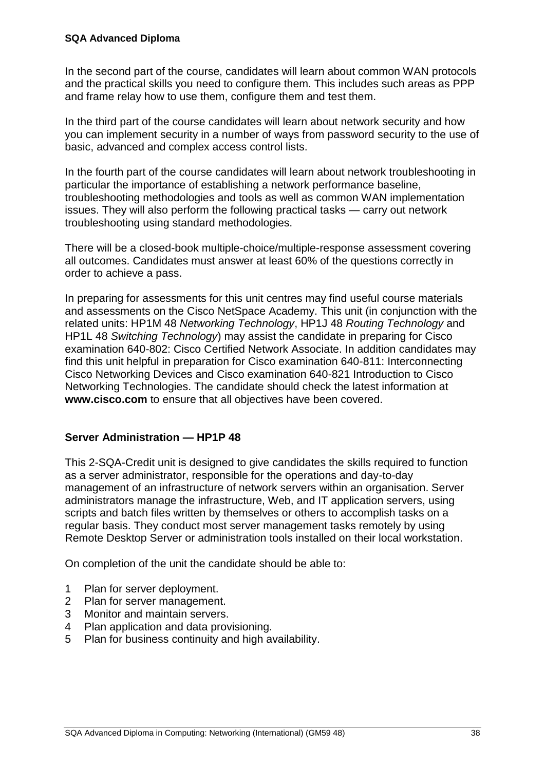In the second part of the course, candidates will learn about common WAN protocols and the practical skills you need to configure them. This includes such areas as PPP and frame relay how to use them, configure them and test them.

In the third part of the course candidates will learn about network security and how you can implement security in a number of ways from password security to the use of basic, advanced and complex access control lists.

In the fourth part of the course candidates will learn about network troubleshooting in particular the importance of establishing a network performance baseline, troubleshooting methodologies and tools as well as common WAN implementation issues. They will also perform the following practical tasks — carry out network troubleshooting using standard methodologies.

There will be a closed-book multiple-choice/multiple-response assessment covering all outcomes. Candidates must answer at least 60% of the questions correctly in order to achieve a pass.

In preparing for assessments for this unit centres may find useful course materials and assessments on the Cisco NetSpace Academy. This unit (in conjunction with the related units: HP1M 48 *Networking Technology*, HP1J 48 *Routing Technology* and HP1L 48 *Switching Technology*) may assist the candidate in preparing for Cisco examination 640-802: Cisco Certified Network Associate. In addition candidates may find this unit helpful in preparation for Cisco examination 640-811: Interconnecting Cisco Networking Devices and Cisco examination 640-821 Introduction to Cisco Networking Technologies. The candidate should check the latest information at **www.cisco.com** to ensure that all objectives have been covered.

#### **Server Administration — HP1P 48**

This 2-SQA-Credit unit is designed to give candidates the skills required to function as a server administrator, responsible for the operations and day-to-day management of an infrastructure of network servers within an organisation. Server administrators manage the infrastructure, Web, and IT application servers, using scripts and batch files written by themselves or others to accomplish tasks on a regular basis. They conduct most server management tasks remotely by using Remote Desktop Server or administration tools installed on their local workstation.

On completion of the unit the candidate should be able to:

- 1 Plan for server deployment.
- 2 Plan for server management.
- 3 Monitor and maintain servers.
- 4 Plan application and data provisioning.
- 5 Plan for business continuity and high availability.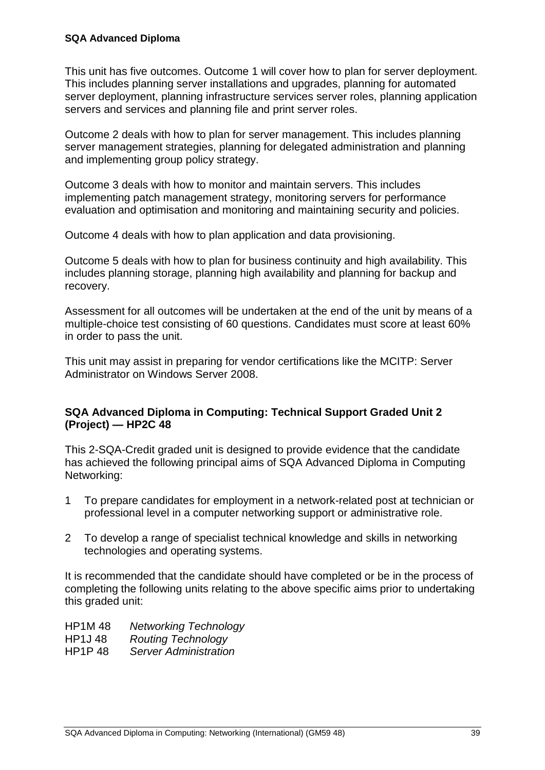This unit has five outcomes. Outcome 1 will cover how to plan for server deployment. This includes planning server installations and upgrades, planning for automated server deployment, planning infrastructure services server roles, planning application servers and services and planning file and print server roles.

Outcome 2 deals with how to plan for server management. This includes planning server management strategies, planning for delegated administration and planning and implementing group policy strategy.

Outcome 3 deals with how to monitor and maintain servers. This includes implementing patch management strategy, monitoring servers for performance evaluation and optimisation and monitoring and maintaining security and policies.

Outcome 4 deals with how to plan application and data provisioning.

Outcome 5 deals with how to plan for business continuity and high availability. This includes planning storage, planning high availability and planning for backup and recovery.

Assessment for all outcomes will be undertaken at the end of the unit by means of a multiple-choice test consisting of 60 questions. Candidates must score at least 60% in order to pass the unit.

This unit may assist in preparing for vendor certifications like the MCITP: Server Administrator on Windows Server 2008.

#### **SQA Advanced Diploma in Computing: Technical Support Graded Unit 2 (Project) — HP2C 48**

This 2-SQA-Credit graded unit is designed to provide evidence that the candidate has achieved the following principal aims of SQA Advanced Diploma in Computing Networking:

- 1 To prepare candidates for employment in a network-related post at technician or professional level in a computer networking support or administrative role.
- 2 To develop a range of specialist technical knowledge and skills in networking technologies and operating systems.

It is recommended that the candidate should have completed or be in the process of completing the following units relating to the above specific aims prior to undertaking this graded unit:

HP1M 48 *Networking Technology* HP1J 48 *Routing Technology* HP1P 48 *Server Administration*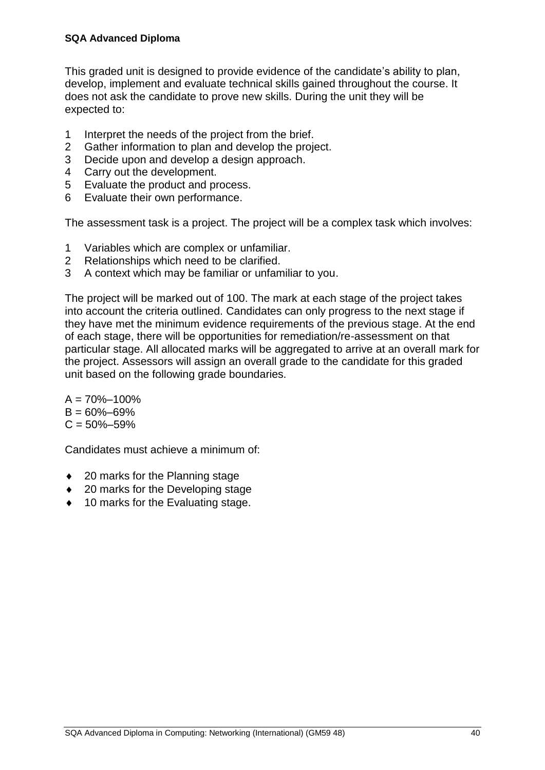This graded unit is designed to provide evidence of the candidate's ability to plan, develop, implement and evaluate technical skills gained throughout the course. It does not ask the candidate to prove new skills. During the unit they will be expected to:

- 1 Interpret the needs of the project from the brief.
- 2 Gather information to plan and develop the project.
- 3 Decide upon and develop a design approach.
- 4 Carry out the development.
- 5 Evaluate the product and process.
- 6 Evaluate their own performance.

The assessment task is a project. The project will be a complex task which involves:

- 1 Variables which are complex or unfamiliar.
- 2 Relationships which need to be clarified.
- 3 A context which may be familiar or unfamiliar to you.

The project will be marked out of 100. The mark at each stage of the project takes into account the criteria outlined. Candidates can only progress to the next stage if they have met the minimum evidence requirements of the previous stage. At the end of each stage, there will be opportunities for remediation/re-assessment on that particular stage. All allocated marks will be aggregated to arrive at an overall mark for the project. Assessors will assign an overall grade to the candidate for this graded unit based on the following grade boundaries.

 $A = 70\% - 100\%$  $B = 60\% - 69\%$  $C = 50\% - 59\%$ 

Candidates must achieve a minimum of:

- ◆ 20 marks for the Planning stage
- ◆ 20 marks for the Developing stage
- ◆ 10 marks for the Evaluating stage.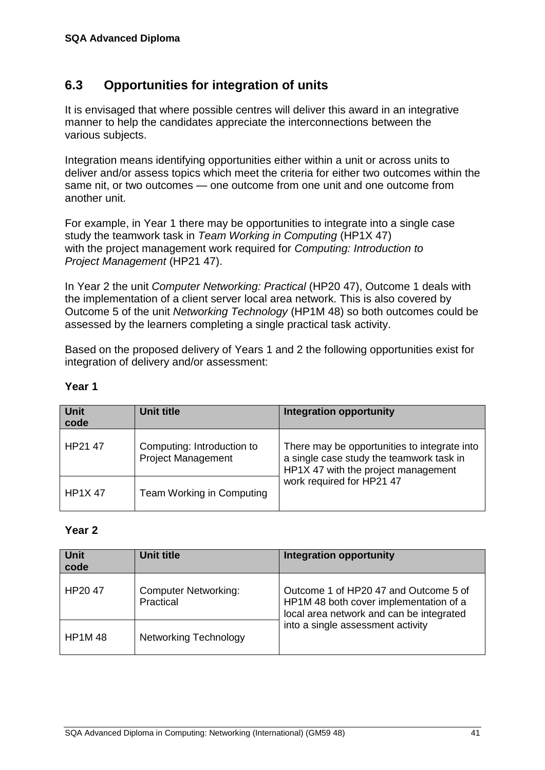## <span id="page-44-0"></span>**6.3 Opportunities for integration of units**

It is envisaged that where possible centres will deliver this award in an integrative manner to help the candidates appreciate the interconnections between the various subjects.

Integration means identifying opportunities either within a unit or across units to deliver and/or assess topics which meet the criteria for either two outcomes within the same nit, or two outcomes — one outcome from one unit and one outcome from another unit.

For example, in Year 1 there may be opportunities to integrate into a single case study the teamwork task in *Team Working in Computing* (HP1X 47) with the project management work required for *Computing: Introduction to Project Management* (HP21 47).

In Year 2 the unit *Computer Networking: Practical* (HP20 47), Outcome 1 deals with the implementation of a client server local area network. This is also covered by Outcome 5 of the unit *Networking Technology* (HP1M 48) so both outcomes could be assessed by the learners completing a single practical task activity.

Based on the proposed delivery of Years 1 and 2 the following opportunities exist for integration of delivery and/or assessment:

| <b>Unit</b><br>code | <b>Unit title</b>                                       | <b>Integration opportunity</b>                                                                                                  |
|---------------------|---------------------------------------------------------|---------------------------------------------------------------------------------------------------------------------------------|
| HP21 47             | Computing: Introduction to<br><b>Project Management</b> | There may be opportunities to integrate into<br>a single case study the teamwork task in<br>HP1X 47 with the project management |
| <b>HP1X47</b>       | Team Working in Computing                               | work required for HP21 47                                                                                                       |

#### **Year 1**

#### **Year 2**

| <b>Unit</b><br>code | <b>Unit title</b>                        | <b>Integration opportunity</b>                                                                                              |
|---------------------|------------------------------------------|-----------------------------------------------------------------------------------------------------------------------------|
| HP2047              | <b>Computer Networking:</b><br>Practical | Outcome 1 of HP20 47 and Outcome 5 of<br>HP1M 48 both cover implementation of a<br>local area network and can be integrated |
| <b>HP1M48</b>       | <b>Networking Technology</b>             | into a single assessment activity                                                                                           |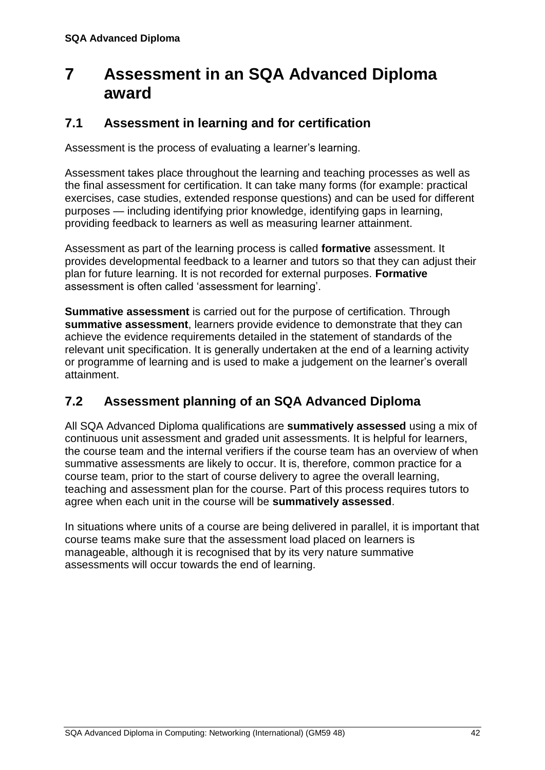## <span id="page-45-0"></span>**7 Assessment in an SQA Advanced Diploma award**

## <span id="page-45-1"></span>**7.1 Assessment in learning and for certification**

Assessment is the process of evaluating a learner's learning.

Assessment takes place throughout the learning and teaching processes as well as the final assessment for certification. It can take many forms (for example: practical exercises, case studies, extended response questions) and can be used for different purposes — including identifying prior knowledge, identifying gaps in learning, providing feedback to learners as well as measuring learner attainment.

Assessment as part of the learning process is called **formative** assessment. It provides developmental feedback to a learner and tutors so that they can adjust their plan for future learning. It is not recorded for external purposes. **Formative** assessment is often called 'assessment for learning'.

**Summative assessment** is carried out for the purpose of certification. Through **summative assessment**, learners provide evidence to demonstrate that they can achieve the evidence requirements detailed in the statement of standards of the relevant unit specification. It is generally undertaken at the end of a learning activity or programme of learning and is used to make a judgement on the learner's overall attainment.

## <span id="page-45-2"></span>**7.2 Assessment planning of an SQA Advanced Diploma**

All SQA Advanced Diploma qualifications are **summatively assessed** using a mix of continuous unit assessment and graded unit assessments. It is helpful for learners, the course team and the internal verifiers if the course team has an overview of when summative assessments are likely to occur. It is, therefore, common practice for a course team, prior to the start of course delivery to agree the overall learning, teaching and assessment plan for the course. Part of this process requires tutors to agree when each unit in the course will be **summatively assessed**.

In situations where units of a course are being delivered in parallel, it is important that course teams make sure that the assessment load placed on learners is manageable, although it is recognised that by its very nature summative assessments will occur towards the end of learning.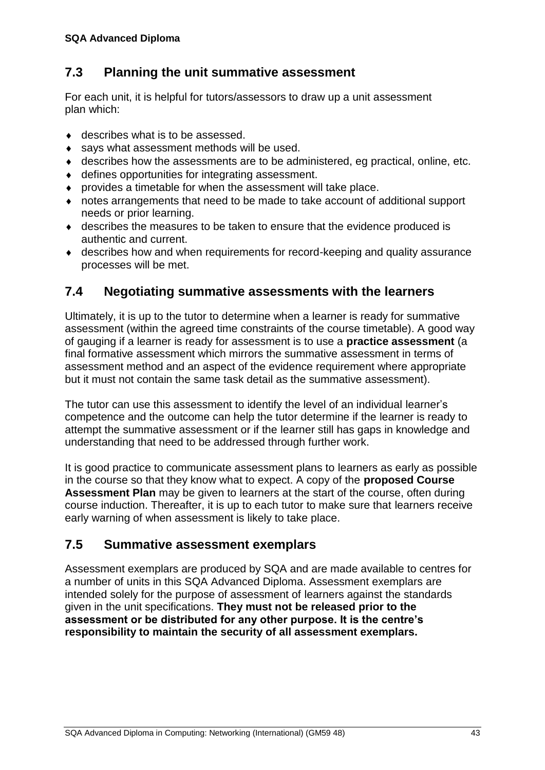## <span id="page-46-0"></span>**7.3 Planning the unit summative assessment**

For each unit, it is helpful for tutors/assessors to draw up a unit assessment plan which:

- ◆ describes what is to be assessed.
- says what assessment methods will be used.
- describes how the assessments are to be administered, eg practical, online, etc.
- defines opportunities for integrating assessment.
- provides a timetable for when the assessment will take place.
- notes arrangements that need to be made to take account of additional support needs or prior learning.
- describes the measures to be taken to ensure that the evidence produced is authentic and current.
- describes how and when requirements for record-keeping and quality assurance processes will be met.

## <span id="page-46-1"></span>**7.4 Negotiating summative assessments with the learners**

Ultimately, it is up to the tutor to determine when a learner is ready for summative assessment (within the agreed time constraints of the course timetable). A good way of gauging if a learner is ready for assessment is to use a **practice assessment** (a final formative assessment which mirrors the summative assessment in terms of assessment method and an aspect of the evidence requirement where appropriate but it must not contain the same task detail as the summative assessment).

The tutor can use this assessment to identify the level of an individual learner's competence and the outcome can help the tutor determine if the learner is ready to attempt the summative assessment or if the learner still has gaps in knowledge and understanding that need to be addressed through further work.

It is good practice to communicate assessment plans to learners as early as possible in the course so that they know what to expect. A copy of the **proposed Course Assessment Plan** may be given to learners at the start of the course, often during course induction. Thereafter, it is up to each tutor to make sure that learners receive early warning of when assessment is likely to take place.

## <span id="page-46-2"></span>**7.5 Summative assessment exemplars**

Assessment exemplars are produced by SQA and are made available to centres for a number of units in this SQA Advanced Diploma. Assessment exemplars are intended solely for the purpose of assessment of learners against the standards given in the unit specifications. **They must not be released prior to the assessment or be distributed for any other purpose. It is the centre's responsibility to maintain the security of all assessment exemplars.**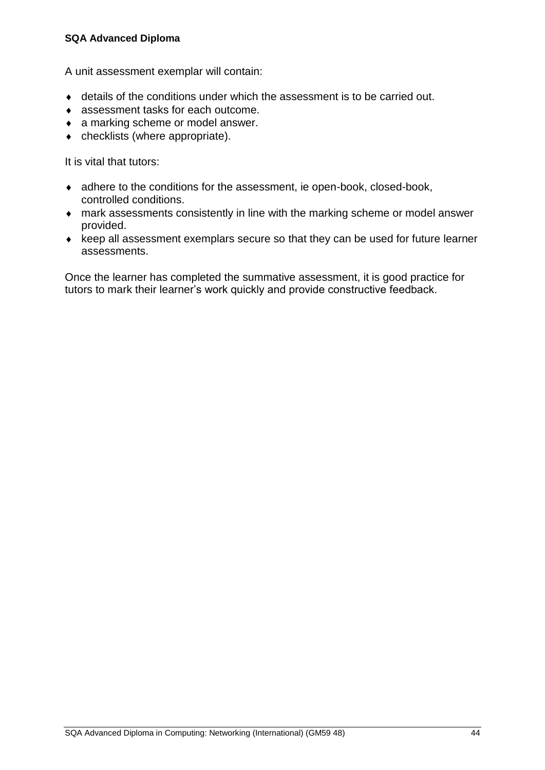#### **SQA Advanced Diploma**

A unit assessment exemplar will contain:

- details of the conditions under which the assessment is to be carried out.
- assessment tasks for each outcome.
- a marking scheme or model answer.
- checklists (where appropriate).

It is vital that tutors:

- adhere to the conditions for the assessment, ie open-book, closed-book, controlled conditions.
- mark assessments consistently in line with the marking scheme or model answer provided.
- $\bullet$  keep all assessment exemplars secure so that they can be used for future learner assessments.

<span id="page-47-0"></span>Once the learner has completed the summative assessment, it is good practice for tutors to mark their learner's work quickly and provide constructive feedback.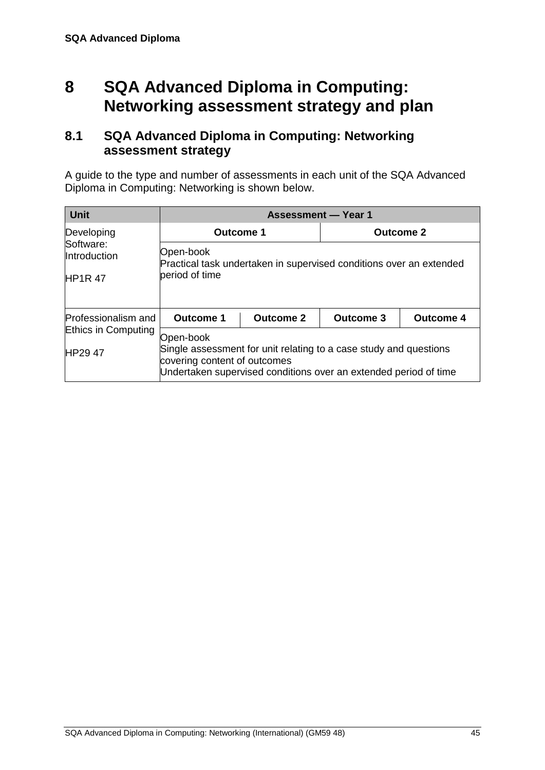## **8 SQA Advanced Diploma in Computing: Networking assessment strategy and plan**

### <span id="page-48-0"></span>**8.1 SQA Advanced Diploma in Computing: Networking assessment strategy**

A guide to the type and number of assessments in each unit of the SQA Advanced Diploma in Computing: Networking is shown below.

| <b>Unit</b>                                |                                                                                                                                                                                    | <b>Assessment - Year 1</b> |                  |  |  |  |  |  |
|--------------------------------------------|------------------------------------------------------------------------------------------------------------------------------------------------------------------------------------|----------------------------|------------------|--|--|--|--|--|
| Developing                                 | <b>Outcome 1</b>                                                                                                                                                                   |                            | <b>Outcome 2</b> |  |  |  |  |  |
| Software:<br>Introduction<br><b>HP1R47</b> | Open-book<br>Practical task undertaken in supervised conditions over an extended<br>beriod of time                                                                                 |                            |                  |  |  |  |  |  |
| Professionalism and                        | <b>Outcome 1</b><br><b>Outcome 2</b><br><b>Outcome 3</b><br><b>Outcome 4</b>                                                                                                       |                            |                  |  |  |  |  |  |
| Ethics in Computing<br><b>HP2947</b>       | Open-book<br>Single assessment for unit relating to a case study and questions<br>covering content of outcomes<br>Undertaken supervised conditions over an extended period of time |                            |                  |  |  |  |  |  |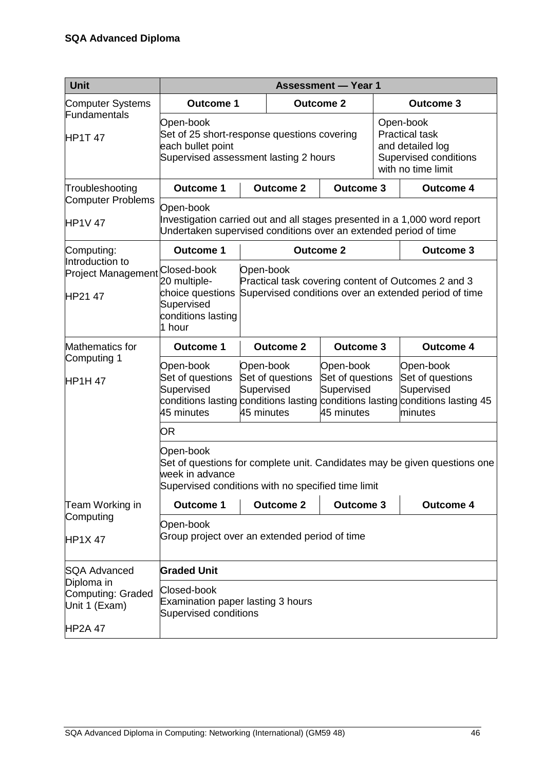| Unit                                                               |                                                                                                                        |                                                                                                                                                                                                          |                  | <b>Assessment - Year 1</b> |                                                                                                       |                                                                           |  |  |
|--------------------------------------------------------------------|------------------------------------------------------------------------------------------------------------------------|----------------------------------------------------------------------------------------------------------------------------------------------------------------------------------------------------------|------------------|----------------------------|-------------------------------------------------------------------------------------------------------|---------------------------------------------------------------------------|--|--|
| <b>Computer Systems</b>                                            | <b>Outcome 1</b>                                                                                                       |                                                                                                                                                                                                          |                  | <b>Outcome 2</b>           |                                                                                                       | <b>Outcome 3</b>                                                          |  |  |
| Fundamentals<br>HP1T 47                                            | Open-book<br>Set of 25 short-response questions covering<br>each bullet point<br>Supervised assessment lasting 2 hours |                                                                                                                                                                                                          |                  |                            | Open-book<br><b>Practical task</b><br>and detailed log<br>Supervised conditions<br>with no time limit |                                                                           |  |  |
| Troubleshooting                                                    | <b>Outcome 1</b>                                                                                                       |                                                                                                                                                                                                          | <b>Outcome 2</b> | <b>Outcome 3</b>           |                                                                                                       | <b>Outcome 4</b>                                                          |  |  |
| <b>Computer Problems</b><br><b>HP1V 47</b>                         | Open-book<br>Undertaken supervised conditions over an extended period of time                                          |                                                                                                                                                                                                          |                  |                            |                                                                                                       | Investigation carried out and all stages presented in a 1,000 word report |  |  |
| Computing:                                                         | <b>Outcome 1</b>                                                                                                       |                                                                                                                                                                                                          |                  | <b>Outcome 2</b>           |                                                                                                       | <b>Outcome 3</b>                                                          |  |  |
| Introduction to<br>Project Management Closed-book<br>HP21 47       | 20 multiple-<br>choice questions<br>Supervised<br>conditions lasting<br>1 hour                                         | Open-book<br>Practical task covering content of Outcomes 2 and 3<br>Supervised conditions over an extended period of time                                                                                |                  |                            |                                                                                                       |                                                                           |  |  |
| Mathematics for                                                    | <b>Outcome 1</b>                                                                                                       |                                                                                                                                                                                                          | <b>Outcome 2</b> | <b>Outcome 3</b>           |                                                                                                       | <b>Outcome 4</b>                                                          |  |  |
| Computing 1<br><b>HP1H47</b>                                       | Open-book<br>Set of questions<br>Supervised<br>45 minutes                                                              | Open-book<br>Open-book<br>Set of questions<br>Set of questions<br>Supervised<br>Supervised<br>conditions lasting conditions lasting conditions lasting conditions lasting 45<br>45 minutes<br>45 minutes |                  |                            |                                                                                                       | Open-book<br>Set of questions<br>Supervised<br>minutes                    |  |  |
|                                                                    | OR                                                                                                                     |                                                                                                                                                                                                          |                  |                            |                                                                                                       |                                                                           |  |  |
|                                                                    | Open-book<br>week in advance                                                                                           | Set of questions for complete unit. Candidates may be given questions one<br>Supervised conditions with no specified time limit                                                                          |                  |                            |                                                                                                       |                                                                           |  |  |
| Team Working in                                                    | <b>Outcome 1</b>                                                                                                       |                                                                                                                                                                                                          | <b>Outcome 2</b> | <b>Outcome 3</b>           |                                                                                                       | <b>Outcome 4</b>                                                          |  |  |
| Computing<br><b>HP1X47</b>                                         | Open-book<br>Group project over an extended period of time                                                             |                                                                                                                                                                                                          |                  |                            |                                                                                                       |                                                                           |  |  |
| <b>SQA Advanced</b>                                                | <b>Graded Unit</b>                                                                                                     |                                                                                                                                                                                                          |                  |                            |                                                                                                       |                                                                           |  |  |
| Diploma in<br>Computing: Graded<br>Unit 1 (Exam)<br><b>HP2A 47</b> | Closed-book<br>Examination paper lasting 3 hours<br>Supervised conditions                                              |                                                                                                                                                                                                          |                  |                            |                                                                                                       |                                                                           |  |  |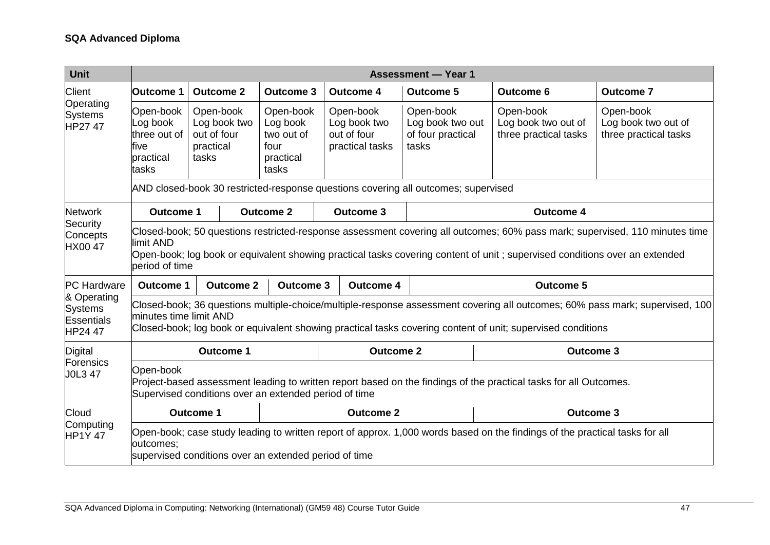| <b>Unit</b>                                                   |                                                                     | <b>Assessment - Year 1</b>                                                                                                                                                                                                                                            |                                                           |                                                           |                                                                                                                             |                                                                                                                            |                                                                                                                             |  |  |  |  |
|---------------------------------------------------------------|---------------------------------------------------------------------|-----------------------------------------------------------------------------------------------------------------------------------------------------------------------------------------------------------------------------------------------------------------------|-----------------------------------------------------------|-----------------------------------------------------------|-----------------------------------------------------------------------------------------------------------------------------|----------------------------------------------------------------------------------------------------------------------------|-----------------------------------------------------------------------------------------------------------------------------|--|--|--|--|
| <b>Client</b>                                                 | Outcome 1                                                           | <b>Outcome 2</b>                                                                                                                                                                                                                                                      | <b>Outcome 3</b>                                          | <b>Outcome 4</b>                                          | <b>Outcome 5</b>                                                                                                            | <b>Outcome 6</b>                                                                                                           | <b>Outcome 7</b>                                                                                                            |  |  |  |  |
| Operating<br><b>Systems</b><br>HP27 47                        | Open-book<br>Log book<br>three out of<br>five<br>practical<br>tasks | Open-book<br>Log book two<br>out of four<br>practical<br>tasks                                                                                                                                                                                                        | Open-book<br>Log book two out of<br>three practical tasks | Open-book<br>Log book two out of<br>three practical tasks |                                                                                                                             |                                                                                                                            |                                                                                                                             |  |  |  |  |
|                                                               |                                                                     |                                                                                                                                                                                                                                                                       |                                                           |                                                           | AND closed-book 30 restricted-response questions covering all outcomes; supervised                                          |                                                                                                                            |                                                                                                                             |  |  |  |  |
| <b>Network</b><br>Security                                    | <b>Outcome 1</b>                                                    |                                                                                                                                                                                                                                                                       | <b>Outcome 2</b>                                          | <b>Outcome 3</b>                                          |                                                                                                                             | <b>Outcome 4</b>                                                                                                           |                                                                                                                             |  |  |  |  |
| Concepts<br><b>HX0047</b>                                     | limit AND<br>period of time                                         |                                                                                                                                                                                                                                                                       |                                                           |                                                           |                                                                                                                             | Open-book; log book or equivalent showing practical tasks covering content of unit; supervised conditions over an extended | Closed-book; 50 questions restricted-response assessment covering all outcomes; 60% pass mark; supervised, 110 minutes time |  |  |  |  |
| <b>PC</b> Hardware                                            | <b>Outcome 1</b>                                                    | <b>Outcome 2</b>                                                                                                                                                                                                                                                      | <b>Outcome 3</b>                                          | <b>Outcome 4</b>                                          |                                                                                                                             | <b>Outcome 5</b>                                                                                                           |                                                                                                                             |  |  |  |  |
| & Operating<br><b>Systems</b><br><b>Essentials</b><br>HP24 47 |                                                                     | Closed-book; 36 questions multiple-choice/multiple-response assessment covering all outcomes; 60% pass mark; supervised, 100<br>minutes time limit AND<br>Closed-book; log book or equivalent showing practical tasks covering content of unit; supervised conditions |                                                           |                                                           |                                                                                                                             |                                                                                                                            |                                                                                                                             |  |  |  |  |
| Digital                                                       |                                                                     | <b>Outcome 1</b>                                                                                                                                                                                                                                                      |                                                           | <b>Outcome 2</b>                                          |                                                                                                                             | <b>Outcome 3</b>                                                                                                           |                                                                                                                             |  |  |  |  |
| Forensics<br><b>JOL3 47</b>                                   | Open-book                                                           | Supervised conditions over an extended period of time                                                                                                                                                                                                                 |                                                           |                                                           |                                                                                                                             | Project-based assessment leading to written report based on the findings of the practical tasks for all Outcomes.          |                                                                                                                             |  |  |  |  |
| Cloud                                                         |                                                                     | <b>Outcome 1</b>                                                                                                                                                                                                                                                      |                                                           | <b>Outcome 2</b>                                          |                                                                                                                             |                                                                                                                            | <b>Outcome 3</b>                                                                                                            |  |  |  |  |
| Computing<br><b>HP1Y47</b>                                    | outcomes:                                                           | supervised conditions over an extended period of time                                                                                                                                                                                                                 |                                                           |                                                           | Open-book; case study leading to written report of approx. 1,000 words based on the findings of the practical tasks for all |                                                                                                                            |                                                                                                                             |  |  |  |  |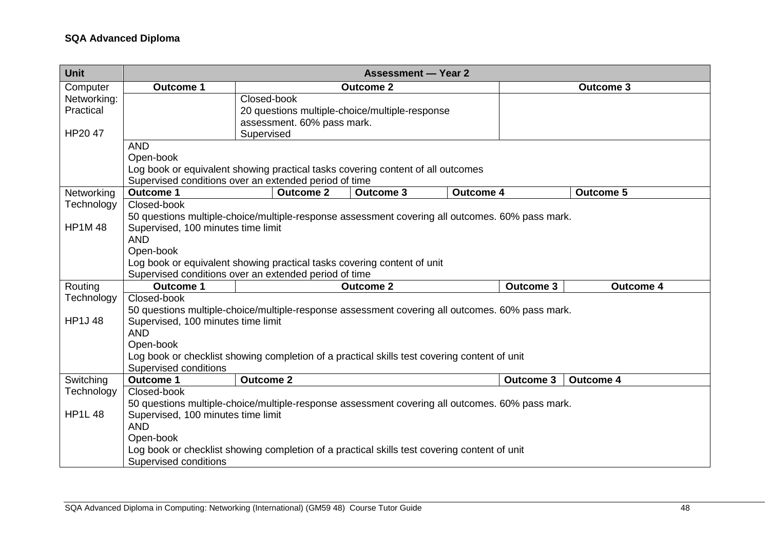| Unit          | <b>Assessment - Year 2</b>                                                                      |                            |                                                |                  |                  |                  |  |  |  |  |
|---------------|-------------------------------------------------------------------------------------------------|----------------------------|------------------------------------------------|------------------|------------------|------------------|--|--|--|--|
| Computer      | <b>Outcome 1</b>                                                                                |                            | <b>Outcome 2</b>                               |                  |                  | <b>Outcome 3</b> |  |  |  |  |
| Networking:   |                                                                                                 | Closed-book                |                                                |                  |                  |                  |  |  |  |  |
| Practical     |                                                                                                 |                            | 20 questions multiple-choice/multiple-response |                  |                  |                  |  |  |  |  |
|               |                                                                                                 | assessment. 60% pass mark. |                                                |                  |                  |                  |  |  |  |  |
| HP20 47       |                                                                                                 | Supervised                 |                                                |                  |                  |                  |  |  |  |  |
|               | <b>AND</b>                                                                                      |                            |                                                |                  |                  |                  |  |  |  |  |
|               | Open-book                                                                                       |                            |                                                |                  |                  |                  |  |  |  |  |
|               | Log book or equivalent showing practical tasks covering content of all outcomes                 |                            |                                                |                  |                  |                  |  |  |  |  |
|               | Supervised conditions over an extended period of time                                           |                            |                                                |                  |                  |                  |  |  |  |  |
| Networking    | <b>Outcome 1</b>                                                                                | <b>Outcome 2</b>           | <b>Outcome 3</b>                               | <b>Outcome 4</b> |                  | <b>Outcome 5</b> |  |  |  |  |
| Technology    | Closed-book                                                                                     |                            |                                                |                  |                  |                  |  |  |  |  |
|               | 50 questions multiple-choice/multiple-response assessment covering all outcomes. 60% pass mark. |                            |                                                |                  |                  |                  |  |  |  |  |
| <b>HP1M48</b> | Supervised, 100 minutes time limit                                                              |                            |                                                |                  |                  |                  |  |  |  |  |
|               | <b>AND</b>                                                                                      |                            |                                                |                  |                  |                  |  |  |  |  |
|               | Open-book                                                                                       |                            |                                                |                  |                  |                  |  |  |  |  |
|               | Log book or equivalent showing practical tasks covering content of unit                         |                            |                                                |                  |                  |                  |  |  |  |  |
|               | Supervised conditions over an extended period of time                                           |                            |                                                |                  |                  |                  |  |  |  |  |
| Routing       | <b>Outcome 1</b>                                                                                |                            | <b>Outcome 2</b>                               |                  | <b>Outcome 3</b> | <b>Outcome 4</b> |  |  |  |  |
| Technology    | Closed-book                                                                                     |                            |                                                |                  |                  |                  |  |  |  |  |
|               | 50 questions multiple-choice/multiple-response assessment covering all outcomes. 60% pass mark. |                            |                                                |                  |                  |                  |  |  |  |  |
| <b>HP1J48</b> | Supervised, 100 minutes time limit                                                              |                            |                                                |                  |                  |                  |  |  |  |  |
|               | <b>AND</b>                                                                                      |                            |                                                |                  |                  |                  |  |  |  |  |
|               | Open-book                                                                                       |                            |                                                |                  |                  |                  |  |  |  |  |
|               | Log book or checklist showing completion of a practical skills test covering content of unit    |                            |                                                |                  |                  |                  |  |  |  |  |
|               | Supervised conditions                                                                           |                            |                                                |                  |                  |                  |  |  |  |  |
| Switching     | <b>Outcome 1</b>                                                                                | <b>Outcome 2</b>           |                                                |                  | <b>Outcome 3</b> | <b>Outcome 4</b> |  |  |  |  |
| Technology    | Closed-book                                                                                     |                            |                                                |                  |                  |                  |  |  |  |  |
|               | 50 questions multiple-choice/multiple-response assessment covering all outcomes. 60% pass mark. |                            |                                                |                  |                  |                  |  |  |  |  |
| <b>HP1L48</b> | Supervised, 100 minutes time limit                                                              |                            |                                                |                  |                  |                  |  |  |  |  |
|               | <b>AND</b>                                                                                      |                            |                                                |                  |                  |                  |  |  |  |  |
|               | Open-book                                                                                       |                            |                                                |                  |                  |                  |  |  |  |  |
|               | Log book or checklist showing completion of a practical skills test covering content of unit    |                            |                                                |                  |                  |                  |  |  |  |  |
|               | Supervised conditions                                                                           |                            |                                                |                  |                  |                  |  |  |  |  |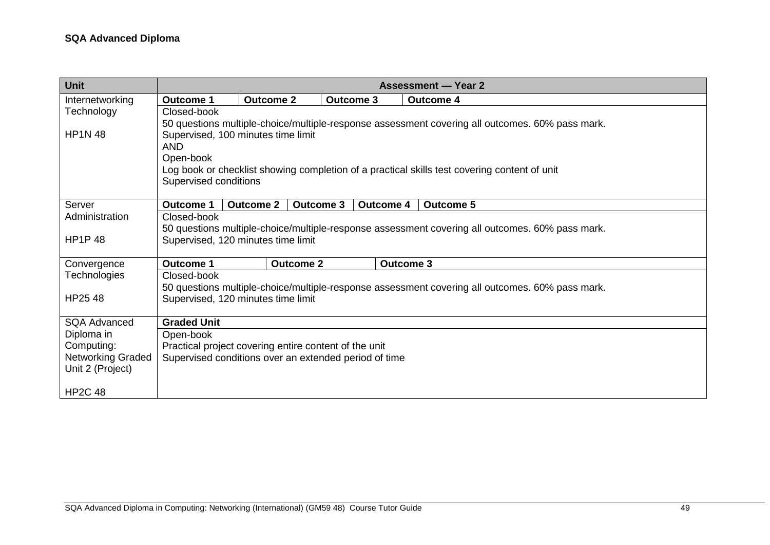| <b>Unit</b>              |                                                       |                                                                                                 |                  |                  | <b>Assessment — Year 2</b>                                                                      |  |  |  |  |  |  |
|--------------------------|-------------------------------------------------------|-------------------------------------------------------------------------------------------------|------------------|------------------|-------------------------------------------------------------------------------------------------|--|--|--|--|--|--|
| Internetworking          | <b>Outcome 1</b>                                      | <b>Outcome 2</b>                                                                                |                  | <b>Outcome 3</b> | <b>Outcome 4</b>                                                                                |  |  |  |  |  |  |
| Technology               | Closed-book                                           |                                                                                                 |                  |                  |                                                                                                 |  |  |  |  |  |  |
|                          |                                                       | 50 questions multiple-choice/multiple-response assessment covering all outcomes. 60% pass mark. |                  |                  |                                                                                                 |  |  |  |  |  |  |
| <b>HP1N 48</b>           | Supervised, 100 minutes time limit                    |                                                                                                 |                  |                  |                                                                                                 |  |  |  |  |  |  |
|                          | <b>AND</b>                                            |                                                                                                 |                  |                  |                                                                                                 |  |  |  |  |  |  |
|                          | Open-book                                             |                                                                                                 |                  |                  |                                                                                                 |  |  |  |  |  |  |
|                          |                                                       |                                                                                                 |                  |                  | Log book or checklist showing completion of a practical skills test covering content of unit    |  |  |  |  |  |  |
|                          | Supervised conditions                                 |                                                                                                 |                  |                  |                                                                                                 |  |  |  |  |  |  |
| Server                   | <b>Outcome 1</b>                                      | <b>Outcome 2</b>                                                                                | <b>Outcome 3</b> | <b>Outcome 4</b> | <b>Outcome 5</b>                                                                                |  |  |  |  |  |  |
| Administration           | Closed-book                                           |                                                                                                 |                  |                  |                                                                                                 |  |  |  |  |  |  |
|                          |                                                       |                                                                                                 |                  |                  | 50 questions multiple-choice/multiple-response assessment covering all outcomes. 60% pass mark. |  |  |  |  |  |  |
| <b>HP1P48</b>            | Supervised, 120 minutes time limit                    |                                                                                                 |                  |                  |                                                                                                 |  |  |  |  |  |  |
|                          |                                                       |                                                                                                 |                  |                  |                                                                                                 |  |  |  |  |  |  |
| Convergence              | <b>Outcome 1</b>                                      |                                                                                                 | <b>Outcome 2</b> | <b>Outcome 3</b> |                                                                                                 |  |  |  |  |  |  |
| Technologies             | Closed-book                                           |                                                                                                 |                  |                  |                                                                                                 |  |  |  |  |  |  |
|                          |                                                       |                                                                                                 |                  |                  | 50 questions multiple-choice/multiple-response assessment covering all outcomes. 60% pass mark. |  |  |  |  |  |  |
| HP25 48                  | Supervised, 120 minutes time limit                    |                                                                                                 |                  |                  |                                                                                                 |  |  |  |  |  |  |
| <b>SQA Advanced</b>      | <b>Graded Unit</b>                                    |                                                                                                 |                  |                  |                                                                                                 |  |  |  |  |  |  |
| Diploma in               | Open-book                                             |                                                                                                 |                  |                  |                                                                                                 |  |  |  |  |  |  |
| Computing:               | Practical project covering entire content of the unit |                                                                                                 |                  |                  |                                                                                                 |  |  |  |  |  |  |
| <b>Networking Graded</b> | Supervised conditions over an extended period of time |                                                                                                 |                  |                  |                                                                                                 |  |  |  |  |  |  |
| Unit 2 (Project)         |                                                       |                                                                                                 |                  |                  |                                                                                                 |  |  |  |  |  |  |
| <b>HP2C 48</b>           |                                                       |                                                                                                 |                  |                  |                                                                                                 |  |  |  |  |  |  |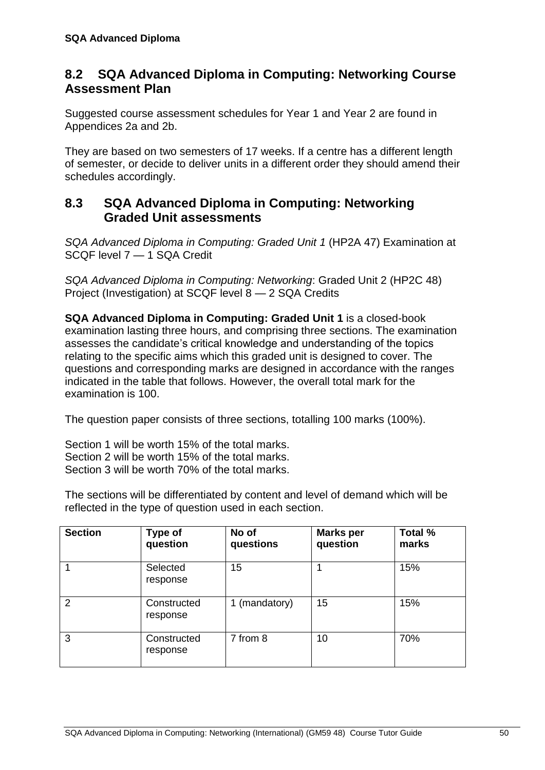### <span id="page-53-0"></span>**8.2 SQA Advanced Diploma in Computing: Networking Course Assessment Plan**

Suggested course assessment schedules for Year 1 and Year 2 are found in Appendices 2a and 2b.

They are based on two semesters of 17 weeks. If a centre has a different length of semester, or decide to deliver units in a different order they should amend their schedules accordingly.

### <span id="page-53-1"></span>**8.3 SQA Advanced Diploma in Computing: Networking Graded Unit assessments**

*SQA Advanced Diploma in Computing: Graded Unit 1* (HP2A 47) Examination at SCQF level 7 — 1 SQA Credit

*SQA Advanced Diploma in Computing: Networking*: Graded Unit 2 (HP2C 48) Project (Investigation) at SCQF level 8 — 2 SQA Credits

**SQA Advanced Diploma in Computing: Graded Unit 1** is a closed-book examination lasting three hours, and comprising three sections. The examination assesses the candidate's critical knowledge and understanding of the topics relating to the specific aims which this graded unit is designed to cover. The questions and corresponding marks are designed in accordance with the ranges indicated in the table that follows. However, the overall total mark for the examination is 100.

The question paper consists of three sections, totalling 100 marks (100%).

Section 1 will be worth 15% of the total marks. Section 2 will be worth 15% of the total marks. Section 3 will be worth 70% of the total marks.

The sections will be differentiated by content and level of demand which will be reflected in the type of question used in each section.

| <b>Section</b> | <b>Type of</b><br>question | No of<br>questions | <b>Marks per</b><br>question | Total %<br>marks |
|----------------|----------------------------|--------------------|------------------------------|------------------|
| 1              | Selected<br>response       | 15                 |                              | 15%              |
| 2              | Constructed<br>response    | 1 (mandatory)      | 15                           | 15%              |
| 3              | Constructed<br>response    | 7 from 8           | 10                           | 70%              |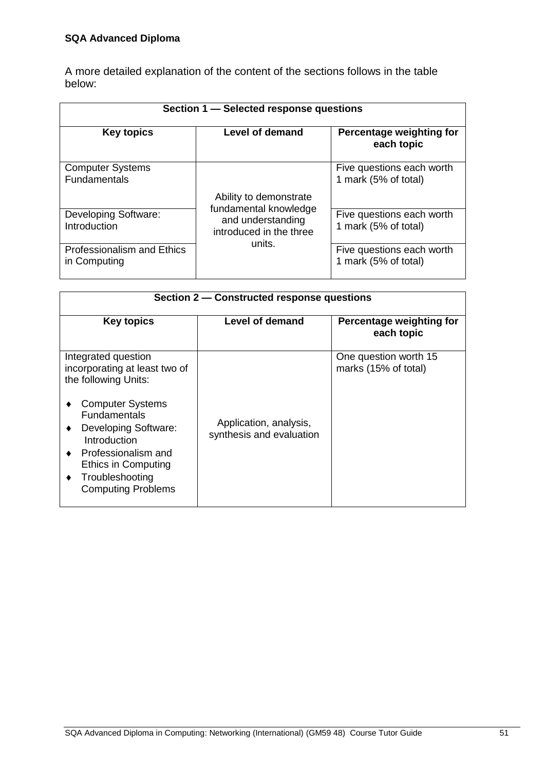A more detailed explanation of the content of the sections follows in the table below:

|                                                   | Section 1 - Selected response questions                               |                                                   |
|---------------------------------------------------|-----------------------------------------------------------------------|---------------------------------------------------|
| <b>Key topics</b>                                 | Level of demand                                                       | Percentage weighting for<br>each topic            |
| <b>Computer Systems</b><br><b>Fundamentals</b>    | Ability to demonstrate                                                | Five questions each worth<br>1 mark (5% of total) |
| <b>Developing Software:</b><br>Introduction       | fundamental knowledge<br>and understanding<br>introduced in the three | Five questions each worth<br>1 mark (5% of total) |
| <b>Professionalism and Ethics</b><br>in Computing | units.                                                                | Five questions each worth<br>1 mark (5% of total) |

| Section 2 – Constructed response questions                                                                                                                                                                                                                                                      |                                                    |                                               |  |  |  |  |  |  |  |  |
|-------------------------------------------------------------------------------------------------------------------------------------------------------------------------------------------------------------------------------------------------------------------------------------------------|----------------------------------------------------|-----------------------------------------------|--|--|--|--|--|--|--|--|
| <b>Key topics</b>                                                                                                                                                                                                                                                                               | Level of demand                                    | Percentage weighting for<br>each topic        |  |  |  |  |  |  |  |  |
| Integrated question<br>incorporating at least two of<br>the following Units:<br><b>Computer Systems</b><br><b>Fundamentals</b><br><b>Developing Software:</b><br>$\bullet$<br>Introduction<br>Professionalism and<br><b>Ethics in Computing</b><br>Troubleshooting<br><b>Computing Problems</b> | Application, analysis,<br>synthesis and evaluation | One question worth 15<br>marks (15% of total) |  |  |  |  |  |  |  |  |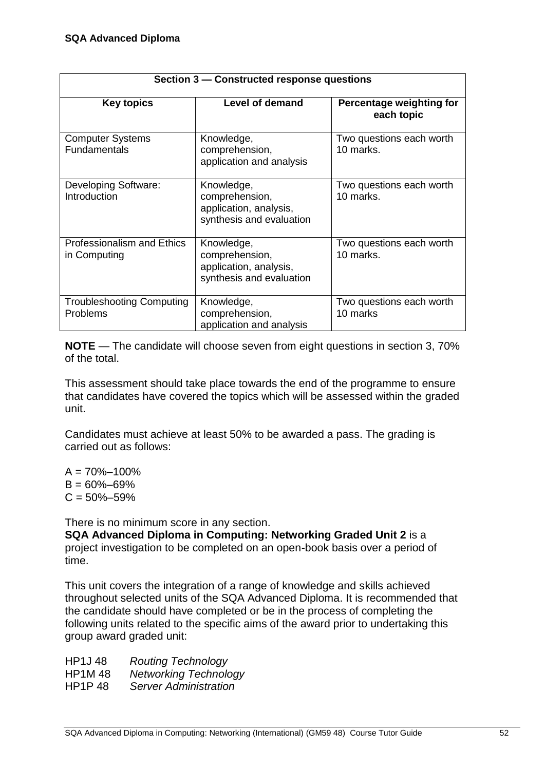|                                                | Section 3 – Constructed response questions                                         |                                        |  |  |  |
|------------------------------------------------|------------------------------------------------------------------------------------|----------------------------------------|--|--|--|
| <b>Key topics</b>                              | <b>Level of demand</b>                                                             | Percentage weighting for<br>each topic |  |  |  |
| <b>Computer Systems</b><br><b>Fundamentals</b> | Knowledge,<br>comprehension,<br>application and analysis                           | Two questions each worth<br>10 marks.  |  |  |  |
| Developing Software:<br>Introduction           | Knowledge,<br>comprehension,<br>application, analysis,<br>synthesis and evaluation | Two questions each worth<br>10 marks.  |  |  |  |
| Professionalism and Ethics<br>in Computing     | Knowledge,<br>comprehension,<br>application, analysis,<br>synthesis and evaluation | Two questions each worth<br>10 marks.  |  |  |  |
| <b>Troubleshooting Computing</b><br>Problems   | Knowledge,<br>comprehension,<br>application and analysis                           | Two questions each worth<br>10 marks   |  |  |  |

**NOTE** — The candidate will choose seven from eight questions in section 3, 70% of the total.

This assessment should take place towards the end of the programme to ensure that candidates have covered the topics which will be assessed within the graded unit.

Candidates must achieve at least 50% to be awarded a pass. The grading is carried out as follows:

 $A = 70\% - 100\%$  $B = 60\% - 69\%$  $C = 50\% - 59\%$ 

There is no minimum score in any section.

**SQA Advanced Diploma in Computing: Networking Graded Unit 2** is a project investigation to be completed on an open-book basis over a period of time.

This unit covers the integration of a range of knowledge and skills achieved throughout selected units of the SQA Advanced Diploma. It is recommended that the candidate should have completed or be in the process of completing the following units related to the specific aims of the award prior to undertaking this group award graded unit:

HP1J 48 *Routing Technology* HP1M 48 *Networking Technology* HP1P 48 *Server Administration*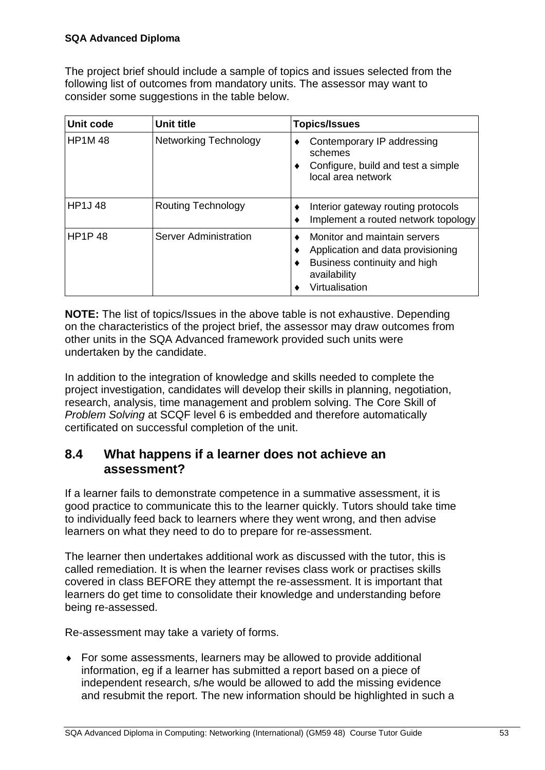The project brief should include a sample of topics and issues selected from the following list of outcomes from mandatory units. The assessor may want to consider some suggestions in the table below.

| Unit code     | <b>Unit title</b>            | <b>Topics/Issues</b>                                                                                                                |
|---------------|------------------------------|-------------------------------------------------------------------------------------------------------------------------------------|
| <b>HP1M48</b> | <b>Networking Technology</b> | Contemporary IP addressing<br>schemes<br>Configure, build and test a simple<br>local area network                                   |
| <b>HP1J48</b> | <b>Routing Technology</b>    | Interior gateway routing protocols<br>٠<br>Implement a routed network topology                                                      |
| <b>HP1P48</b> | Server Administration        | Monitor and maintain servers<br>Application and data provisioning<br>Business continuity and high<br>availability<br>Virtualisation |

**NOTE:** The list of topics/Issues in the above table is not exhaustive. Depending on the characteristics of the project brief, the assessor may draw outcomes from other units in the SQA Advanced framework provided such units were undertaken by the candidate.

In addition to the integration of knowledge and skills needed to complete the project investigation, candidates will develop their skills in planning, negotiation, research, analysis, time management and problem solving. The Core Skill of *Problem Solving* at SCQF level 6 is embedded and therefore automatically certificated on successful completion of the unit.

## <span id="page-56-0"></span>**8.4 What happens if a learner does not achieve an assessment?**

If a learner fails to demonstrate competence in a summative assessment, it is good practice to communicate this to the learner quickly. Tutors should take time to individually feed back to learners where they went wrong, and then advise learners on what they need to do to prepare for re-assessment.

The learner then undertakes additional work as discussed with the tutor, this is called remediation. It is when the learner revises class work or practises skills covered in class BEFORE they attempt the re-assessment. It is important that learners do get time to consolidate their knowledge and understanding before being re-assessed.

Re-assessment may take a variety of forms.

 For some assessments, learners may be allowed to provide additional information, eg if a learner has submitted a report based on a piece of independent research, s/he would be allowed to add the missing evidence and resubmit the report. The new information should be highlighted in such a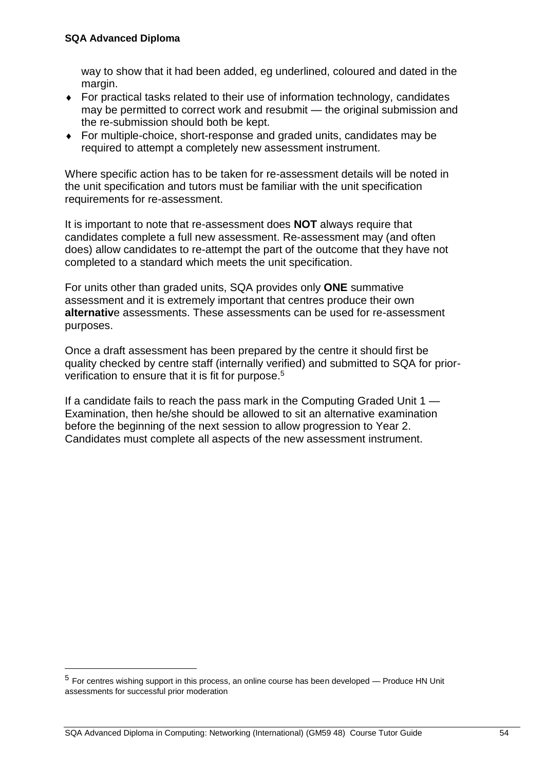$\overline{a}$ 

way to show that it had been added, eg underlined, coloured and dated in the margin.

- For practical tasks related to their use of information technology, candidates may be permitted to correct work and resubmit — the original submission and the re-submission should both be kept.
- For multiple-choice, short-response and graded units, candidates may be required to attempt a completely new assessment instrument.

Where specific action has to be taken for re-assessment details will be noted in the unit specification and tutors must be familiar with the unit specification requirements for re-assessment.

It is important to note that re-assessment does **NOT** always require that candidates complete a full new assessment. Re-assessment may (and often does) allow candidates to re-attempt the part of the outcome that they have not completed to a standard which meets the unit specification.

For units other than graded units, SQA provides only **ONE** summative assessment and it is extremely important that centres produce their own **alternativ**e assessments. These assessments can be used for re-assessment purposes.

Once a draft assessment has been prepared by the centre it should first be quality checked by centre staff (internally verified) and submitted to SQA for priorverification to ensure that it is fit for purpose.<sup>5</sup>

<span id="page-57-0"></span>If a candidate fails to reach the pass mark in the Computing Graded Unit 1 — Examination, then he/she should be allowed to sit an alternative examination before the beginning of the next session to allow progression to Year 2. Candidates must complete all aspects of the new assessment instrument.

<sup>5</sup> For centres wishing support in this process, an online course has been developed — Produce HN Unit assessments for successful prior moderation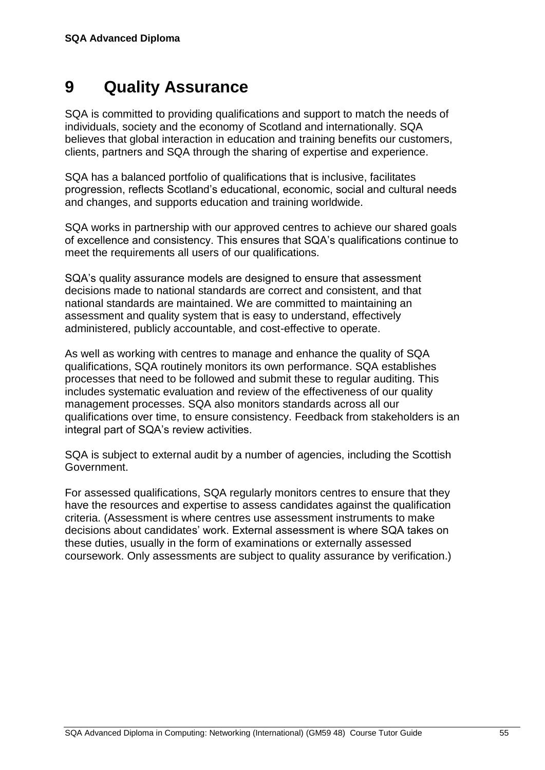## **9 Quality Assurance**

SQA is committed to providing qualifications and support to match the needs of individuals, society and the economy of Scotland and internationally. SQA believes that global interaction in education and training benefits our customers, clients, partners and SQA through the sharing of expertise and experience.

SQA has a balanced portfolio of qualifications that is inclusive, facilitates progression, reflects Scotland's educational, economic, social and cultural needs and changes, and supports education and training worldwide.

SQA works in partnership with our approved centres to achieve our shared goals of excellence and consistency. This ensures that SQA's qualifications continue to meet the requirements all users of our qualifications.

SQA's quality assurance models are designed to ensure that assessment decisions made to national standards are correct and consistent, and that national standards are maintained. We are committed to maintaining an assessment and quality system that is easy to understand, effectively administered, publicly accountable, and cost-effective to operate.

As well as working with centres to manage and enhance the quality of SQA qualifications, SQA routinely monitors its own performance. SQA establishes processes that need to be followed and submit these to regular auditing. This includes systematic evaluation and review of the effectiveness of our quality management processes. SQA also monitors standards across all our qualifications over time, to ensure consistency. Feedback from stakeholders is an integral part of SQA's review activities.

SQA is subject to external audit by a number of agencies, including the Scottish Government.

For assessed qualifications, SQA regularly monitors centres to ensure that they have the resources and expertise to assess candidates against the qualification criteria. (Assessment is where centres use assessment instruments to make decisions about candidates' work. External assessment is where SQA takes on these duties, usually in the form of examinations or externally assessed coursework. Only assessments are subject to quality assurance by verification.)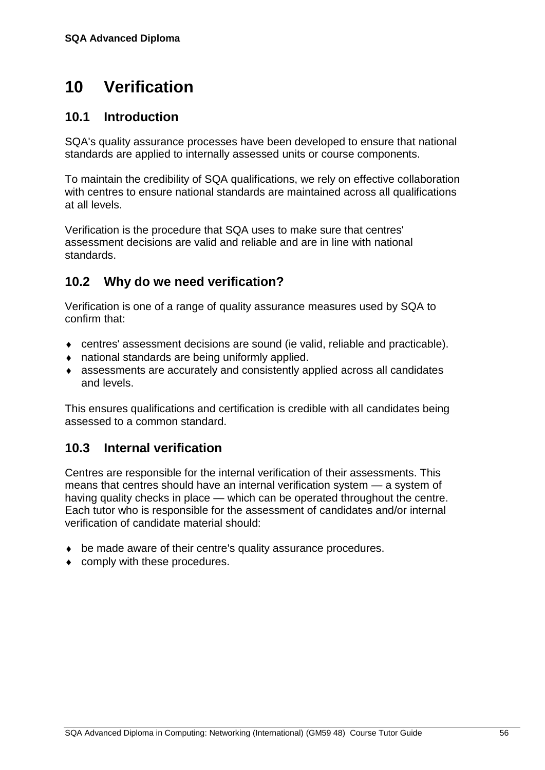## <span id="page-59-0"></span>**10 Verification**

## <span id="page-59-1"></span>**10.1 Introduction**

SQA's quality assurance processes have been developed to ensure that national standards are applied to internally assessed units or course components.

To maintain the credibility of SQA qualifications, we rely on effective collaboration with centres to ensure national standards are maintained across all qualifications at all levels.

Verification is the procedure that SQA uses to make sure that centres' assessment decisions are valid and reliable and are in line with national standards.

## <span id="page-59-2"></span>**10.2 Why do we need verification?**

Verification is one of a range of quality assurance measures used by SQA to confirm that:

- centres' assessment decisions are sound (ie valid, reliable and practicable).
- national standards are being uniformly applied.
- assessments are accurately and consistently applied across all candidates and levels.

This ensures qualifications and certification is credible with all candidates being assessed to a common standard.

## <span id="page-59-3"></span>**10.3 Internal verification**

Centres are responsible for the internal verification of their assessments. This means that centres should have an internal verification system — a system of having quality checks in place — which can be operated throughout the centre. Each tutor who is responsible for the assessment of candidates and/or internal verification of candidate material should:

- be made aware of their centre's quality assurance procedures.
- ◆ comply with these procedures.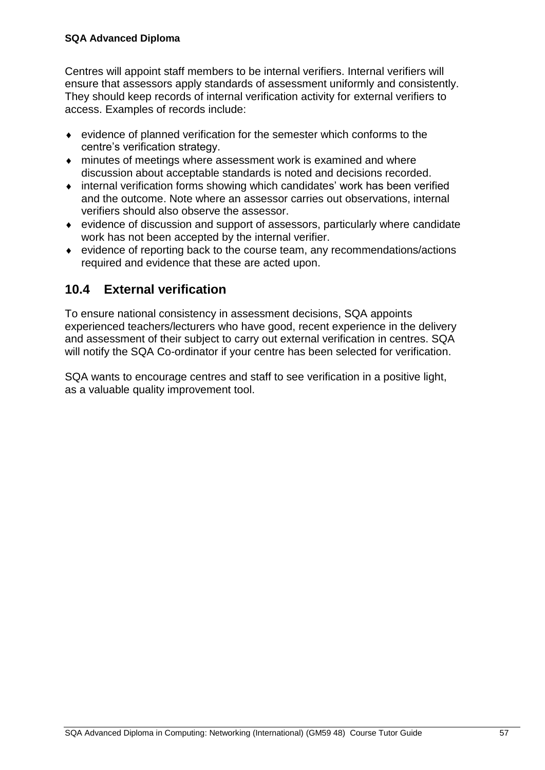#### **SQA Advanced Diploma**

Centres will appoint staff members to be internal verifiers. Internal verifiers will ensure that assessors apply standards of assessment uniformly and consistently. They should keep records of internal verification activity for external verifiers to access. Examples of records include:

- evidence of planned verification for the semester which conforms to the centre's verification strategy.
- minutes of meetings where assessment work is examined and where discussion about acceptable standards is noted and decisions recorded.
- internal verification forms showing which candidates' work has been verified and the outcome. Note where an assessor carries out observations, internal verifiers should also observe the assessor.
- evidence of discussion and support of assessors, particularly where candidate work has not been accepted by the internal verifier.
- evidence of reporting back to the course team, any recommendations/actions required and evidence that these are acted upon.

## <span id="page-60-0"></span>**10.4 External verification**

To ensure national consistency in assessment decisions, SQA appoints experienced teachers/lecturers who have good, recent experience in the delivery and assessment of their subject to carry out external verification in centres. SQA will notify the SQA Co-ordinator if your centre has been selected for verification.

SQA wants to encourage centres and staff to see verification in a positive light, as a valuable quality improvement tool.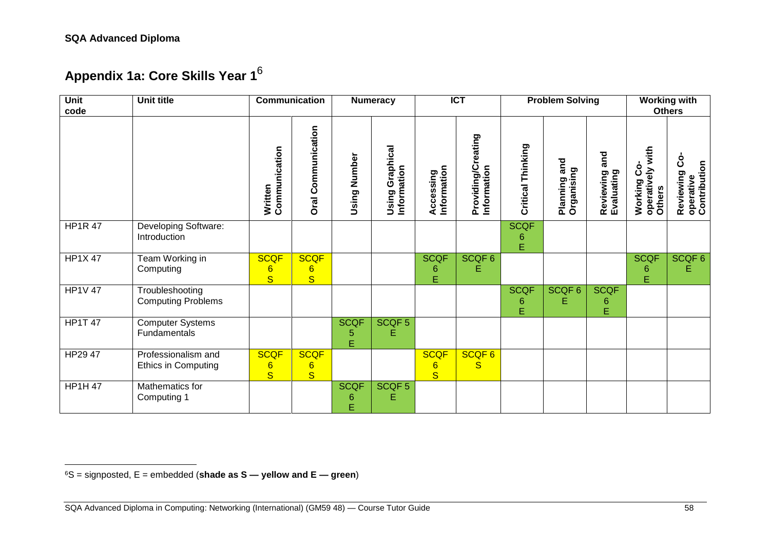<span id="page-61-0"></span>l

## **Appendix 1a: Core Skills Year 1**<sup>6</sup>

| Unit<br>code        | <b>Unit title</b>                                 | Communication<br><b>Numeracy</b>                          |                                                           |                       | $\overline{ICT}$               |                                                           |                                   | <b>Problem Solving</b> | <b>Working with</b><br><b>Others</b> |                                |                                                |                                              |
|---------------------|---------------------------------------------------|-----------------------------------------------------------|-----------------------------------------------------------|-----------------------|--------------------------------|-----------------------------------------------------------|-----------------------------------|------------------------|--------------------------------------|--------------------------------|------------------------------------------------|----------------------------------------------|
|                     |                                                   | Communication<br>Written                                  | Communication<br><b>Oral</b>                              | Using Number          | Using Graphical<br>Information | Information<br>Accessing                                  | Providing/Creating<br>Information | Thinking<br>Critical   | Planning and<br>Organising           | and<br>Reviewing<br>Evaluating | with<br>ပိ<br>operatively<br>Others<br>Working | ပိ<br>operative<br>Contribution<br>Reviewing |
| <b>HP1R 47</b>      | Developing Software:<br>Introduction              |                                                           |                                                           |                       |                                |                                                           |                                   | <b>SCQF</b><br>6<br>Ė  |                                      |                                |                                                |                                              |
| <b>HP1X47</b>       | Team Working in<br>Computing                      | <b>SCQF</b><br>$6\phantom{1}6$<br>$\overline{\mathbf{s}}$ | <b>SCQF</b><br>$6\phantom{1}$<br>$\overline{\mathbf{s}}$  |                       |                                | <b>SCQF</b><br>6<br>E                                     | SCQF6<br>Е                        |                        |                                      |                                | <b>SCQF</b><br>6<br>E                          | SCQF6<br>Е                                   |
| <b>HP1V 47</b>      | Troubleshooting<br><b>Computing Problems</b>      |                                                           |                                                           |                       |                                |                                                           |                                   | <b>SCQF</b><br>6<br>Ė  | SCQF6<br>E                           | <b>SCQF</b><br>6<br>E          |                                                |                                              |
| $HP1\overline{T}47$ | <b>Computer Systems</b><br>Fundamentals           |                                                           |                                                           | <b>SCQF</b><br>5<br>Ė | SCQF <sub>5</sub><br>Е         |                                                           |                                   |                        |                                      |                                |                                                |                                              |
| HP29 47             | Professionalism and<br><b>Ethics in Computing</b> | <b>SCQF</b><br>$6\phantom{1}6$<br>$\overline{\mathbf{s}}$ | <b>SCQF</b><br>$6\phantom{1}6$<br>$\overline{\mathbf{S}}$ |                       |                                | <b>SCQF</b><br>$6\phantom{1}6$<br>$\overline{\mathbf{s}}$ | SCQF6<br>S                        |                        |                                      |                                |                                                |                                              |
| <b>HP1H 47</b>      | Mathematics for<br>Computing 1                    |                                                           |                                                           | <b>SCQF</b><br>6<br>Ė | SCQF <sub>5</sub><br>Е         |                                                           |                                   |                        |                                      |                                |                                                |                                              |

<sup>6</sup>S = signposted, E = embedded (**shade as S — yellow and E — green**)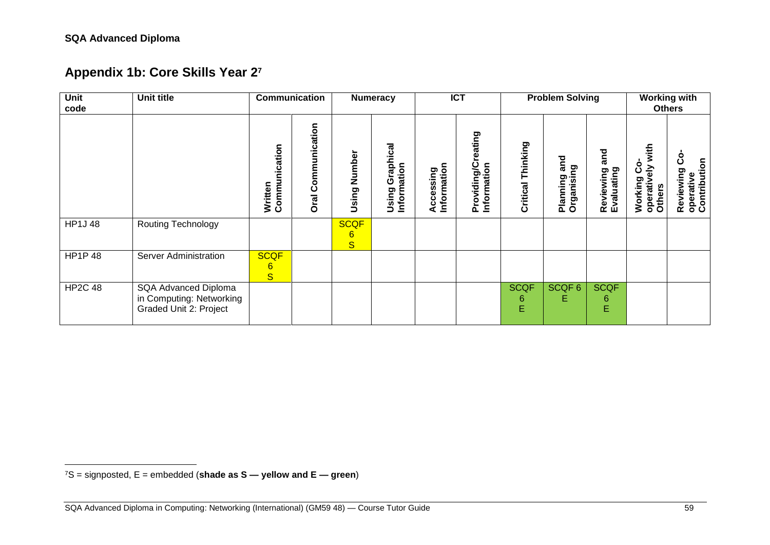<span id="page-62-0"></span>l

## **Appendix 1b: Core Skills Year 2<sup>7</sup>**

| Unit<br>code   | Unit title                                                                 | Communication<br><b>ICT</b><br><b>Problem Solving</b><br><b>Numeracy</b> |                                          | <b>Working with</b><br><b>Others</b> |                                   |                          |                                   |                       |                               |                                |                                                  |                                                 |
|----------------|----------------------------------------------------------------------------|--------------------------------------------------------------------------|------------------------------------------|--------------------------------------|-----------------------------------|--------------------------|-----------------------------------|-----------------------|-------------------------------|--------------------------------|--------------------------------------------------|-------------------------------------------------|
|                |                                                                            | nication<br>Written<br>Commu                                             | unication<br>mm<br>٥<br>ت<br><b>Oral</b> | Number<br>Using                      | Graphical<br>Information<br>Using | Information<br>Accessing | Providing/Creating<br>Information | Thinking<br>Critical  | and<br>Organising<br>Planning | and<br>Reviewing<br>Evaluating | with<br>ပိ<br>즣<br>Working<br>operativ<br>Others | ပိ<br>Reviewing Co<br>operative<br>Contribution |
| <b>HP1J48</b>  | <b>Routing Technology</b>                                                  |                                                                          |                                          | <b>SCQF</b><br>$6\phantom{1}$<br>S   |                                   |                          |                                   |                       |                               |                                |                                                  |                                                 |
| <b>HP1P48</b>  | <b>Server Administration</b>                                               | <b>SCQF</b><br>$6\phantom{1}6$<br>$\overline{\mathbf{s}}$                |                                          |                                      |                                   |                          |                                   |                       |                               |                                |                                                  |                                                 |
| <b>HP2C 48</b> | SQA Advanced Diploma<br>in Computing: Networking<br>Graded Unit 2: Project |                                                                          |                                          |                                      |                                   |                          |                                   | <b>SCQF</b><br>6<br>E | SCQF 6<br>Е                   | <b>SCQF</b><br>6<br>E          |                                                  |                                                 |

<sup>7</sup>S = signposted, E = embedded (**shade as S — yellow and E — green**)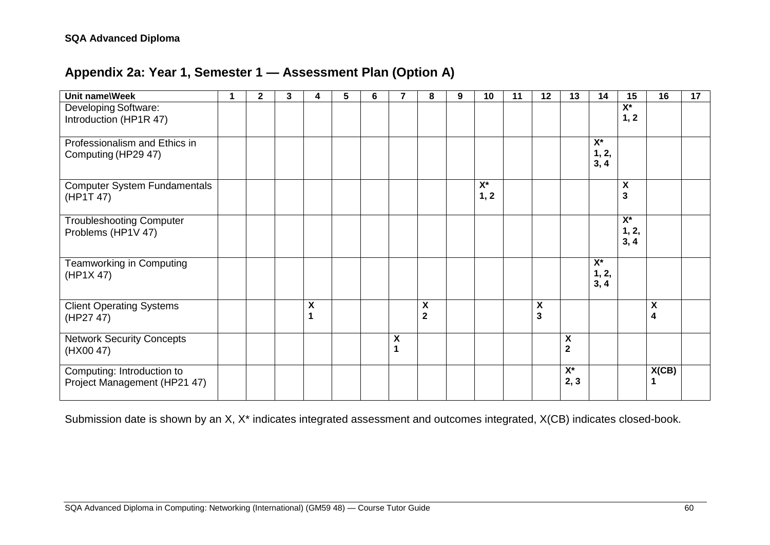## **Appendix 2a: Year 1, Semester 1 — Assessment Plan (Option A)**

<span id="page-63-0"></span>

| Unit name\Week                                             | 1 | $\mathbf{2}$ | 3 | 4      | 5 | 6 |                    | 8                                             | 9 | 10                         | 11 | 12                           | 13                           | 14                                | 15                             | 16     | 17 |
|------------------------------------------------------------|---|--------------|---|--------|---|---|--------------------|-----------------------------------------------|---|----------------------------|----|------------------------------|------------------------------|-----------------------------------|--------------------------------|--------|----|
| Developing Software:<br>Introduction (HP1R 47)             |   |              |   |        |   |   |                    |                                               |   |                            |    |                              |                              |                                   | $\overline{X^*}$<br>1, 2       |        |    |
| Professionalism and Ethics in<br>Computing (HP29 47)       |   |              |   |        |   |   |                    |                                               |   |                            |    |                              |                              | $X^*$<br>1, 2,<br>3, 4            |                                |        |    |
| <b>Computer System Fundamentals</b><br>(HP1T 47)           |   |              |   |        |   |   |                    |                                               |   | $\mathsf{X}^\star$<br>1, 2 |    |                              |                              |                                   | $\boldsymbol{\mathsf{X}}$<br>3 |        |    |
| <b>Troubleshooting Computer</b><br>Problems (HP1V 47)      |   |              |   |        |   |   |                    |                                               |   |                            |    |                              |                              |                                   | $X^*$<br>1, 2,<br>3, 4         |        |    |
| Teamworking in Computing<br>(HP1X 47)                      |   |              |   |        |   |   |                    |                                               |   |                            |    |                              |                              | $\overline{X^*}$<br>1, 2,<br>3, 4 |                                |        |    |
| <b>Client Operating Systems</b><br>(HP27 47)               |   |              |   | χ<br>1 |   |   |                    | $\pmb{\mathsf{X}}$<br>$\overline{\mathbf{2}}$ |   |                            |    | X<br>$\overline{\mathbf{3}}$ |                              |                                   |                                | X<br>4 |    |
| <b>Network Security Concepts</b><br>(HX00 47)              |   |              |   |        |   |   | $\pmb{\mathsf{X}}$ |                                               |   |                            |    |                              | X<br>$\overline{\mathbf{2}}$ |                                   |                                |        |    |
| Computing: Introduction to<br>Project Management (HP21 47) |   |              |   |        |   |   |                    |                                               |   |                            |    |                              | $X^*$<br>2, 3                |                                   |                                | X(CB)  |    |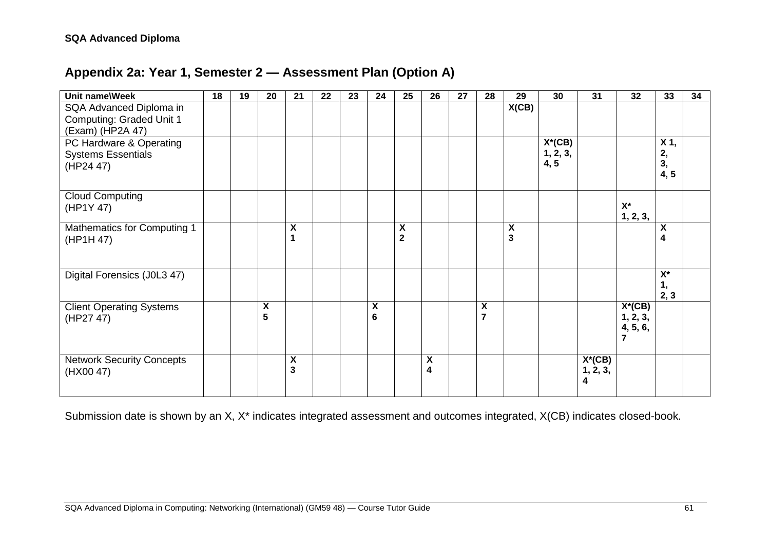## **Appendix 2a: Year 1, Semester 2 — Assessment Plan (Option A)**

<span id="page-64-0"></span>

| Unit name\Week                                                                 | 18 | 19 | 20     | 21     | 22 | 23 | 24                                   | 25                           | 26                      | 27 | 28                                   | 29                                                   | 30                            | 31                         | 32                                                  | 33                       | 34 |
|--------------------------------------------------------------------------------|----|----|--------|--------|----|----|--------------------------------------|------------------------------|-------------------------|----|--------------------------------------|------------------------------------------------------|-------------------------------|----------------------------|-----------------------------------------------------|--------------------------|----|
| SQA Advanced Diploma in<br><b>Computing: Graded Unit 1</b><br>(Exam) (HP2A 47) |    |    |        |        |    |    |                                      |                              |                         |    |                                      | X(CB)                                                |                               |                            |                                                     |                          |    |
| PC Hardware & Operating<br><b>Systems Essentials</b><br>(HP24 47)              |    |    |        |        |    |    |                                      |                              |                         |    |                                      |                                                      | $X^*(CB)$<br>1, 2, 3,<br>4, 5 |                            |                                                     | X 1,<br>2,<br>3,<br>4, 5 |    |
| <b>Cloud Computing</b><br>(HP1Y 47)                                            |    |    |        |        |    |    |                                      |                              |                         |    |                                      |                                                      |                               |                            | $X^*$<br>1, 2, 3,                                   |                          |    |
| <b>Mathematics for Computing 1</b><br>(HP1H 47)                                |    |    |        | X<br>1 |    |    |                                      | X<br>$\overline{\mathbf{2}}$ |                         |    |                                      | $\boldsymbol{\mathsf{X}}$<br>$\overline{\mathbf{3}}$ |                               |                            |                                                     | X<br>4                   |    |
| Digital Forensics (J0L3 47)                                                    |    |    |        |        |    |    |                                      |                              |                         |    |                                      |                                                      |                               |                            |                                                     | $X^*$<br>1,<br>2, 3      |    |
| <b>Client Operating Systems</b><br>(HP27 47)                                   |    |    | X<br>5 |        |    |    | $\pmb{\mathsf{X}}$<br>$6\phantom{1}$ |                              |                         |    | $\pmb{\mathsf{X}}$<br>$\overline{7}$ |                                                      |                               |                            | $X^*(CB)$<br>1, 2, 3,<br>4, 5, 6,<br>$\overline{7}$ |                          |    |
| <b>Network Security Concepts</b><br>(HX00 47)                                  |    |    |        | χ<br>3 |    |    |                                      |                              | $\pmb{\mathsf{X}}$<br>4 |    |                                      |                                                      |                               | $X^*(CB)$<br>1, 2, 3,<br>4 |                                                     |                          |    |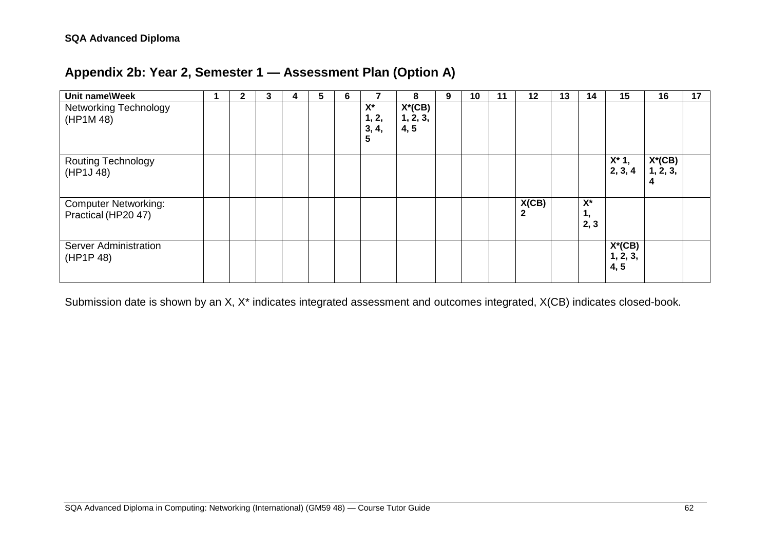## **Appendix 2b: Year 2, Semester 1 — Assessment Plan (Option A)**

<span id="page-65-0"></span>

| Unit name\Week                                     | 2 | 3 | 4 | 5 | 6 | 7                            | 8                             | 9 | 10 | 11 | 12                    | 13 | 14                  | 15                            | 16                    | 17 |
|----------------------------------------------------|---|---|---|---|---|------------------------------|-------------------------------|---|----|----|-----------------------|----|---------------------|-------------------------------|-----------------------|----|
| <b>Networking Technology</b><br>(HP1M 48)          |   |   |   |   |   | $X^*$<br>1, 2,<br>3, 4,<br>5 | $X^*(CB)$<br>1, 2, 3,<br>4, 5 |   |    |    |                       |    |                     |                               |                       |    |
| <b>Routing Technology</b><br>(HP1J 48)             |   |   |   |   |   |                              |                               |   |    |    |                       |    |                     | $X^*$ 1,<br>2, 3, 4           | $X^*(CB)$<br>1, 2, 3, |    |
| <b>Computer Networking:</b><br>Practical (HP20 47) |   |   |   |   |   |                              |                               |   |    |    | X(CB)<br>$\mathbf{2}$ |    | $X^*$<br>1,<br>2, 3 |                               |                       |    |
| <b>Server Administration</b><br>(HP1P 48)          |   |   |   |   |   |                              |                               |   |    |    |                       |    |                     | $X^*(CB)$<br>1, 2, 3,<br>4, 5 |                       |    |